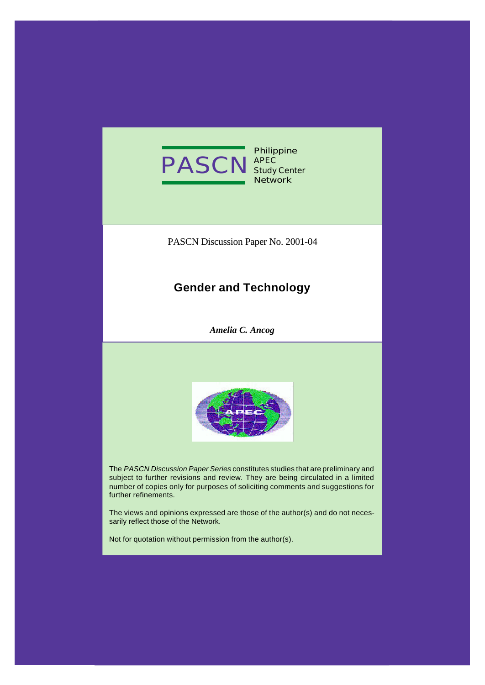

**Philippine Study Center Network**

PASCN Discussion Paper No. 2001-04

# **Gender and Technology**

*Amelia C. Ancog*



The *PASCN Discussion Paper Series* constitutes studies that are preliminary and subject to further revisions and review. They are being circulated in a limited number of copies only for purposes of soliciting comments and suggestions for further refinements.

The views and opinions expressed are those of the author(s) and do not necessarily reflect those of the Network.

Not for quotation without permission from the author(s).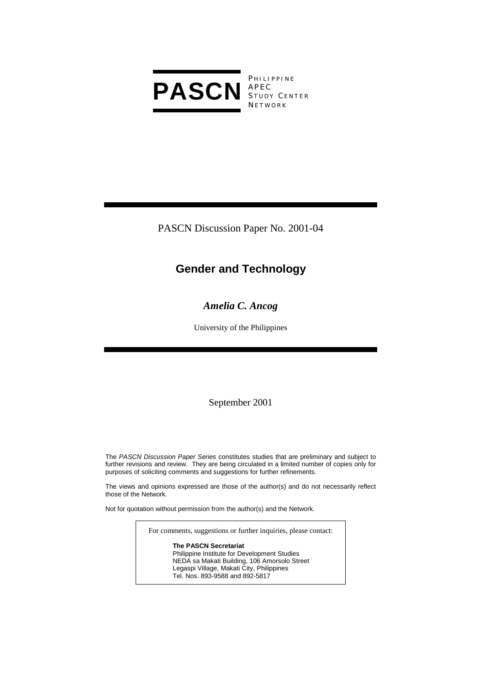

**PHILIPPINE** S TUDY C ENTER **NETWORK** 

PASCN Discussion Paper No. 2001-04

# **Gender and Technology**

## *Amelia C. Ancog*

University of the Philippines

## September 2001

The *PASCN Discussion Paper Series* constitutes studies that are preliminary and subject to further revisions and review. They are being circulated in a limited number of copies only for purposes of soliciting comments and suggestions for further refinements.

The views and opinions expressed are those of the author(s) and do not necessarily reflect those of the Network.

Not for quotation without permission from the author(s) and the Network.

For comments, suggestions or further inquiries, please contact:

**The PASCN Secretariat** Philippine Institute for Development Studies NEDA sa Makati Building, 106 Amorsolo Street Legaspi Village, Makati City, Philippines Tel. Nos. 893-9588 and 892-5817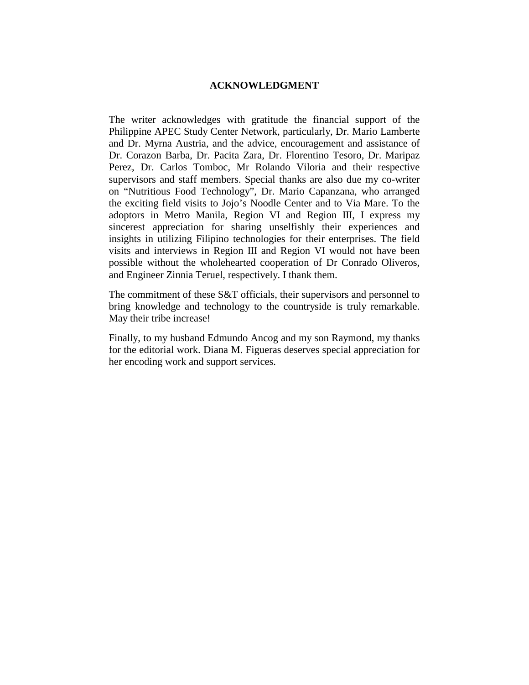#### **ACKNOWLEDGMENT**

The writer acknowledges with gratitude the financial support of the Philippine APEC Study Center Network, particularly, Dr. Mario Lamberte and Dr. Myrna Austria, and the advice, encouragement and assistance of Dr. Corazon Barba, Dr. Pacita Zara, Dr. Florentino Tesoro, Dr. Maripaz Perez, Dr. Carlos Tomboc, Mr Rolando Viloria and their respective supervisors and staff members. Special thanks are also due my co-writer on "Nutritious Food Technology", Dr. Mario Capanzana, who arranged the exciting field visits to Jojo's Noodle Center and to Via Mare. To the adoptors in Metro Manila, Region VI and Region III, I express my sincerest appreciation for sharing unselfishly their experiences and insights in utilizing Filipino technologies for their enterprises. The field visits and interviews in Region III and Region VI would not have been possible without the wholehearted cooperation of Dr Conrado Oliveros, and Engineer Zinnia Teruel, respectively. I thank them.

The commitment of these S&T officials, their supervisors and personnel to bring knowledge and technology to the countryside is truly remarkable. May their tribe increase!

Finally, to my husband Edmundo Ancog and my son Raymond, my thanks for the editorial work. Diana M. Figueras deserves special appreciation for her encoding work and support services.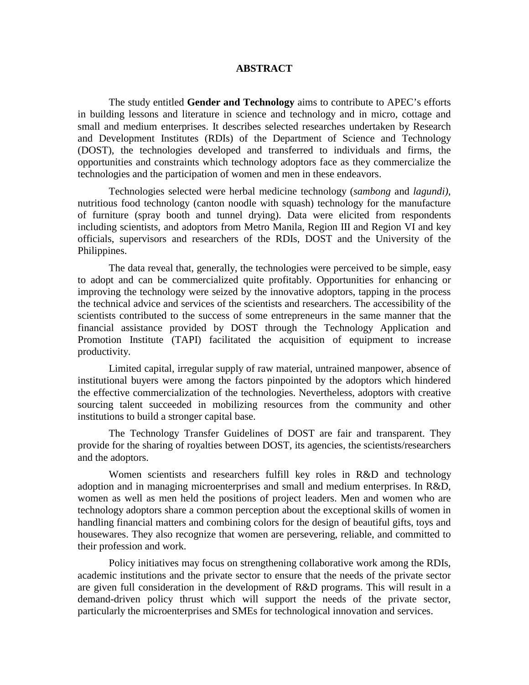#### **ABSTRACT**

The study entitled **Gender and Technology** aims to contribute to APEC's efforts in building lessons and literature in science and technology and in micro, cottage and small and medium enterprises. It describes selected researches undertaken by Research and Development Institutes (RDIs) of the Department of Science and Technology (DOST), the technologies developed and transferred to individuals and firms, the opportunities and constraints which technology adoptors face as they commercialize the technologies and the participation of women and men in these endeavors.

Technologies selected were herbal medicine technology (*sambong* and *lagundi),* nutritious food technology (canton noodle with squash) technology for the manufacture of furniture (spray booth and tunnel drying). Data were elicited from respondents including scientists, and adoptors from Metro Manila, Region III and Region VI and key officials, supervisors and researchers of the RDIs, DOST and the University of the Philippines.

The data reveal that, generally, the technologies were perceived to be simple, easy to adopt and can be commercialized quite profitably. Opportunities for enhancing or improving the technology were seized by the innovative adoptors, tapping in the process the technical advice and services of the scientists and researchers. The accessibility of the scientists contributed to the success of some entrepreneurs in the same manner that the financial assistance provided by DOST through the Technology Application and Promotion Institute (TAPI) facilitated the acquisition of equipment to increase productivity.

Limited capital, irregular supply of raw material, untrained manpower, absence of institutional buyers were among the factors pinpointed by the adoptors which hindered the effective commercialization of the technologies. Nevertheless, adoptors with creative sourcing talent succeeded in mobilizing resources from the community and other institutions to build a stronger capital base.

The Technology Transfer Guidelines of DOST are fair and transparent. They provide for the sharing of royalties between DOST, its agencies, the scientists/researchers and the adoptors.

Women scientists and researchers fulfill key roles in R&D and technology adoption and in managing microenterprises and small and medium enterprises. In R&D, women as well as men held the positions of project leaders. Men and women who are technology adoptors share a common perception about the exceptional skills of women in handling financial matters and combining colors for the design of beautiful gifts, toys and housewares. They also recognize that women are persevering, reliable, and committed to their profession and work.

Policy initiatives may focus on strengthening collaborative work among the RDIs, academic institutions and the private sector to ensure that the needs of the private sector are given full consideration in the development of R&D programs. This will result in a demand-driven policy thrust which will support the needs of the private sector, particularly the microenterprises and SMEs for technological innovation and services.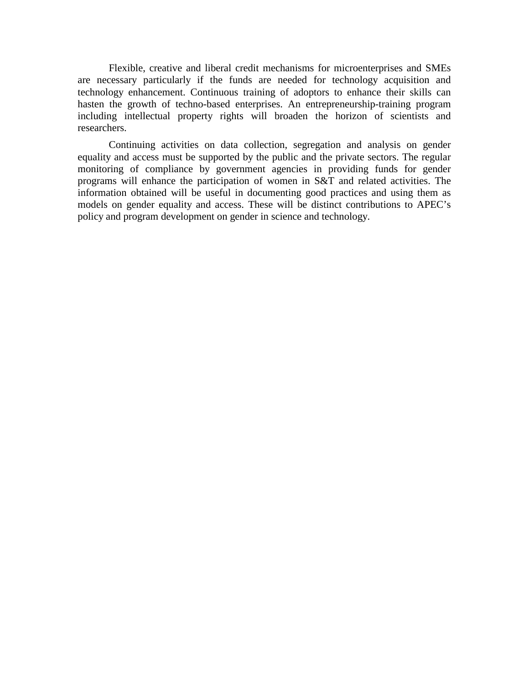Flexible, creative and liberal credit mechanisms for microenterprises and SMEs are necessary particularly if the funds are needed for technology acquisition and technology enhancement. Continuous training of adoptors to enhance their skills can hasten the growth of techno-based enterprises. An entrepreneurship-training program including intellectual property rights will broaden the horizon of scientists and researchers.

Continuing activities on data collection, segregation and analysis on gender equality and access must be supported by the public and the private sectors. The regular monitoring of compliance by government agencies in providing funds for gender programs will enhance the participation of women in S&T and related activities. The information obtained will be useful in documenting good practices and using them as models on gender equality and access. These will be distinct contributions to APEC's policy and program development on gender in science and technology.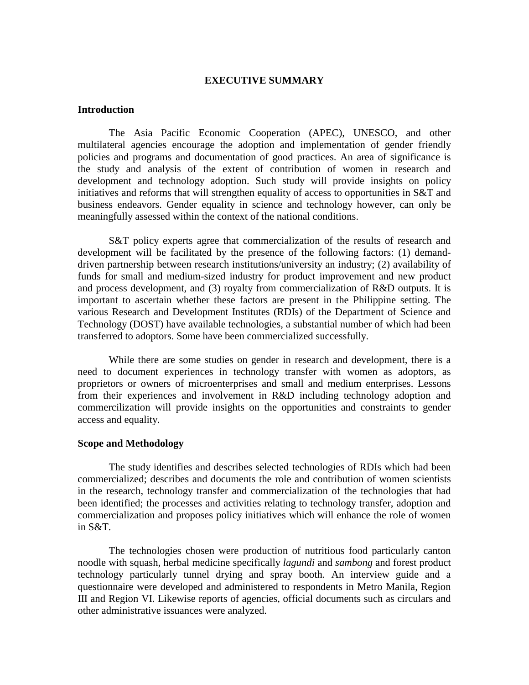#### **EXECUTIVE SUMMARY**

#### **Introduction**

The Asia Pacific Economic Cooperation (APEC), UNESCO, and other multilateral agencies encourage the adoption and implementation of gender friendly policies and programs and documentation of good practices. An area of significance is the study and analysis of the extent of contribution of women in research and development and technology adoption. Such study will provide insights on policy initiatives and reforms that will strengthen equality of access to opportunities in S&T and business endeavors. Gender equality in science and technology however, can only be meaningfully assessed within the context of the national conditions.

S&T policy experts agree that commercialization of the results of research and development will be facilitated by the presence of the following factors: (1) demanddriven partnership between research institutions/university an industry; (2) availability of funds for small and medium-sized industry for product improvement and new product and process development, and (3) royalty from commercialization of R&D outputs. It is important to ascertain whether these factors are present in the Philippine setting. The various Research and Development Institutes (RDIs) of the Department of Science and Technology (DOST) have available technologies, a substantial number of which had been transferred to adoptors. Some have been commercialized successfully.

While there are some studies on gender in research and development, there is a need to document experiences in technology transfer with women as adoptors, as proprietors or owners of microenterprises and small and medium enterprises. Lessons from their experiences and involvement in R&D including technology adoption and commercilization will provide insights on the opportunities and constraints to gender access and equality.

#### **Scope and Methodology**

The study identifies and describes selected technologies of RDIs which had been commercialized; describes and documents the role and contribution of women scientists in the research, technology transfer and commercialization of the technologies that had been identified; the processes and activities relating to technology transfer, adoption and commercialization and proposes policy initiatives which will enhance the role of women in S&T.

The technologies chosen were production of nutritious food particularly canton noodle with squash, herbal medicine specifically *lagundi* and *sambong* and forest product technology particularly tunnel drying and spray booth. An interview guide and a questionnaire were developed and administered to respondents in Metro Manila, Region III and Region VI. Likewise reports of agencies, official documents such as circulars and other administrative issuances were analyzed.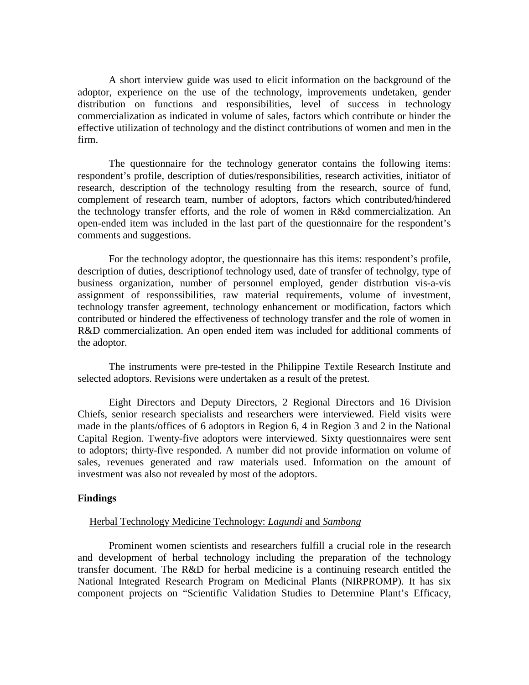A short interview guide was used to elicit information on the background of the adoptor, experience on the use of the technology, improvements undetaken, gender distribution on functions and responsibilities, level of success in technology commercialization as indicated in volume of sales, factors which contribute or hinder the effective utilization of technology and the distinct contributions of women and men in the firm.

The questionnaire for the technology generator contains the following items: respondent's profile, description of duties/responsibilities, research activities, initiator of research, description of the technology resulting from the research, source of fund, complement of research team, number of adoptors, factors which contributed/hindered the technology transfer efforts, and the role of women in R&d commercialization. An open-ended item was included in the last part of the questionnaire for the respondent's comments and suggestions.

For the technology adoptor, the questionnaire has this items: respondent's profile, description of duties, descriptionof technology used, date of transfer of technolgy, type of business organization, number of personnel employed, gender distrbution vis-a-vis assignment of responssibilities, raw material requirements, volume of investment, technology transfer agreement, technology enhancement or modification, factors which contributed or hindered the effectiveness of technology transfer and the role of women in R&D commercialization. An open ended item was included for additional comments of the adoptor.

The instruments were pre-tested in the Philippine Textile Research Institute and selected adoptors. Revisions were undertaken as a result of the pretest.

Eight Directors and Deputy Directors, 2 Regional Directors and 16 Division Chiefs, senior research specialists and researchers were interviewed. Field visits were made in the plants/offices of 6 adoptors in Region 6, 4 in Region 3 and 2 in the National Capital Region. Twenty-five adoptors were interviewed. Sixty questionnaires were sent to adoptors; thirty-five responded. A number did not provide information on volume of sales, revenues generated and raw materials used. Information on the amount of investment was also not revealed by most of the adoptors.

#### **Findings**

#### Herbal Technology Medicine Technology: *Lagundi* and *Sambong*

Prominent women scientists and researchers fulfill a crucial role in the research and development of herbal technology including the preparation of the technology transfer document. The R&D for herbal medicine is a continuing research entitled the National Integrated Research Program on Medicinal Plants (NIRPROMP). It has six component projects on "Scientific Validation Studies to Determine Plant's Efficacy,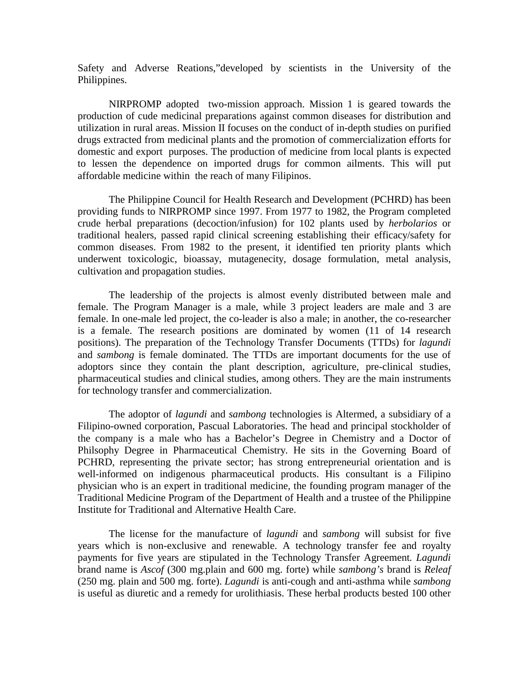Safety and Adverse Reations,"developed by scientists in the University of the Philippines.

NIRPROMP adopted two-mission approach. Mission 1 is geared towards the production of cude medicinal preparations against common diseases for distribution and utilization in rural areas. Mission II focuses on the conduct of in-depth studies on purified drugs extracted from medicinal plants and the promotion of commercialization efforts for domestic and export purposes. The production of medicine from local plants is expected to lessen the dependence on imported drugs for common ailments. This will put affordable medicine within the reach of many Filipinos.

The Philippine Council for Health Research and Development (PCHRD) has been providing funds to NIRPROMP since 1997. From 1977 to 1982, the Program completed crude herbal preparations (decoction/infusion) for 102 plants used by *herbolarios* or traditional healers, passed rapid clinical screening establishing their efficacy/safety for common diseases. From 1982 to the present, it identified ten priority plants which underwent toxicologic, bioassay, mutagenecity, dosage formulation, metal analysis, cultivation and propagation studies.

The leadership of the projects is almost evenly distributed between male and female. The Program Manager is a male, while 3 project leaders are male and 3 are female. In one-male led project, the co-leader is also a male; in another, the co-researcher is a female. The research positions are dominated by women (11 of 14 research positions). The preparation of the Technology Transfer Documents (TTDs) for *lagundi*  and *sambong* is female dominated. The TTDs are important documents for the use of adoptors since they contain the plant description, agriculture, pre-clinical studies, pharmaceutical studies and clinical studies, among others. They are the main instruments for technology transfer and commercialization.

The adoptor of *lagundi* and *sambong* technologies is Altermed, a subsidiary of a Filipino-owned corporation, Pascual Laboratories. The head and principal stockholder of the company is a male who has a Bachelor's Degree in Chemistry and a Doctor of Philsophy Degree in Pharmaceutical Chemistry. He sits in the Governing Board of PCHRD, representing the private sector; has strong entrepreneurial orientation and is well-informed on indigenous pharmaceutical products. His consultant is a Filipino physician who is an expert in traditional medicine, the founding program manager of the Traditional Medicine Program of the Department of Health and a trustee of the Philippine Institute for Traditional and Alternative Health Care.

The license for the manufacture of *lagundi* and *sambong* will subsist for five years which is non-exclusive and renewable. A technology transfer fee and royalty payments for five years are stipulated in the Technology Transfer Agreement*. Lagundi* brand name is *Ascof* (300 mg.plain and 600 mg. forte) while *sambong's* brand is *Releaf* (250 mg. plain and 500 mg. forte). *Lagundi* is anti-cough and anti-asthma while *sambong* is useful as diuretic and a remedy for urolithiasis. These herbal products bested 100 other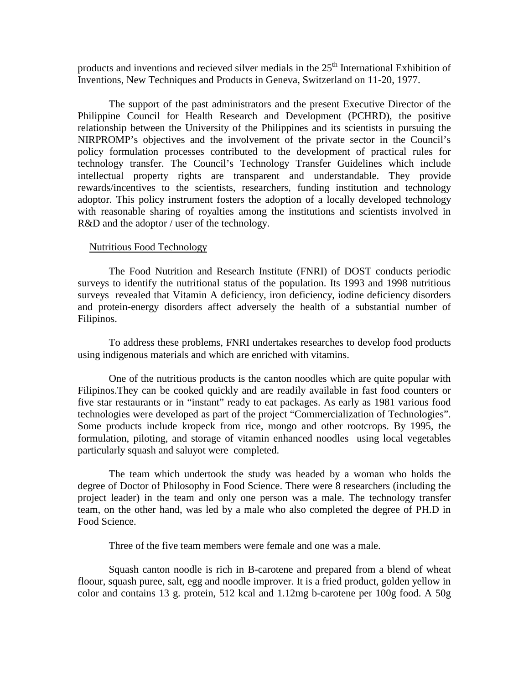products and inventions and recieved silver medials in the  $25<sup>th</sup>$  International Exhibition of Inventions, New Techniques and Products in Geneva, Switzerland on 11-20, 1977.

The support of the past administrators and the present Executive Director of the Philippine Council for Health Research and Development (PCHRD), the positive relationship between the University of the Philippines and its scientists in pursuing the NIRPROMP's objectives and the involvement of the private sector in the Council's policy formulation processes contributed to the development of practical rules for technology transfer. The Council's Technology Transfer Guidelines which include intellectual property rights are transparent and understandable. They provide rewards/incentives to the scientists, researchers, funding institution and technology adoptor. This policy instrument fosters the adoption of a locally developed technology with reasonable sharing of royalties among the institutions and scientists involved in R&D and the adoptor / user of the technology.

#### Nutritious Food Technology

The Food Nutrition and Research Institute (FNRI) of DOST conducts periodic surveys to identify the nutritional status of the population. Its 1993 and 1998 nutritious surveys revealed that Vitamin A deficiency, iron deficiency, iodine deficiency disorders and protein-energy disorders affect adversely the health of a substantial number of Filipinos.

To address these problems, FNRI undertakes researches to develop food products using indigenous materials and which are enriched with vitamins.

One of the nutritious products is the canton noodles which are quite popular with Filipinos.They can be cooked quickly and are readily available in fast food counters or five star restaurants or in "instant" ready to eat packages. As early as 1981 various food technologies were developed as part of the project "Commercialization of Technologies". Some products include kropeck from rice, mongo and other rootcrops. By 1995, the formulation, piloting, and storage of vitamin enhanced noodles using local vegetables particularly squash and saluyot were completed.

The team which undertook the study was headed by a woman who holds the degree of Doctor of Philosophy in Food Science. There were 8 researchers (including the project leader) in the team and only one person was a male. The technology transfer team, on the other hand, was led by a male who also completed the degree of PH.D in Food Science.

Three of the five team members were female and one was a male.

Squash canton noodle is rich in B-carotene and prepared from a blend of wheat floour, squash puree, salt, egg and noodle improver. It is a fried product, golden yellow in color and contains 13 g. protein, 512 kcal and 1.12mg b-carotene per 100g food. A 50g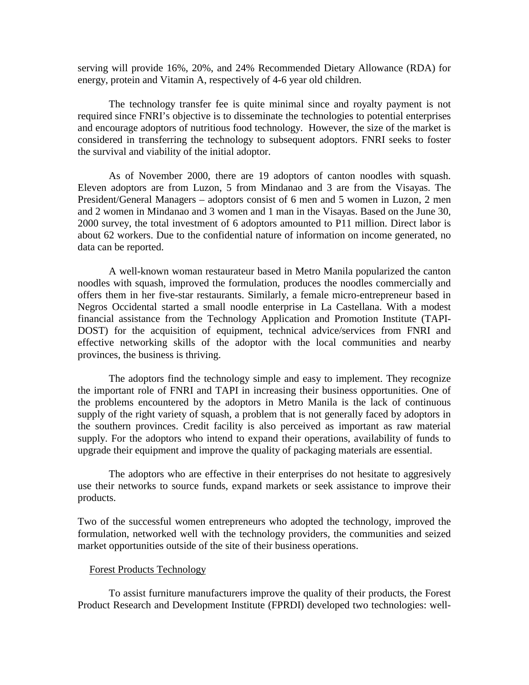serving will provide 16%, 20%, and 24% Recommended Dietary Allowance (RDA) for energy, protein and Vitamin A, respectively of 4-6 year old children.

The technology transfer fee is quite minimal since and royalty payment is not required since FNRI's objective is to disseminate the technologies to potential enterprises and encourage adoptors of nutritious food technology. However, the size of the market is considered in transferring the technology to subsequent adoptors. FNRI seeks to foster the survival and viability of the initial adoptor.

As of November 2000, there are 19 adoptors of canton noodles with squash. Eleven adoptors are from Luzon, 5 from Mindanao and 3 are from the Visayas. The President/General Managers – adoptors consist of 6 men and 5 women in Luzon, 2 men and 2 women in Mindanao and 3 women and 1 man in the Visayas. Based on the June 30, 2000 survey, the total investment of 6 adoptors amounted to P11 million. Direct labor is about 62 workers. Due to the confidential nature of information on income generated, no data can be reported.

A well-known woman restaurateur based in Metro Manila popularized the canton noodles with squash, improved the formulation, produces the noodles commercially and offers them in her five-star restaurants. Similarly, a female micro-entrepreneur based in Negros Occidental started a small noodle enterprise in La Castellana. With a modest financial assistance from the Technology Application and Promotion Institute (TAPI-DOST) for the acquisition of equipment, technical advice/services from FNRI and effective networking skills of the adoptor with the local communities and nearby provinces, the business is thriving.

The adoptors find the technology simple and easy to implement. They recognize the important role of FNRI and TAPI in increasing their business opportunities. One of the problems encountered by the adoptors in Metro Manila is the lack of continuous supply of the right variety of squash, a problem that is not generally faced by adoptors in the southern provinces. Credit facility is also perceived as important as raw material supply. For the adoptors who intend to expand their operations, availability of funds to upgrade their equipment and improve the quality of packaging materials are essential.

The adoptors who are effective in their enterprises do not hesitate to aggresively use their networks to source funds, expand markets or seek assistance to improve their products.

Two of the successful women entrepreneurs who adopted the technology, improved the formulation, networked well with the technology providers, the communities and seized market opportunities outside of the site of their business operations.

#### Forest Products Technology

To assist furniture manufacturers improve the quality of their products, the Forest Product Research and Development Institute (FPRDI) developed two technologies: well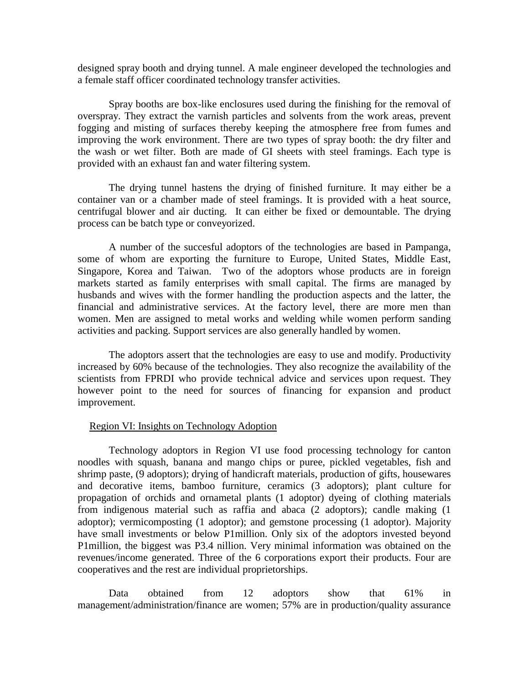designed spray booth and drying tunnel. A male engineer developed the technologies and a female staff officer coordinated technology transfer activities.

Spray booths are box-like enclosures used during the finishing for the removal of overspray. They extract the varnish particles and solvents from the work areas, prevent fogging and misting of surfaces thereby keeping the atmosphere free from fumes and improving the work environment. There are two types of spray booth: the dry filter and the wash or wet filter. Both are made of GI sheets with steel framings. Each type is provided with an exhaust fan and water filtering system.

The drying tunnel hastens the drying of finished furniture. It may either be a container van or a chamber made of steel framings. It is provided with a heat source, centrifugal blower and air ducting. It can either be fixed or demountable. The drying process can be batch type or conveyorized.

A number of the succesful adoptors of the technologies are based in Pampanga, some of whom are exporting the furniture to Europe, United States, Middle East, Singapore, Korea and Taiwan. Two of the adoptors whose products are in foreign markets started as family enterprises with small capital. The firms are managed by husbands and wives with the former handling the production aspects and the latter, the financial and administrative services. At the factory level, there are more men than women. Men are assigned to metal works and welding while women perform sanding activities and packing. Support services are also generally handled by women.

The adoptors assert that the technologies are easy to use and modify. Productivity increased by 60% because of the technologies. They also recognize the availability of the scientists from FPRDI who provide technical advice and services upon request. They however point to the need for sources of financing for expansion and product improvement.

#### Region VI: Insights on Technology Adoption

Technology adoptors in Region VI use food processing technology for canton noodles with squash, banana and mango chips or puree, pickled vegetables, fish and shrimp paste, (9 adoptors); drying of handicraft materials, production of gifts, housewares and decorative items, bamboo furniture, ceramics (3 adoptors); plant culture for propagation of orchids and ornametal plants (1 adoptor) dyeing of clothing materials from indigenous material such as raffia and abaca (2 adoptors); candle making (1 adoptor); vermicomposting (1 adoptor); and gemstone processing (1 adoptor). Majority have small investments or below P1million. Only six of the adoptors invested beyond P1million, the biggest was P3.4 nillion. Very minimal information was obtained on the revenues/income generated. Three of the 6 corporations export their products. Four are cooperatives and the rest are individual proprietorships.

Data obtained from 12 adoptors show that 61% in management/administration/finance are women; 57% are in production/quality assurance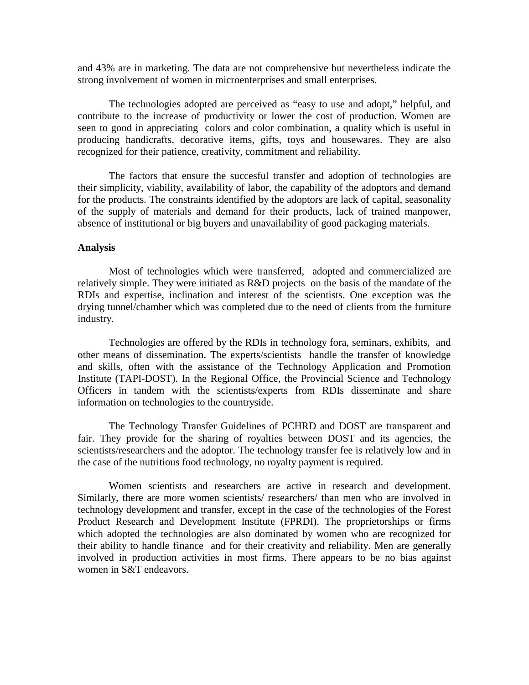and 43% are in marketing. The data are not comprehensive but nevertheless indicate the strong involvement of women in microenterprises and small enterprises.

The technologies adopted are perceived as "easy to use and adopt," helpful, and contribute to the increase of productivity or lower the cost of production. Women are seen to good in appreciating colors and color combination, a quality which is useful in producing handicrafts, decorative items, gifts, toys and housewares. They are also recognized for their patience, creativity, commitment and reliability.

The factors that ensure the succesful transfer and adoption of technologies are their simplicity, viability, availability of labor, the capability of the adoptors and demand for the products. The constraints identified by the adoptors are lack of capital, seasonality of the supply of materials and demand for their products, lack of trained manpower, absence of institutional or big buyers and unavailability of good packaging materials.

#### **Analysis**

Most of technologies which were transferred, adopted and commercialized are relatively simple. They were initiated as R&D projects on the basis of the mandate of the RDIs and expertise, inclination and interest of the scientists. One exception was the drying tunnel/chamber which was completed due to the need of clients from the furniture industry.

Technologies are offered by the RDIs in technology fora, seminars, exhibits, and other means of dissemination. The experts/scientists handle the transfer of knowledge and skills, often with the assistance of the Technology Application and Promotion Institute (TAPI-DOST). In the Regional Office, the Provincial Science and Technology Officers in tandem with the scientists/experts from RDIs disseminate and share information on technologies to the countryside.

The Technology Transfer Guidelines of PCHRD and DOST are transparent and fair. They provide for the sharing of royalties between DOST and its agencies, the scientists/researchers and the adoptor. The technology transfer fee is relatively low and in the case of the nutritious food technology, no royalty payment is required.

Women scientists and researchers are active in research and development. Similarly, there are more women scientists/ researchers/ than men who are involved in technology development and transfer, except in the case of the technologies of the Forest Product Research and Development Institute (FPRDI). The proprietorships or firms which adopted the technologies are also dominated by women who are recognized for their ability to handle finance and for their creativity and reliability. Men are generally involved in production activities in most firms. There appears to be no bias against women in S&T endeavors.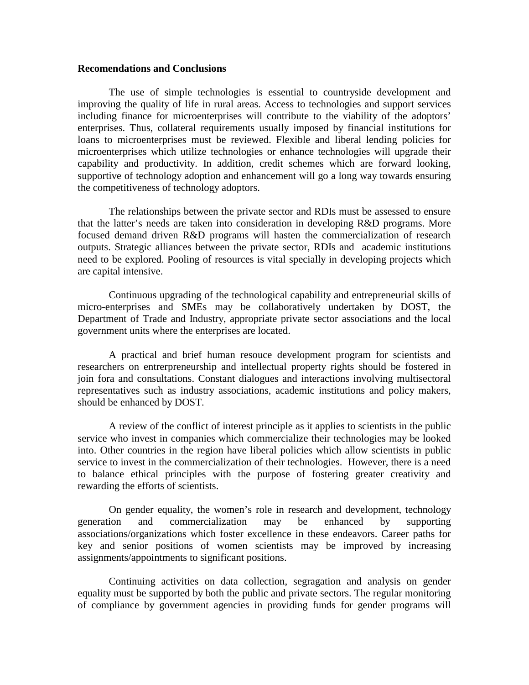#### **Recomendations and Conclusions**

The use of simple technologies is essential to countryside development and improving the quality of life in rural areas. Access to technologies and support services including finance for microenterprises will contribute to the viability of the adoptors' enterprises. Thus, collateral requirements usually imposed by financial institutions for loans to microenterprises must be reviewed. Flexible and liberal lending policies for microenterprises which utilize technologies or enhance technologies will upgrade their capability and productivity. In addition, credit schemes which are forward looking, supportive of technology adoption and enhancement will go a long way towards ensuring the competitiveness of technology adoptors.

The relationships between the private sector and RDIs must be assessed to ensure that the latter's needs are taken into consideration in developing R&D programs. More focused demand driven R&D programs will hasten the commercialization of research outputs. Strategic alliances between the private sector, RDIs and academic institutions need to be explored. Pooling of resources is vital specially in developing projects which are capital intensive.

Continuous upgrading of the technological capability and entrepreneurial skills of micro-enterprises and SMEs may be collaboratively undertaken by DOST, the Department of Trade and Industry, appropriate private sector associations and the local government units where the enterprises are located.

A practical and brief human resouce development program for scientists and researchers on entrerpreneurship and intellectual property rights should be fostered in join fora and consultations. Constant dialogues and interactions involving multisectoral representatives such as industry associations, academic institutions and policy makers, should be enhanced by DOST.

A review of the conflict of interest principle as it applies to scientists in the public service who invest in companies which commercialize their technologies may be looked into. Other countries in the region have liberal policies which allow scientists in public service to invest in the commercialization of their technologies. However, there is a need to balance ethical principles with the purpose of fostering greater creativity and rewarding the efforts of scientists.

On gender equality, the women's role in research and development, technology generation and commercialization may be enhanced by supporting associations/organizations which foster excellence in these endeavors. Career paths for key and senior positions of women scientists may be improved by increasing assignments/appointments to significant positions.

Continuing activities on data collection, segragation and analysis on gender equality must be supported by both the public and private sectors. The regular monitoring of compliance by government agencies in providing funds for gender programs will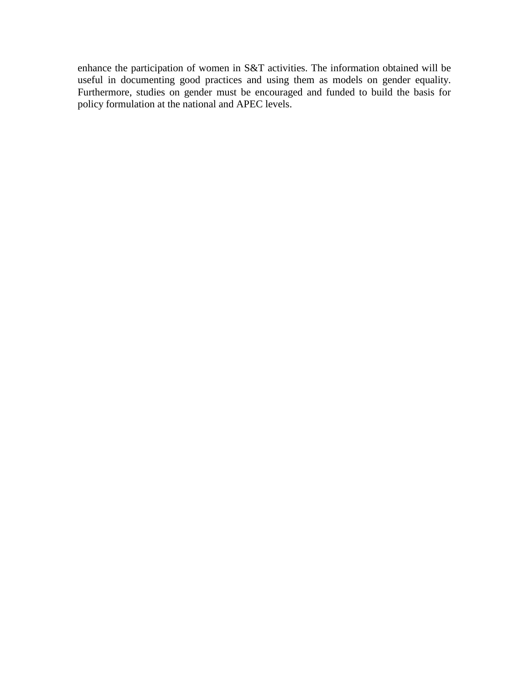enhance the participation of women in S&T activities. The information obtained will be useful in documenting good practices and using them as models on gender equality. Furthermore, studies on gender must be encouraged and funded to build the basis for policy formulation at the national and APEC levels.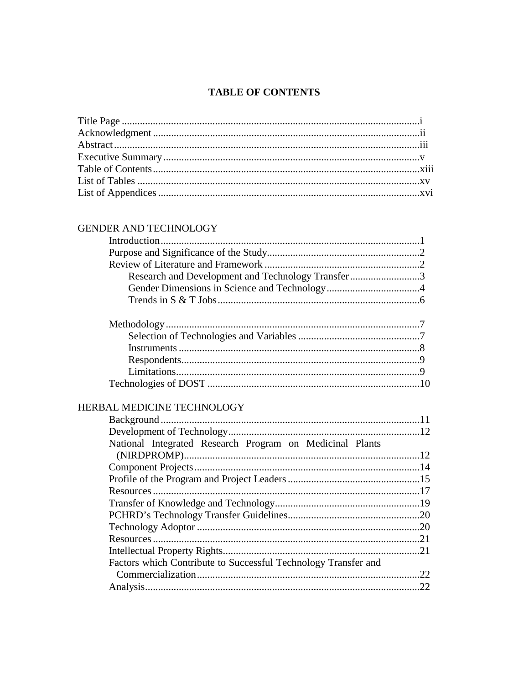## **TABLE OF CONTENTS**

## GENDER AND TECHNOLOGY

| Research and Development and Technology Transfer3 |  |
|---------------------------------------------------|--|
|                                                   |  |
|                                                   |  |
|                                                   |  |
|                                                   |  |
|                                                   |  |
|                                                   |  |
|                                                   |  |
|                                                   |  |
|                                                   |  |

## HERBAL MEDICINE TECHNOLOGY

| National Integrated Research Program on Medicinal Plants       |     |
|----------------------------------------------------------------|-----|
|                                                                |     |
|                                                                |     |
|                                                                |     |
|                                                                |     |
|                                                                |     |
|                                                                |     |
|                                                                |     |
|                                                                |     |
|                                                                | .21 |
| Factors which Contribute to Successful Technology Transfer and |     |
|                                                                | 22  |
|                                                                | 22  |
|                                                                |     |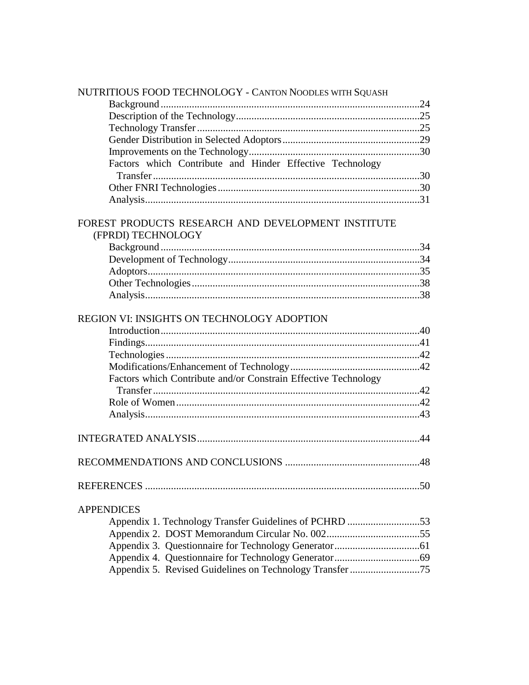| NUTRITIOUS FOOD TECHNOLOGY - CANTON NOODLES WITH SQUASH        |  |
|----------------------------------------------------------------|--|
|                                                                |  |
|                                                                |  |
|                                                                |  |
|                                                                |  |
|                                                                |  |
| Factors which Contribute and Hinder Effective Technology       |  |
|                                                                |  |
|                                                                |  |
|                                                                |  |
| FOREST PRODUCTS RESEARCH AND DEVELOPMENT INSTITUTE             |  |
| (FPRDI) TECHNOLOGY                                             |  |
|                                                                |  |
|                                                                |  |
|                                                                |  |
|                                                                |  |
|                                                                |  |
|                                                                |  |
| REGION VI: INSIGHTS ON TECHNOLOGY ADOPTION                     |  |
|                                                                |  |
|                                                                |  |
|                                                                |  |
|                                                                |  |
| Factors which Contribute and/or Constrain Effective Technology |  |
|                                                                |  |
|                                                                |  |
|                                                                |  |
|                                                                |  |
|                                                                |  |
|                                                                |  |
|                                                                |  |
|                                                                |  |
|                                                                |  |
| <b>APPENDICES</b>                                              |  |
| Appendix 1. Technology Transfer Guidelines of PCHRD 53         |  |
|                                                                |  |
|                                                                |  |
|                                                                |  |
| Appendix 5. Revised Guidelines on Technology Transfer 75       |  |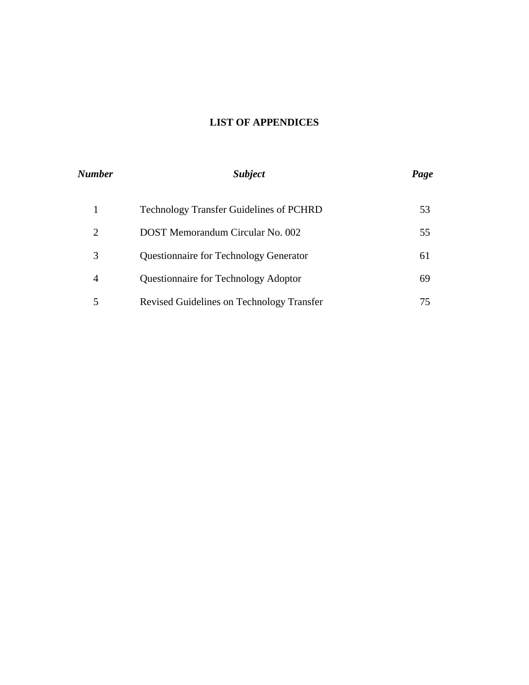## **LIST OF APPENDICES**

| Number         | <i>Subject</i>                                 | Page |  |
|----------------|------------------------------------------------|------|--|
|                | <b>Technology Transfer Guidelines of PCHRD</b> | 53   |  |
| $\overline{2}$ | DOST Memorandum Circular No. 002               | 55   |  |
| 3              | <b>Questionnaire for Technology Generator</b>  | 61   |  |
| 4              | Questionnaire for Technology Adoptor           | 69   |  |
| 5              | Revised Guidelines on Technology Transfer      | 75   |  |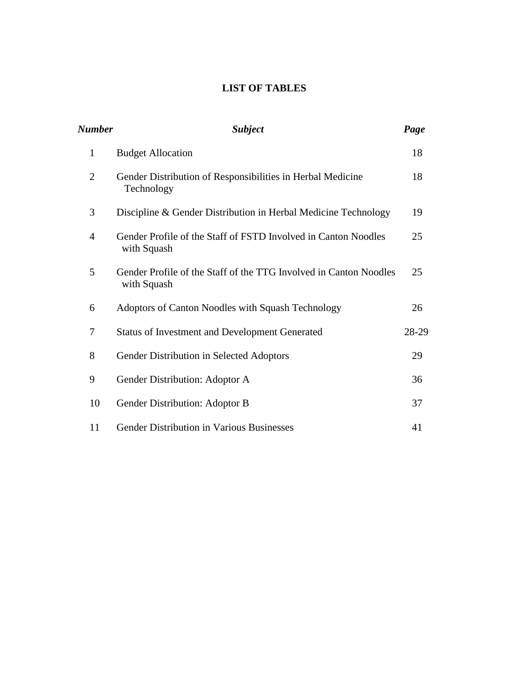## **LIST OF TABLES**

| <b>Number</b>  | <b>Subject</b>                                                                   |       |
|----------------|----------------------------------------------------------------------------------|-------|
| $\mathbf{1}$   | <b>Budget Allocation</b>                                                         | 18    |
| $\overline{2}$ | Gender Distribution of Responsibilities in Herbal Medicine<br>Technology         | 18    |
| 3              | Discipline & Gender Distribution in Herbal Medicine Technology                   | 19    |
| 4              | Gender Profile of the Staff of FSTD Involved in Canton Noodles<br>with Squash    | 25    |
| 5              | Gender Profile of the Staff of the TTG Involved in Canton Noodles<br>with Squash | 25    |
| 6              | Adoptors of Canton Noodles with Squash Technology                                | 26    |
| $\tau$         | <b>Status of Investment and Development Generated</b>                            | 28-29 |
| 8              | Gender Distribution in Selected Adoptors                                         | 29    |
| 9              | Gender Distribution: Adoptor A                                                   | 36    |
| 10             | Gender Distribution: Adoptor B                                                   | 37    |
| 11             | <b>Gender Distribution in Various Businesses</b>                                 | 41    |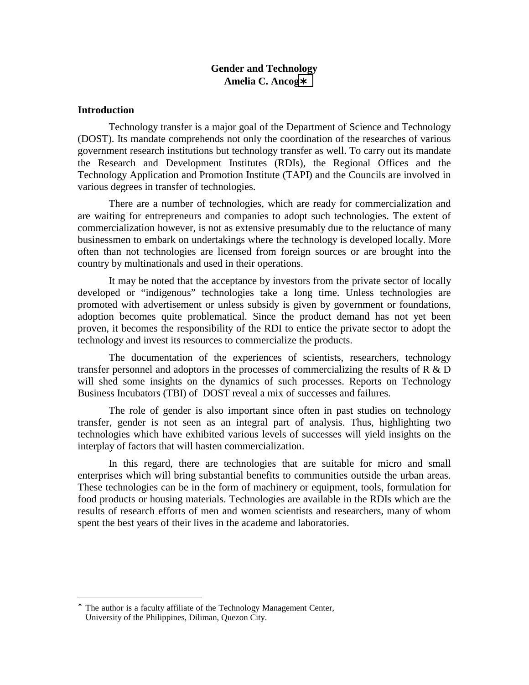### **Gender and Technology Amelia C. Ancog**∗

#### **Introduction**

 $\overline{a}$ 

Technology transfer is a major goal of the Department of Science and Technology (DOST). Its mandate comprehends not only the coordination of the researches of various government research institutions but technology transfer as well. To carry out its mandate the Research and Development Institutes (RDIs), the Regional Offices and the Technology Application and Promotion Institute (TAPI) and the Councils are involved in various degrees in transfer of technologies.

There are a number of technologies, which are ready for commercialization and are waiting for entrepreneurs and companies to adopt such technologies. The extent of commercialization however, is not as extensive presumably due to the reluctance of many businessmen to embark on undertakings where the technology is developed locally. More often than not technologies are licensed from foreign sources or are brought into the country by multinationals and used in their operations.

It may be noted that the acceptance by investors from the private sector of locally developed or "indigenous" technologies take a long time. Unless technologies are promoted with advertisement or unless subsidy is given by government or foundations, adoption becomes quite problematical. Since the product demand has not yet been proven, it becomes the responsibility of the RDI to entice the private sector to adopt the technology and invest its resources to commercialize the products.

The documentation of the experiences of scientists, researchers, technology transfer personnel and adoptors in the processes of commercializing the results of  $R \& D$ will shed some insights on the dynamics of such processes. Reports on Technology Business Incubators (TBI) of DOST reveal a mix of successes and failures.

The role of gender is also important since often in past studies on technology transfer, gender is not seen as an integral part of analysis. Thus, highlighting two technologies which have exhibited various levels of successes will yield insights on the interplay of factors that will hasten commercialization.

In this regard, there are technologies that are suitable for micro and small enterprises which will bring substantial benefits to communities outside the urban areas. These technologies can be in the form of machinery or equipment, tools, formulation for food products or housing materials. Technologies are available in the RDIs which are the results of research efforts of men and women scientists and researchers, many of whom spent the best years of their lives in the academe and laboratories.

<sup>∗</sup> The author is a faculty affiliate of the Technology Management Center, University of the Philippines, Diliman, Quezon City.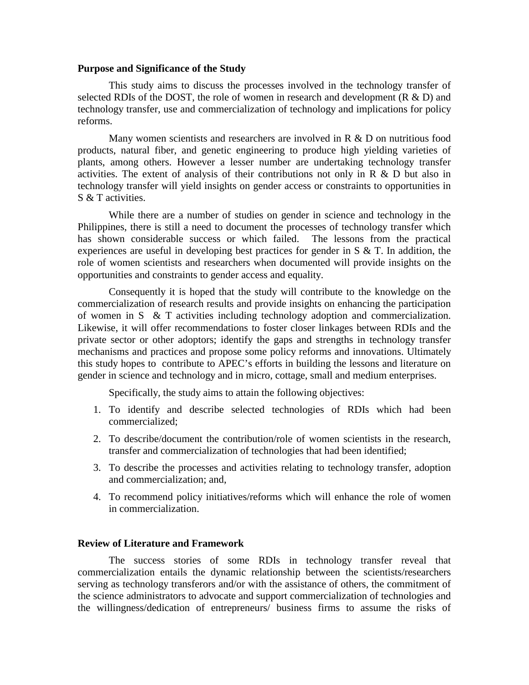#### **Purpose and Significance of the Study**

This study aims to discuss the processes involved in the technology transfer of selected RDIs of the DOST, the role of women in research and development  $(R & D)$  and technology transfer, use and commercialization of technology and implications for policy reforms.

Many women scientists and researchers are involved in R & D on nutritious food products, natural fiber, and genetic engineering to produce high yielding varieties of plants, among others. However a lesser number are undertaking technology transfer activities. The extent of analysis of their contributions not only in  $R \& D$  but also in technology transfer will yield insights on gender access or constraints to opportunities in S & T activities.

While there are a number of studies on gender in science and technology in the Philippines, there is still a need to document the processes of technology transfer which has shown considerable success or which failed. The lessons from the practical experiences are useful in developing best practices for gender in S & T. In addition, the role of women scientists and researchers when documented will provide insights on the opportunities and constraints to gender access and equality.

Consequently it is hoped that the study will contribute to the knowledge on the commercialization of research results and provide insights on enhancing the participation of women in S & T activities including technology adoption and commercialization. Likewise, it will offer recommendations to foster closer linkages between RDIs and the private sector or other adoptors; identify the gaps and strengths in technology transfer mechanisms and practices and propose some policy reforms and innovations. Ultimately this study hopes to contribute to APEC's efforts in building the lessons and literature on gender in science and technology and in micro, cottage, small and medium enterprises.

Specifically, the study aims to attain the following objectives:

- 1. To identify and describe selected technologies of RDIs which had been commercialized;
- 2. To describe/document the contribution/role of women scientists in the research, transfer and commercialization of technologies that had been identified;
- 3. To describe the processes and activities relating to technology transfer, adoption and commercialization; and,
- 4. To recommend policy initiatives/reforms which will enhance the role of women in commercialization.

#### **Review of Literature and Framework**

The success stories of some RDIs in technology transfer reveal that commercialization entails the dynamic relationship between the scientists/researchers serving as technology transferors and/or with the assistance of others, the commitment of the science administrators to advocate and support commercialization of technologies and the willingness/dedication of entrepreneurs/ business firms to assume the risks of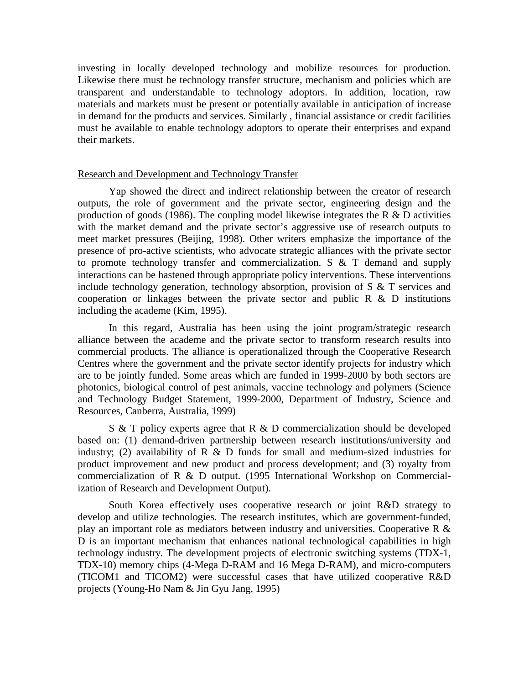investing in locally developed technology and mobilize resources for production. Likewise there must be technology transfer structure, mechanism and policies which are transparent and understandable to technology adoptors. In addition, location, raw materials and markets must be present or potentially available in anticipation of increase in demand for the products and services. Similarly , financial assistance or credit facilities must be available to enable technology adoptors to operate their enterprises and expand their markets.

#### Research and Development and Technology Transfer

Yap showed the direct and indirect relationship between the creator of research outputs, the role of government and the private sector, engineering design and the production of goods (1986). The coupling model likewise integrates the R  $\&$  D activities with the market demand and the private sector's aggressive use of research outputs to meet market pressures (Beijing, 1998). Other writers emphasize the importance of the presence of pro-active scientists, who advocate strategic alliances with the private sector to promote technology transfer and commercialization. S & T demand and supply interactions can be hastened through appropriate policy interventions. These interventions include technology generation, technology absorption, provision of S & T services and cooperation or linkages between the private sector and public  $R \& D$  institutions including the academe (Kim, 1995).

In this regard, Australia has been using the joint program/strategic research alliance between the academe and the private sector to transform research results into commercial products. The alliance is operationalized through the Cooperative Research Centres where the government and the private sector identify projects for industry which are to be jointly funded. Some areas which are funded in 1999-2000 by both sectors are photonics, biological control of pest animals, vaccine technology and polymers (Science and Technology Budget Statement, 1999-2000, Department of Industry, Science and Resources, Canberra, Australia, 1999)

 $S \& T$  policy experts agree that R  $\& D$  commercialization should be developed based on: (1) demand-driven partnership between research institutions/university and industry; (2) availability of  $R \& D$  funds for small and medium-sized industries for product improvement and new product and process development; and (3) royalty from commercialization of R & D output. (1995 International Workshop on Commercialization of Research and Development Output).

South Korea effectively uses cooperative research or joint R&D strategy to develop and utilize technologies. The research institutes, which are government-funded, play an important role as mediators between industry and universities. Cooperative R & D is an important mechanism that enhances national technological capabilities in high technology industry. The development projects of electronic switching systems (TDX-1, TDX-10) memory chips (4-Mega D-RAM and 16 Mega D-RAM), and micro-computers (TICOM1 and TICOM2) were successful cases that have utilized cooperative R&D projects (Young-Ho Nam & Jin Gyu Jang, 1995)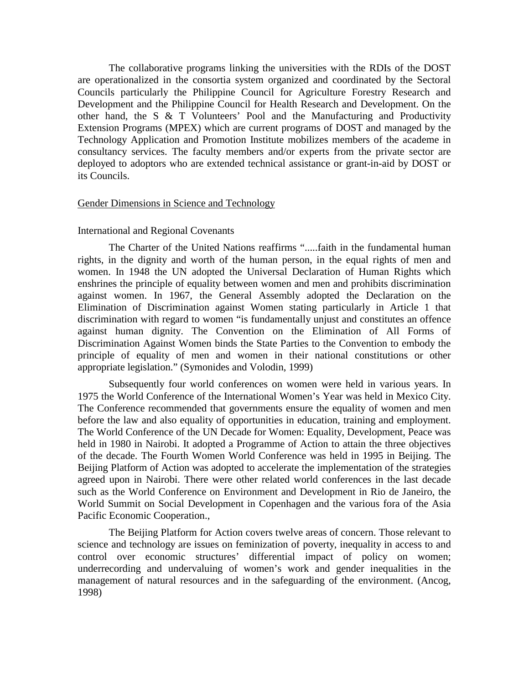The collaborative programs linking the universities with the RDIs of the DOST are operationalized in the consortia system organized and coordinated by the Sectoral Councils particularly the Philippine Council for Agriculture Forestry Research and Development and the Philippine Council for Health Research and Development. On the other hand, the S & T Volunteers' Pool and the Manufacturing and Productivity Extension Programs (MPEX) which are current programs of DOST and managed by the Technology Application and Promotion Institute mobilizes members of the academe in consultancy services. The faculty members and/or experts from the private sector are deployed to adoptors who are extended technical assistance or grant-in-aid by DOST or its Councils.

#### Gender Dimensions in Science and Technology

#### International and Regional Covenants

The Charter of the United Nations reaffirms ".....faith in the fundamental human rights, in the dignity and worth of the human person, in the equal rights of men and women. In 1948 the UN adopted the Universal Declaration of Human Rights which enshrines the principle of equality between women and men and prohibits discrimination against women. In 1967, the General Assembly adopted the Declaration on the Elimination of Discrimination against Women stating particularly in Article 1 that discrimination with regard to women "is fundamentally unjust and constitutes an offence against human dignity. The Convention on the Elimination of All Forms of Discrimination Against Women binds the State Parties to the Convention to embody the principle of equality of men and women in their national constitutions or other appropriate legislation." (Symonides and Volodin, 1999)

Subsequently four world conferences on women were held in various years. In 1975 the World Conference of the International Women's Year was held in Mexico City. The Conference recommended that governments ensure the equality of women and men before the law and also equality of opportunities in education, training and employment. The World Conference of the UN Decade for Women: Equality, Development, Peace was held in 1980 in Nairobi. It adopted a Programme of Action to attain the three objectives of the decade. The Fourth Women World Conference was held in 1995 in Beijing. The Beijing Platform of Action was adopted to accelerate the implementation of the strategies agreed upon in Nairobi. There were other related world conferences in the last decade such as the World Conference on Environment and Development in Rio de Janeiro, the World Summit on Social Development in Copenhagen and the various fora of the Asia Pacific Economic Cooperation.,

The Beijing Platform for Action covers twelve areas of concern. Those relevant to science and technology are issues on feminization of poverty, inequality in access to and control over economic structures' differential impact of policy on women; underrecording and undervaluing of women's work and gender inequalities in the management of natural resources and in the safeguarding of the environment. (Ancog, 1998)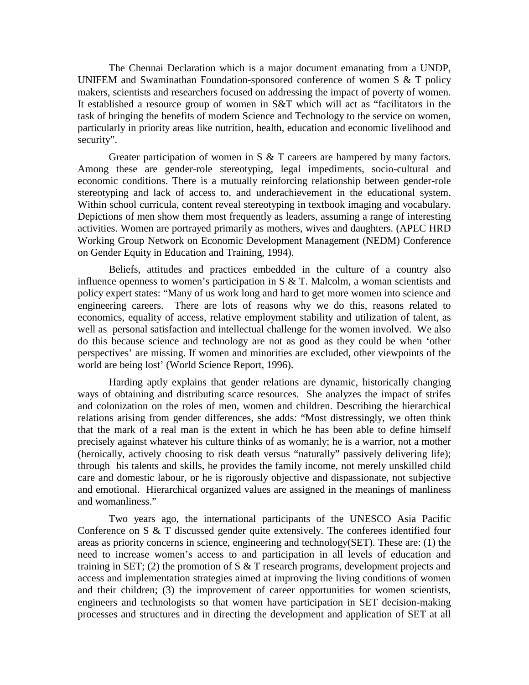The Chennai Declaration which is a major document emanating from a UNDP, UNIFEM and Swaminathan Foundation-sponsored conference of women S & T policy makers, scientists and researchers focused on addressing the impact of poverty of women. It established a resource group of women in S&T which will act as "facilitators in the task of bringing the benefits of modern Science and Technology to the service on women, particularly in priority areas like nutrition, health, education and economic livelihood and security".

Greater participation of women in S & T careers are hampered by many factors. Among these are gender-role stereotyping, legal impediments, socio-cultural and economic conditions. There is a mutually reinforcing relationship between gender-role stereotyping and lack of access to, and underachievement in the educational system. Within school curricula, content reveal stereotyping in textbook imaging and vocabulary. Depictions of men show them most frequently as leaders, assuming a range of interesting activities. Women are portrayed primarily as mothers, wives and daughters. (APEC HRD Working Group Network on Economic Development Management (NEDM) Conference on Gender Equity in Education and Training, 1994).

Beliefs, attitudes and practices embedded in the culture of a country also influence openness to women's participation in S & T. Malcolm, a woman scientists and policy expert states: "Many of us work long and hard to get more women into science and engineering careers. There are lots of reasons why we do this, reasons related to economics, equality of access, relative employment stability and utilization of talent, as well as personal satisfaction and intellectual challenge for the women involved. We also do this because science and technology are not as good as they could be when 'other perspectives' are missing. If women and minorities are excluded, other viewpoints of the world are being lost' (World Science Report, 1996).

Harding aptly explains that gender relations are dynamic, historically changing ways of obtaining and distributing scarce resources. She analyzes the impact of strifes and colonization on the roles of men, women and children. Describing the hierarchical relations arising from gender differences, she adds: "Most distressingly, we often think that the mark of a real man is the extent in which he has been able to define himself precisely against whatever his culture thinks of as womanly; he is a warrior, not a mother (heroically, actively choosing to risk death versus "naturally" passively delivering life); through his talents and skills, he provides the family income, not merely unskilled child care and domestic labour, or he is rigorously objective and dispassionate, not subjective and emotional. Hierarchical organized values are assigned in the meanings of manliness and womanliness."

Two years ago, the international participants of the UNESCO Asia Pacific Conference on S & T discussed gender quite extensively. The conferees identified four areas as priority concerns in science, engineering and technology(SET). These are: (1) the need to increase women's access to and participation in all levels of education and training in SET; (2) the promotion of S  $&$  T research programs, development projects and access and implementation strategies aimed at improving the living conditions of women and their children; (3) the improvement of career opportunities for women scientists, engineers and technologists so that women have participation in SET decision-making processes and structures and in directing the development and application of SET at all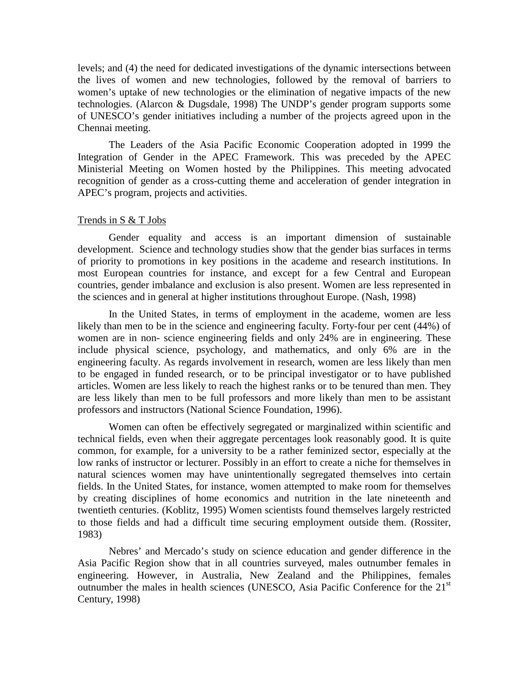levels; and (4) the need for dedicated investigations of the dynamic intersections between the lives of women and new technologies, followed by the removal of barriers to women's uptake of new technologies or the elimination of negative impacts of the new technologies. (Alarcon & Dugsdale, 1998) The UNDP's gender program supports some of UNESCO's gender initiatives including a number of the projects agreed upon in the Chennai meeting.

The Leaders of the Asia Pacific Economic Cooperation adopted in 1999 the Integration of Gender in the APEC Framework. This was preceded by the APEC Ministerial Meeting on Women hosted by the Philippines. This meeting advocated recognition of gender as a cross-cutting theme and acceleration of gender integration in APEC's program, projects and activities.

#### Trends in S & T Jobs

Gender equality and access is an important dimension of sustainable development. Science and technology studies show that the gender bias surfaces in terms of priority to promotions in key positions in the academe and research institutions. In most European countries for instance, and except for a few Central and European countries, gender imbalance and exclusion is also present. Women are less represented in the sciences and in general at higher institutions throughout Europe. (Nash, 1998)

In the United States, in terms of employment in the academe, women are less likely than men to be in the science and engineering faculty. Forty-four per cent (44%) of women are in non- science engineering fields and only 24% are in engineering. These include physical science, psychology, and mathematics, and only 6% are in the engineering faculty. As regards involvement in research, women are less likely than men to be engaged in funded research, or to be principal investigator or to have published articles. Women are less likely to reach the highest ranks or to be tenured than men. They are less likely than men to be full professors and more likely than men to be assistant professors and instructors (National Science Foundation, 1996).

Women can often be effectively segregated or marginalized within scientific and technical fields, even when their aggregate percentages look reasonably good. It is quite common, for example, for a university to be a rather feminized sector, especially at the low ranks of instructor or lecturer. Possibly in an effort to create a niche for themselves in natural sciences women may have unintentionally segregated themselves into certain fields. In the United States, for instance, women attempted to make room for themselves by creating disciplines of home economics and nutrition in the late nineteenth and twentieth centuries. (Koblitz, 1995) Women scientists found themselves largely restricted to those fields and had a difficult time securing employment outside them. (Rossiter, 1983)

Nebres' and Mercado's study on science education and gender difference in the Asia Pacific Region show that in all countries surveyed, males outnumber females in engineering. However, in Australia, New Zealand and the Philippines, females outnumber the males in health sciences (UNESCO, Asia Pacific Conference for the  $21<sup>st</sup>$ Century, 1998)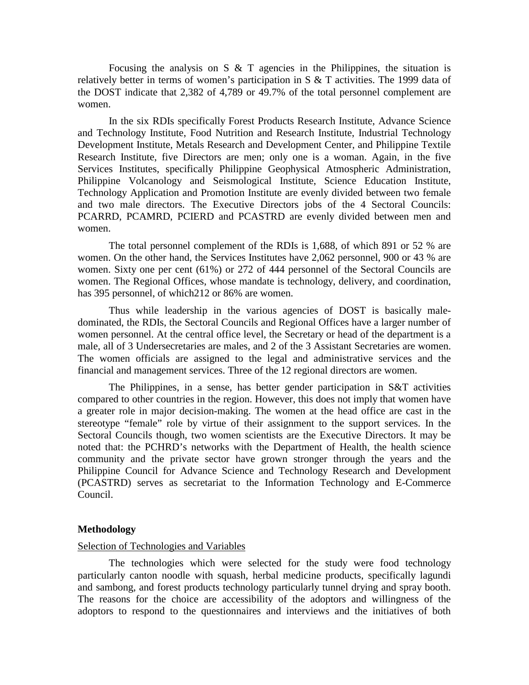Focusing the analysis on S  $\&$  T agencies in the Philippines, the situation is relatively better in terms of women's participation in S & T activities. The 1999 data of the DOST indicate that 2,382 of 4,789 or 49.7% of the total personnel complement are women.

In the six RDIs specifically Forest Products Research Institute, Advance Science and Technology Institute, Food Nutrition and Research Institute, Industrial Technology Development Institute, Metals Research and Development Center, and Philippine Textile Research Institute, five Directors are men; only one is a woman. Again, in the five Services Institutes, specifically Philippine Geophysical Atmospheric Administration, Philippine Volcanology and Seismological Institute, Science Education Institute, Technology Application and Promotion Institute are evenly divided between two female and two male directors. The Executive Directors jobs of the 4 Sectoral Councils: PCARRD, PCAMRD, PCIERD and PCASTRD are evenly divided between men and women.

The total personnel complement of the RDIs is 1,688, of which 891 or 52 % are women. On the other hand, the Services Institutes have 2,062 personnel, 900 or 43 % are women. Sixty one per cent (61%) or 272 of 444 personnel of the Sectoral Councils are women. The Regional Offices, whose mandate is technology, delivery, and coordination, has 395 personnel, of which212 or 86% are women.

Thus while leadership in the various agencies of DOST is basically maledominated, the RDIs, the Sectoral Councils and Regional Offices have a larger number of women personnel. At the central office level, the Secretary or head of the department is a male, all of 3 Undersecretaries are males, and 2 of the 3 Assistant Secretaries are women. The women officials are assigned to the legal and administrative services and the financial and management services. Three of the 12 regional directors are women.

The Philippines, in a sense, has better gender participation in S&T activities compared to other countries in the region. However, this does not imply that women have a greater role in major decision-making. The women at the head office are cast in the stereotype "female" role by virtue of their assignment to the support services. In the Sectoral Councils though, two women scientists are the Executive Directors. It may be noted that: the PCHRD's networks with the Department of Health, the health science community and the private sector have grown stronger through the years and the Philippine Council for Advance Science and Technology Research and Development (PCASTRD) serves as secretariat to the Information Technology and E-Commerce Council.

#### **Methodology**

#### Selection of Technologies and Variables

The technologies which were selected for the study were food technology particularly canton noodle with squash, herbal medicine products, specifically lagundi and sambong, and forest products technology particularly tunnel drying and spray booth. The reasons for the choice are accessibility of the adoptors and willingness of the adoptors to respond to the questionnaires and interviews and the initiatives of both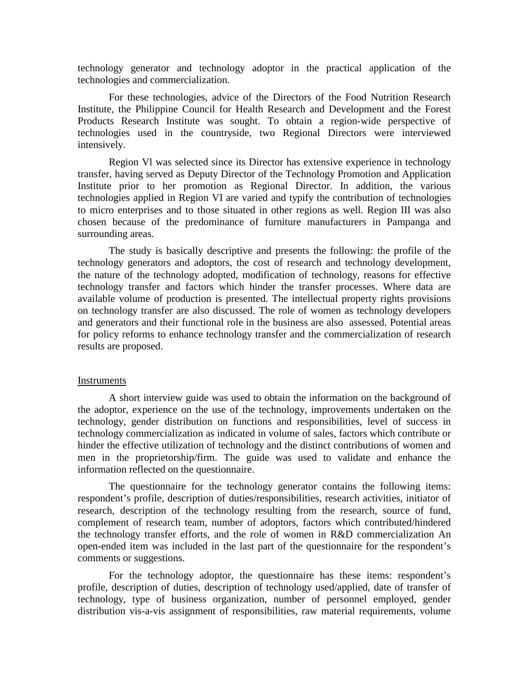technology generator and technology adoptor in the practical application of the technologies and commercialization.

For these technologies, advice of the Directors of the Food Nutrition Research Institute, the Philippine Council for Health Research and Development and the Forest Products Research Institute was sought. To obtain a region-wide perspective of technologies used in the countryside, two Regional Directors were interviewed intensively.

Region Vl was selected since its Director has extensive experience in technology transfer, having served as Deputy Director of the Technology Promotion and Application Institute prior to her promotion as Regional Director. In addition, the various technologies applied in Region VI are varied and typify the contribution of technologies to micro enterprises and to those situated in other regions as well. Region III was also chosen because of the predominance of furniture manufacturers in Pampanga and surrounding areas.

The study is basically descriptive and presents the following: the profile of the technology generators and adoptors, the cost of research and technology development, the nature of the technology adopted, modification of technology, reasons for effective technology transfer and factors which hinder the transfer processes. Where data are available volume of production is presented. The intellectual property rights provisions on technology transfer are also discussed. The role of women as technology developers and generators and their functional role in the business are also assessed. Potential areas for policy reforms to enhance technology transfer and the commercialization of research results are proposed.

#### **Instruments**

A short interview guide was used to obtain the information on the background of the adoptor, experience on the use of the technology, improvements undertaken on the technology, gender distribution on functions and responsibilities, level of success in technology commercialization as indicated in volume of sales, factors which contribute or hinder the effective utilization of technology and the distinct contributions of women and men in the proprietorship/firm. The guide was used to validate and enhance the information reflected on the questionnaire.

The questionnaire for the technology generator contains the following items: respondent's profile, description of duties/responsibilities, research activities, initiator of research, description of the technology resulting from the research, source of fund, complement of research team, number of adoptors, factors which contributed/hindered the technology transfer efforts, and the role of women in R&D commercialization An open-ended item was included in the last part of the questionnaire for the respondent's comments or suggestions.

For the technology adoptor, the questionnaire has these items: respondent's profile, description of duties, description of technology used/applied, date of transfer of technology, type of business organization, number of personnel employed, gender distribution vis-a-vis assignment of responsibilities, raw material requirements, volume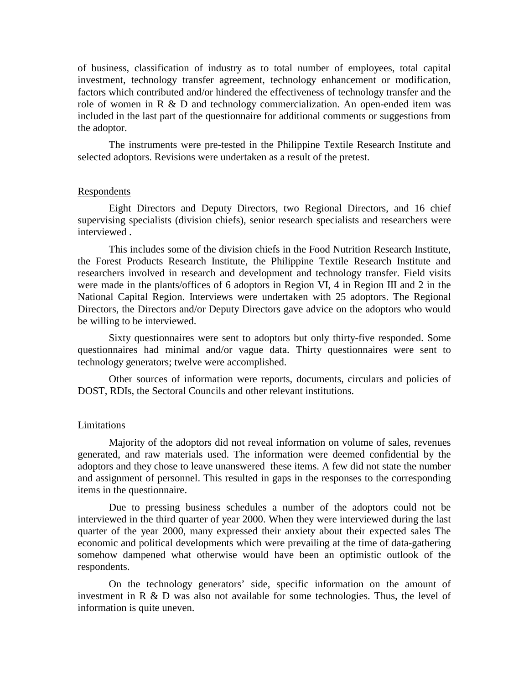of business, classification of industry as to total number of employees, total capital investment, technology transfer agreement, technology enhancement or modification, factors which contributed and/or hindered the effectiveness of technology transfer and the role of women in  $R \& D$  and technology commercialization. An open-ended item was included in the last part of the questionnaire for additional comments or suggestions from the adoptor.

The instruments were pre-tested in the Philippine Textile Research Institute and selected adoptors. Revisions were undertaken as a result of the pretest.

#### Respondents

Eight Directors and Deputy Directors, two Regional Directors, and 16 chief supervising specialists (division chiefs), senior research specialists and researchers were interviewed .

This includes some of the division chiefs in the Food Nutrition Research Institute, the Forest Products Research Institute, the Philippine Textile Research Institute and researchers involved in research and development and technology transfer. Field visits were made in the plants/offices of 6 adoptors in Region VI, 4 in Region III and 2 in the National Capital Region. Interviews were undertaken with 25 adoptors. The Regional Directors, the Directors and/or Deputy Directors gave advice on the adoptors who would be willing to be interviewed.

Sixty questionnaires were sent to adoptors but only thirty-five responded. Some questionnaires had minimal and/or vague data. Thirty questionnaires were sent to technology generators; twelve were accomplished.

Other sources of information were reports, documents, circulars and policies of DOST, RDIs, the Sectoral Councils and other relevant institutions.

#### Limitations

Majority of the adoptors did not reveal information on volume of sales, revenues generated, and raw materials used. The information were deemed confidential by the adoptors and they chose to leave unanswered these items. A few did not state the number and assignment of personnel. This resulted in gaps in the responses to the corresponding items in the questionnaire.

Due to pressing business schedules a number of the adoptors could not be interviewed in the third quarter of year 2000. When they were interviewed during the last quarter of the year 2000, many expressed their anxiety about their expected sales The economic and political developments which were prevailing at the time of data-gathering somehow dampened what otherwise would have been an optimistic outlook of the respondents.

On the technology generators' side, specific information on the amount of investment in R & D was also not available for some technologies. Thus, the level of information is quite uneven.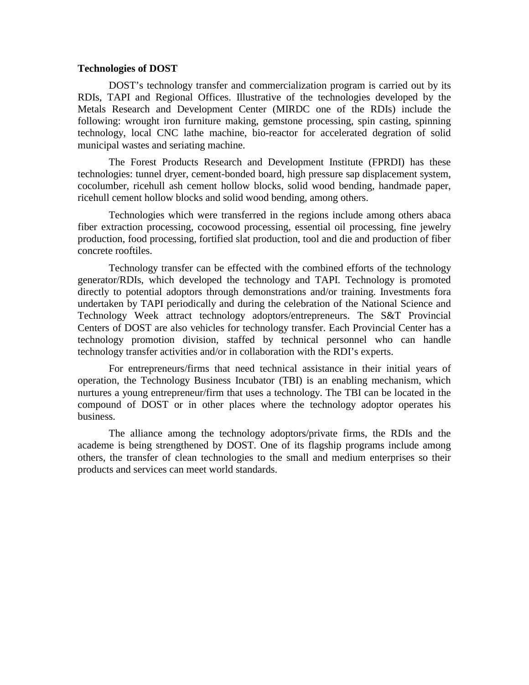#### **Technologies of DOST**

DOST's technology transfer and commercialization program is carried out by its RDIs, TAPI and Regional Offices. Illustrative of the technologies developed by the Metals Research and Development Center (MIRDC one of the RDIs) include the following: wrought iron furniture making, gemstone processing, spin casting, spinning technology, local CNC lathe machine, bio-reactor for accelerated degration of solid municipal wastes and seriating machine.

The Forest Products Research and Development Institute (FPRDI) has these technologies: tunnel dryer, cement-bonded board, high pressure sap displacement system, cocolumber, ricehull ash cement hollow blocks, solid wood bending, handmade paper, ricehull cement hollow blocks and solid wood bending, among others.

Technologies which were transferred in the regions include among others abaca fiber extraction processing, cocowood processing, essential oil processing, fine jewelry production, food processing, fortified slat production, tool and die and production of fiber concrete rooftiles.

Technology transfer can be effected with the combined efforts of the technology generator/RDIs, which developed the technology and TAPI. Technology is promoted directly to potential adoptors through demonstrations and/or training. Investments fora undertaken by TAPI periodically and during the celebration of the National Science and Technology Week attract technology adoptors/entrepreneurs. The S&T Provincial Centers of DOST are also vehicles for technology transfer. Each Provincial Center has a technology promotion division, staffed by technical personnel who can handle technology transfer activities and/or in collaboration with the RDI's experts.

For entrepreneurs/firms that need technical assistance in their initial years of operation, the Technology Business Incubator (TBI) is an enabling mechanism, which nurtures a young entrepreneur/firm that uses a technology. The TBI can be located in the compound of DOST or in other places where the technology adoptor operates his business.

The alliance among the technology adoptors/private firms, the RDIs and the academe is being strengthened by DOST. One of its flagship programs include among others, the transfer of clean technologies to the small and medium enterprises so their products and services can meet world standards.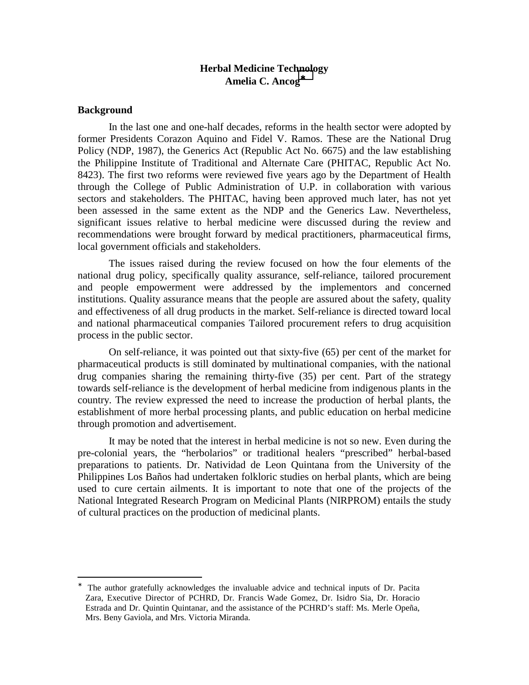### **Herbal Medicine Technology Amelia C. Ancog**<sup>∗</sup>

#### **Background**

1

In the last one and one-half decades, reforms in the health sector were adopted by former Presidents Corazon Aquino and Fidel V. Ramos. These are the National Drug Policy (NDP, 1987), the Generics Act (Republic Act No. 6675) and the law establishing the Philippine Institute of Traditional and Alternate Care (PHITAC, Republic Act No. 8423). The first two reforms were reviewed five years ago by the Department of Health through the College of Public Administration of U.P. in collaboration with various sectors and stakeholders. The PHITAC, having been approved much later, has not yet been assessed in the same extent as the NDP and the Generics Law. Nevertheless, significant issues relative to herbal medicine were discussed during the review and recommendations were brought forward by medical practitioners, pharmaceutical firms, local government officials and stakeholders.

The issues raised during the review focused on how the four elements of the national drug policy, specifically quality assurance, self-reliance, tailored procurement and people empowerment were addressed by the implementors and concerned institutions. Quality assurance means that the people are assured about the safety, quality and effectiveness of all drug products in the market. Self-reliance is directed toward local and national pharmaceutical companies Tailored procurement refers to drug acquisition process in the public sector.

On self-reliance, it was pointed out that sixty-five (65) per cent of the market for pharmaceutical products is still dominated by multinational companies, with the national drug companies sharing the remaining thirty-five (35) per cent. Part of the strategy towards self-reliance is the development of herbal medicine from indigenous plants in the country. The review expressed the need to increase the production of herbal plants, the establishment of more herbal processing plants, and public education on herbal medicine through promotion and advertisement.

It may be noted that the interest in herbal medicine is not so new. Even during the pre-colonial years, the "herbolarios" or traditional healers "prescribed" herbal-based preparations to patients. Dr. Natividad de Leon Quintana from the University of the Philippines Los Baños had undertaken folkloric studies on herbal plants, which are being used to cure certain ailments. It is important to note that one of the projects of the National Integrated Research Program on Medicinal Plants (NIRPROM) entails the study of cultural practices on the production of medicinal plants.

<sup>∗</sup> The author gratefully acknowledges the invaluable advice and technical inputs of Dr. Pacita Zara, Executive Director of PCHRD, Dr. Francis Wade Gomez, Dr. Isidro Sia, Dr. Horacio Estrada and Dr. Quintin Quintanar, and the assistance of the PCHRD's staff: Ms. Merle Opeña, Mrs. Beny Gaviola, and Mrs. Victoria Miranda.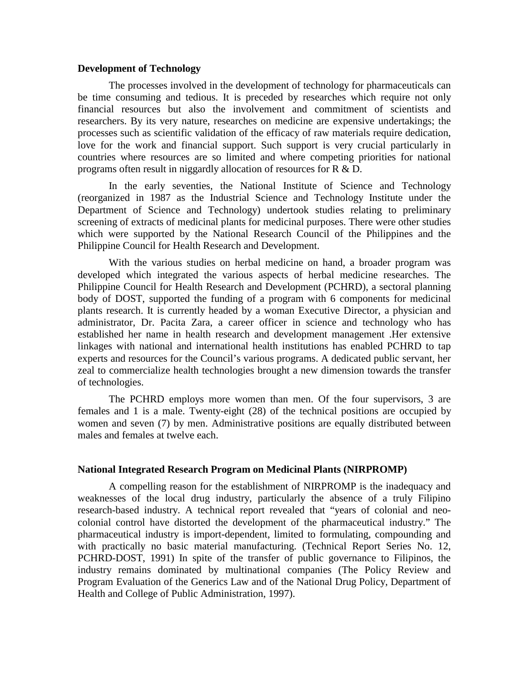#### **Development of Technology**

The processes involved in the development of technology for pharmaceuticals can be time consuming and tedious. It is preceded by researches which require not only financial resources but also the involvement and commitment of scientists and researchers. By its very nature, researches on medicine are expensive undertakings; the processes such as scientific validation of the efficacy of raw materials require dedication, love for the work and financial support. Such support is very crucial particularly in countries where resources are so limited and where competing priorities for national programs often result in niggardly allocation of resources for R & D.

In the early seventies, the National Institute of Science and Technology (reorganized in 1987 as the Industrial Science and Technology Institute under the Department of Science and Technology) undertook studies relating to preliminary screening of extracts of medicinal plants for medicinal purposes. There were other studies which were supported by the National Research Council of the Philippines and the Philippine Council for Health Research and Development.

With the various studies on herbal medicine on hand, a broader program was developed which integrated the various aspects of herbal medicine researches. The Philippine Council for Health Research and Development (PCHRD), a sectoral planning body of DOST, supported the funding of a program with 6 components for medicinal plants research. It is currently headed by a woman Executive Director, a physician and administrator, Dr. Pacita Zara, a career officer in science and technology who has established her name in health research and development management .Her extensive linkages with national and international health institutions has enabled PCHRD to tap experts and resources for the Council's various programs. A dedicated public servant, her zeal to commercialize health technologies brought a new dimension towards the transfer of technologies.

The PCHRD employs more women than men. Of the four supervisors, 3 are females and 1 is a male. Twenty-eight (28) of the technical positions are occupied by women and seven (7) by men. Administrative positions are equally distributed between males and females at twelve each.

#### **National Integrated Research Program on Medicinal Plants (NIRPROMP)**

A compelling reason for the establishment of NIRPROMP is the inadequacy and weaknesses of the local drug industry, particularly the absence of a truly Filipino research-based industry. A technical report revealed that "years of colonial and neocolonial control have distorted the development of the pharmaceutical industry." The pharmaceutical industry is import-dependent, limited to formulating, compounding and with practically no basic material manufacturing. (Technical Report Series No. 12, PCHRD-DOST, 1991) In spite of the transfer of public governance to Filipinos, the industry remains dominated by multinational companies (The Policy Review and Program Evaluation of the Generics Law and of the National Drug Policy, Department of Health and College of Public Administration, 1997).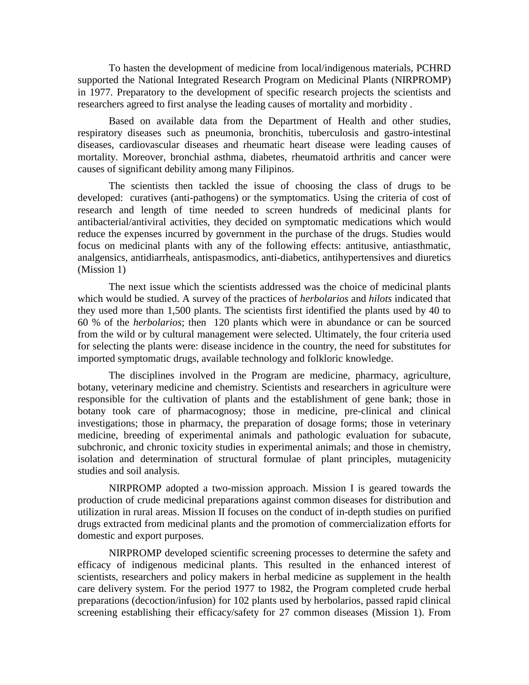To hasten the development of medicine from local/indigenous materials, PCHRD supported the National Integrated Research Program on Medicinal Plants (NIRPROMP) in 1977. Preparatory to the development of specific research projects the scientists and researchers agreed to first analyse the leading causes of mortality and morbidity .

Based on available data from the Department of Health and other studies, respiratory diseases such as pneumonia, bronchitis, tuberculosis and gastro-intestinal diseases, cardiovascular diseases and rheumatic heart disease were leading causes of mortality. Moreover, bronchial asthma, diabetes, rheumatoid arthritis and cancer were causes of significant debility among many Filipinos.

The scientists then tackled the issue of choosing the class of drugs to be developed: curatives (anti-pathogens) or the symptomatics. Using the criteria of cost of research and length of time needed to screen hundreds of medicinal plants for antibacterial/antiviral activities, they decided on symptomatic medications which would reduce the expenses incurred by government in the purchase of the drugs. Studies would focus on medicinal plants with any of the following effects: antitusive, antiasthmatic, analgensics, antidiarrheals, antispasmodics, anti-diabetics, antihypertensives and diuretics (Mission 1)

 The next issue which the scientists addressed was the choice of medicinal plants which would be studied. A survey of the practices of *herbolarios* and *hilots* indicated that they used more than 1,500 plants. The scientists first identified the plants used by 40 to 60 % of the *herbolarios*; then 120 plants which were in abundance or can be sourced from the wild or by cultural management were selected. Ultimately, the four criteria used for selecting the plants were: disease incidence in the country, the need for substitutes for imported symptomatic drugs, available technology and folkloric knowledge.

The disciplines involved in the Program are medicine, pharmacy, agriculture, botany, veterinary medicine and chemistry. Scientists and researchers in agriculture were responsible for the cultivation of plants and the establishment of gene bank; those in botany took care of pharmacognosy; those in medicine, pre-clinical and clinical investigations; those in pharmacy, the preparation of dosage forms; those in veterinary medicine, breeding of experimental animals and pathologic evaluation for subacute, subchronic, and chronic toxicity studies in experimental animals; and those in chemistry, isolation and determination of structural formulae of plant principles, mutagenicity studies and soil analysis.

NIRPROMP adopted a two-mission approach. Mission I is geared towards the production of crude medicinal preparations against common diseases for distribution and utilization in rural areas. Mission II focuses on the conduct of in-depth studies on purified drugs extracted from medicinal plants and the promotion of commercialization efforts for domestic and export purposes.

NIRPROMP developed scientific screening processes to determine the safety and efficacy of indigenous medicinal plants. This resulted in the enhanced interest of scientists, researchers and policy makers in herbal medicine as supplement in the health care delivery system. For the period 1977 to 1982, the Program completed crude herbal preparations (decoction/infusion) for 102 plants used by herbolarios, passed rapid clinical screening establishing their efficacy/safety for 27 common diseases (Mission 1). From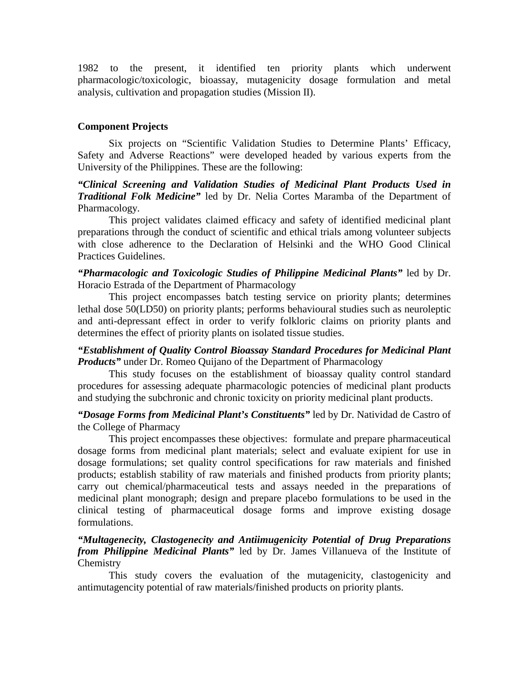1982 to the present, it identified ten priority plants which underwent pharmacologic/toxicologic, bioassay, mutagenicity dosage formulation and metal analysis, cultivation and propagation studies (Mission II).

### **Component Projects**

Six projects on "Scientific Validation Studies to Determine Plants' Efficacy, Safety and Adverse Reactions" were developed headed by various experts from the University of the Philippines. These are the following:

*"Clinical Screening and Validation Studies of Medicinal Plant Products Used in Traditional Folk Medicine"* led by Dr. Nelia Cortes Maramba of the Department of Pharmacology.

This project validates claimed efficacy and safety of identified medicinal plant preparations through the conduct of scientific and ethical trials among volunteer subjects with close adherence to the Declaration of Helsinki and the WHO Good Clinical Practices Guidelines.

*"Pharmacologic and Toxicologic Studies of Philippine Medicinal Plants"* led by Dr. Horacio Estrada of the Department of Pharmacology

This project encompasses batch testing service on priority plants; determines lethal dose 50(LD50) on priority plants; performs behavioural studies such as neuroleptic and anti-depressant effect in order to verify folkloric claims on priority plants and determines the effect of priority plants on isolated tissue studies.

### *"Establishment of Quality Control Bioassay Standard Procedures for Medicinal Plant Products* under Dr. Romeo Quijano of the Department of Pharmacology

This study focuses on the establishment of bioassay quality control standard procedures for assessing adequate pharmacologic potencies of medicinal plant products and studying the subchronic and chronic toxicity on priority medicinal plant products.

*"Dosage Forms from Medicinal Plant's Constituents"* led by Dr. Natividad de Castro of the College of Pharmacy

This project encompasses these objectives: formulate and prepare pharmaceutical dosage forms from medicinal plant materials; select and evaluate exipient for use in dosage formulations; set quality control specifications for raw materials and finished products; establish stability of raw materials and finished products from priority plants; carry out chemical/pharmaceutical tests and assays needed in the preparations of medicinal plant monograph; design and prepare placebo formulations to be used in the clinical testing of pharmaceutical dosage forms and improve existing dosage formulations.

### *"Multagenecity, Clastogenecity and Antiimugenicity Potential of Drug Preparations from Philippine Medicinal Plants"* led by Dr. James Villanueva of the Institute of **Chemistry**

This study covers the evaluation of the mutagenicity, clastogenicity and antimutagencity potential of raw materials/finished products on priority plants.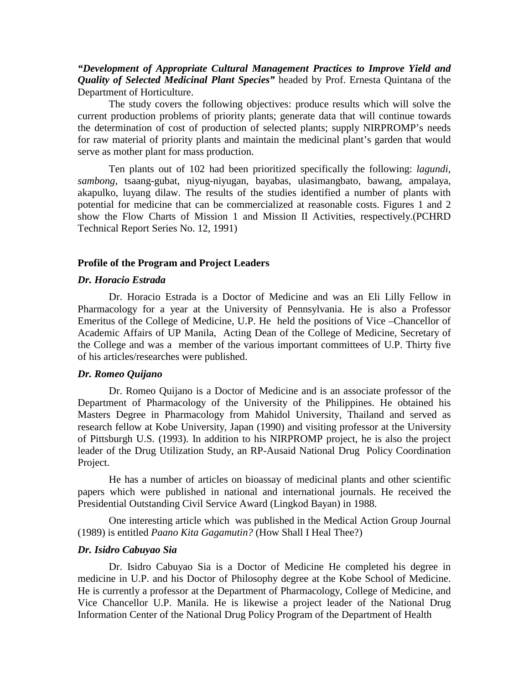*"Development of Appropriate Cultural Management Practices to Improve Yield and Quality of Selected Medicinal Plant Species"* headed by Prof. Ernesta Quintana of the Department of Horticulture.

The study covers the following objectives: produce results which will solve the current production problems of priority plants; generate data that will continue towards the determination of cost of production of selected plants; supply NIRPROMP's needs for raw material of priority plants and maintain the medicinal plant's garden that would serve as mother plant for mass production.

Ten plants out of 102 had been prioritized specifically the following: *lagundi*, *sambong*, tsaang-gubat, niyug-niyugan, bayabas, ulasimangbato, bawang, ampalaya, akapulko, luyang dilaw. The results of the studies identified a number of plants with potential for medicine that can be commercialized at reasonable costs. Figures 1 and 2 show the Flow Charts of Mission 1 and Mission II Activities, respectively.(PCHRD Technical Report Series No. 12, 1991)

#### **Profile of the Program and Project Leaders**

#### *Dr. Horacio Estrada*

Dr. Horacio Estrada is a Doctor of Medicine and was an Eli Lilly Fellow in Pharmacology for a year at the University of Pennsylvania. He is also a Professor Emeritus of the College of Medicine, U.P. He held the positions of Vice –Chancellor of Academic Affairs of UP Manila, Acting Dean of the College of Medicine, Secretary of the College and was a member of the various important committees of U.P. Thirty five of his articles/researches were published.

#### *Dr. Romeo Quijano*

Dr. Romeo Quijano is a Doctor of Medicine and is an associate professor of the Department of Pharmacology of the University of the Philippines. He obtained his Masters Degree in Pharmacology from Mahidol University, Thailand and served as research fellow at Kobe University, Japan (1990) and visiting professor at the University of Pittsburgh U.S. (1993). In addition to his NIRPROMP project, he is also the project leader of the Drug Utilization Study, an RP-Ausaid National Drug Policy Coordination Project.

He has a number of articles on bioassay of medicinal plants and other scientific papers which were published in national and international journals. He received the Presidential Outstanding Civil Service Award (Lingkod Bayan) in 1988.

One interesting article which was published in the Medical Action Group Journal (1989) is entitled *Paano Kita Gagamutin?* (How Shall I Heal Thee?)

#### *Dr. Isidro Cabuyao Sia*

Dr. Isidro Cabuyao Sia is a Doctor of Medicine He completed his degree in medicine in U.P. and his Doctor of Philosophy degree at the Kobe School of Medicine. He is currently a professor at the Department of Pharmacology, College of Medicine, and Vice Chancellor U.P. Manila. He is likewise a project leader of the National Drug Information Center of the National Drug Policy Program of the Department of Health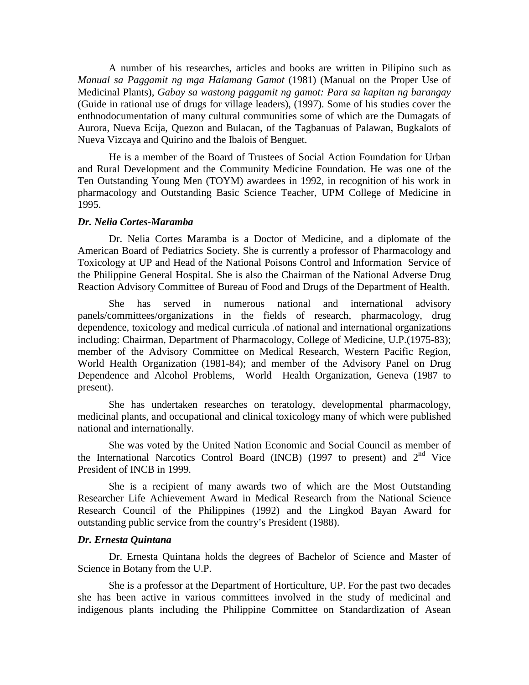A number of his researches, articles and books are written in Pilipino such as *Manual sa Paggamit ng mga Halamang Gamot* (1981) (Manual on the Proper Use of Medicinal Plants), *Gabay sa wastong paggamit ng gamot: Para sa kapitan ng barangay*  (Guide in rational use of drugs for village leaders), (1997). Some of his studies cover the enthnodocumentation of many cultural communities some of which are the Dumagats of Aurora, Nueva Ecija, Quezon and Bulacan, of the Tagbanuas of Palawan, Bugkalots of Nueva Vizcaya and Quirino and the Ibalois of Benguet.

He is a member of the Board of Trustees of Social Action Foundation for Urban and Rural Development and the Community Medicine Foundation. He was one of the Ten Outstanding Young Men (TOYM) awardees in 1992, in recognition of his work in pharmacology and Outstanding Basic Science Teacher, UPM College of Medicine in 1995.

#### *Dr. Nelia Cortes-Maramba*

Dr. Nelia Cortes Maramba is a Doctor of Medicine, and a diplomate of the American Board of Pediatrics Society. She is currently a professor of Pharmacology and Toxicology at UP and Head of the National Poisons Control and Information Service of the Philippine General Hospital. She is also the Chairman of the National Adverse Drug Reaction Advisory Committee of Bureau of Food and Drugs of the Department of Health.

She has served in numerous national and international advisory panels/committees/organizations in the fields of research, pharmacology, drug dependence, toxicology and medical curricula .of national and international organizations including: Chairman, Department of Pharmacology, College of Medicine, U.P.(1975-83); member of the Advisory Committee on Medical Research, Western Pacific Region, World Health Organization (1981-84); and member of the Advisory Panel on Drug Dependence and Alcohol Problems, World Health Organization, Geneva (1987 to present).

She has undertaken researches on teratology, developmental pharmacology, medicinal plants, and occupational and clinical toxicology many of which were published national and internationally.

She was voted by the United Nation Economic and Social Council as member of the International Narcotics Control Board (INCB) (1997 to present) and  $2<sup>nd</sup>$  Vice President of INCB in 1999.

She is a recipient of many awards two of which are the Most Outstanding Researcher Life Achievement Award in Medical Research from the National Science Research Council of the Philippines (1992) and the Lingkod Bayan Award for outstanding public service from the country's President (1988).

#### *Dr. Ernesta Quintana*

Dr. Ernesta Quintana holds the degrees of Bachelor of Science and Master of Science in Botany from the U.P.

She is a professor at the Department of Horticulture, UP. For the past two decades she has been active in various committees involved in the study of medicinal and indigenous plants including the Philippine Committee on Standardization of Asean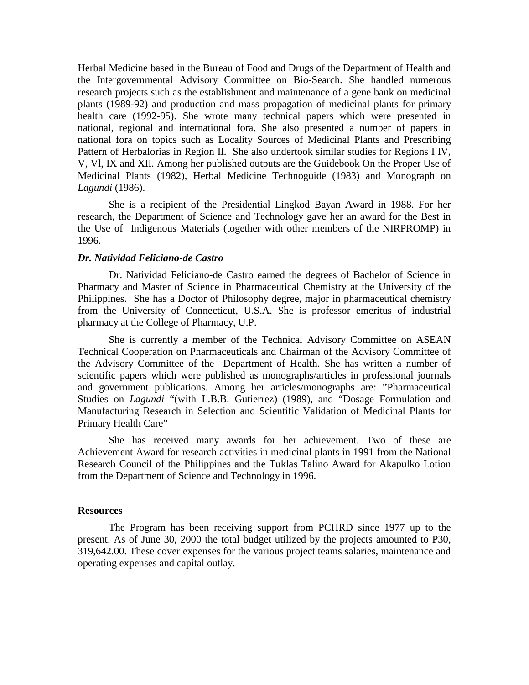Herbal Medicine based in the Bureau of Food and Drugs of the Department of Health and the Intergovernmental Advisory Committee on Bio-Search. She handled numerous research projects such as the establishment and maintenance of a gene bank on medicinal plants (1989-92) and production and mass propagation of medicinal plants for primary health care (1992-95). She wrote many technical papers which were presented in national, regional and international fora. She also presented a number of papers in national fora on topics such as Locality Sources of Medicinal Plants and Prescribing Pattern of Herbalorias in Region II. She also undertook similar studies for Regions I IV, V, Vl, IX and XII. Among her published outputs are the Guidebook On the Proper Use of Medicinal Plants (1982), Herbal Medicine Technoguide (1983) and Monograph on *Lagundi* (1986).

She is a recipient of the Presidential Lingkod Bayan Award in 1988. For her research, the Department of Science and Technology gave her an award for the Best in the Use of Indigenous Materials (together with other members of the NIRPROMP) in 1996.

#### *Dr. Natividad Feliciano-de Castro*

Dr. Natividad Feliciano-de Castro earned the degrees of Bachelor of Science in Pharmacy and Master of Science in Pharmaceutical Chemistry at the University of the Philippines. She has a Doctor of Philosophy degree, major in pharmaceutical chemistry from the University of Connecticut, U.S.A. She is professor emeritus of industrial pharmacy at the College of Pharmacy, U.P.

She is currently a member of the Technical Advisory Committee on ASEAN Technical Cooperation on Pharmaceuticals and Chairman of the Advisory Committee of the Advisory Committee of the Department of Health. She has written a number of scientific papers which were published as monographs/articles in professional journals and government publications. Among her articles/monographs are: "Pharmaceutical Studies on *Lagundi* "(with L.B.B. Gutierrez) (1989), and "Dosage Formulation and Manufacturing Research in Selection and Scientific Validation of Medicinal Plants for Primary Health Care"

She has received many awards for her achievement. Two of these are Achievement Award for research activities in medicinal plants in 1991 from the National Research Council of the Philippines and the Tuklas Talino Award for Akapulko Lotion from the Department of Science and Technology in 1996.

#### **Resources**

The Program has been receiving support from PCHRD since 1977 up to the present. As of June 30, 2000 the total budget utilized by the projects amounted to P30, 319,642.00. These cover expenses for the various project teams salaries, maintenance and operating expenses and capital outlay.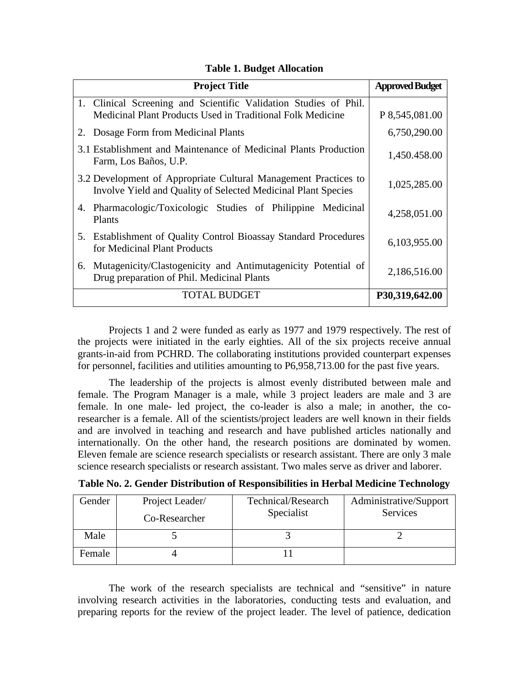| <b>Project Title</b>                                                                                                             | <b>Approved Budget</b> |
|----------------------------------------------------------------------------------------------------------------------------------|------------------------|
| 1. Clinical Screening and Scientific Validation Studies of Phil.<br>Medicinal Plant Products Used in Traditional Folk Medicine   | P 8,545,081.00         |
| 2. Dosage Form from Medicinal Plants                                                                                             | 6,750,290.00           |
| 3.1 Establishment and Maintenance of Medicinal Plants Production<br>Farm, Los Baños, U.P.                                        | 1,450.458.00           |
| 3.2 Development of Appropriate Cultural Management Practices to<br>Involve Yield and Quality of Selected Medicinal Plant Species | 1,025,285.00           |
| 4. Pharmacologic/Toxicologic Studies of Philippine Medicinal<br>Plants                                                           | 4,258,051.00           |
| 5. Establishment of Quality Control Bioassay Standard Procedures<br>for Medicinal Plant Products                                 | 6,103,955.00           |
| Mutagenicity/Clastogenicity and Antimutagenicity Potential of<br>6.<br>Drug preparation of Phil. Medicinal Plants                | 2,186,516.00           |
| <b>TOTAL BUDGET</b>                                                                                                              | P30,319,642.00         |

### **Table 1. Budget Allocation**

Projects 1 and 2 were funded as early as 1977 and 1979 respectively. The rest of the projects were initiated in the early eighties. All of the six projects receive annual grants-in-aid from PCHRD. The collaborating institutions provided counterpart expenses for personnel, facilities and utilities amounting to P6,958,713.00 for the past five years.

The leadership of the projects is almost evenly distributed between male and female. The Program Manager is a male, while 3 project leaders are male and 3 are female. In one male- led project, the co-leader is also a male; in another, the coresearcher is a female. All of the scientists/project leaders are well known in their fields and are involved in teaching and research and have published articles nationally and internationally. On the other hand, the research positions are dominated by women. Eleven female are science research specialists or research assistant. There are only 3 male science research specialists or research assistant. Two males serve as driver and laborer.

|  |  |  |  | Table No. 2. Gender Distribution of Responsibilities in Herbal Medicine Technology |  |  |  |  |  |
|--|--|--|--|------------------------------------------------------------------------------------|--|--|--|--|--|
|--|--|--|--|------------------------------------------------------------------------------------|--|--|--|--|--|

| Gender | Project Leader/ | Technical/Research<br>Specialist | Administrative/Support<br>Services |
|--------|-----------------|----------------------------------|------------------------------------|
|        | Co-Researcher   |                                  |                                    |
| Male   |                 |                                  |                                    |
| Female |                 |                                  |                                    |

The work of the research specialists are technical and "sensitive" in nature involving research activities in the laboratories, conducting tests and evaluation, and preparing reports for the review of the project leader. The level of patience, dedication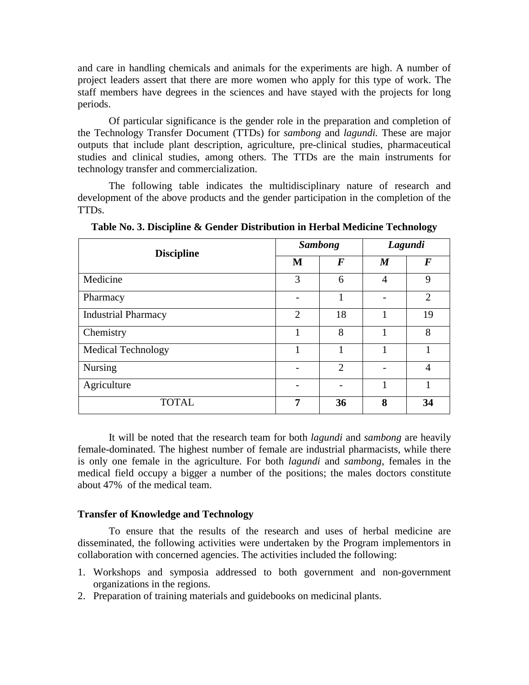and care in handling chemicals and animals for the experiments are high. A number of project leaders assert that there are more women who apply for this type of work. The staff members have degrees in the sciences and have stayed with the projects for long periods.

Of particular significance is the gender role in the preparation and completion of the Technology Transfer Document (TTDs) for *sambong* and *lagundi.* These are major outputs that include plant description, agriculture, pre-clinical studies, pharmaceutical studies and clinical studies, among others. The TTDs are the main instruments for technology transfer and commercialization.

The following table indicates the multidisciplinary nature of research and development of the above products and the gender participation in the completion of the TTDs.

| <b>Discipline</b>          |                | <b>Sambong</b>   | Lagundi          |                |  |
|----------------------------|----------------|------------------|------------------|----------------|--|
|                            | M              | $\boldsymbol{F}$ | $\boldsymbol{M}$ | F              |  |
| Medicine                   | 3              | 6                | $\overline{4}$   | 9              |  |
| Pharmacy                   |                | 1                |                  | $\overline{2}$ |  |
| <b>Industrial Pharmacy</b> | $\overline{2}$ | 18               | 1                | 19             |  |
| Chemistry                  | 1              | 8                |                  | 8              |  |
| <b>Medical Technology</b>  |                |                  |                  |                |  |
| <b>Nursing</b>             |                | $\overline{2}$   |                  | 4              |  |
| Agriculture                |                |                  | 1                |                |  |
| <b>TOTAL</b>               | 7              | 36               | 8                | 34             |  |

**Table No. 3. Discipline & Gender Distribution in Herbal Medicine Technology** 

It will be noted that the research team for both *lagundi* and *sambong* are heavily female-dominated. The highest number of female are industrial pharmacists, while there is only one female in the agriculture. For both *lagundi* and *sambong*, females in the medical field occupy a bigger a number of the positions; the males doctors constitute about 47% of the medical team.

#### **Transfer of Knowledge and Technology**

To ensure that the results of the research and uses of herbal medicine are disseminated, the following activities were undertaken by the Program implementors in collaboration with concerned agencies. The activities included the following:

- 1. Workshops and symposia addressed to both government and non-government organizations in the regions.
- 2. Preparation of training materials and guidebooks on medicinal plants.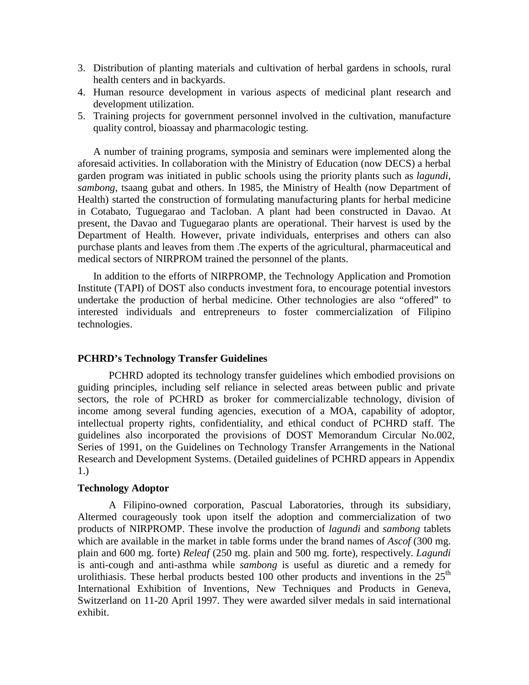- 3. Distribution of planting materials and cultivation of herbal gardens in schools, rural health centers and in backyards.
- 4. Human resource development in various aspects of medicinal plant research and development utilization.
- 5. Training projects for government personnel involved in the cultivation, manufacture quality control, bioassay and pharmacologic testing.

A number of training programs, symposia and seminars were implemented along the aforesaid activities. In collaboration with the Ministry of Education (now DECS) a herbal garden program was initiated in public schools using the priority plants such as *lagundi*, *sambong*, tsaang gubat and others. In 1985, the Ministry of Health (now Department of Health) started the construction of formulating manufacturing plants for herbal medicine in Cotabato, Tuguegarao and Tacloban. A plant had been constructed in Davao. At present, the Davao and Tuguegarao plants are operational. Their harvest is used by the Department of Health. However, private individuals, enterprises and others can also purchase plants and leaves from them .The experts of the agricultural, pharmaceutical and medical sectors of NIRPROM trained the personnel of the plants.

In addition to the efforts of NIRPROMP, the Technology Application and Promotion Institute (TAPI) of DOST also conducts investment fora, to encourage potential investors undertake the production of herbal medicine. Other technologies are also "offered" to interested individuals and entrepreneurs to foster commercialization of Filipino technologies.

## **PCHRD's Technology Transfer Guidelines**

PCHRD adopted its technology transfer guidelines which embodied provisions on guiding principles, including self reliance in selected areas between public and private sectors, the role of PCHRD as broker for commercializable technology, division of income among several funding agencies, execution of a MOA, capability of adoptor, intellectual property rights, confidentiality, and ethical conduct of PCHRD staff. The guidelines also incorporated the provisions of DOST Memorandum Circular No.002, Series of 1991, on the Guidelines on Technology Transfer Arrangements in the National Research and Development Systems. (Detailed guidelines of PCHRD appears in Appendix 1.)

## **Technology Adoptor**

A Filipino-owned corporation, Pascual Laboratories, through its subsidiary, Altermed courageously took upon itself the adoption and commercialization of two products of NIRPROMP. These involve the production of *lagundi* and *sambong* tablets which are available in the market in table forms under the brand names of *Ascof* (300 mg. plain and 600 mg. forte) *Releaf* (250 mg. plain and 500 mg. forte), respectively. *Lagundi* is anti-cough and anti-asthma while *sambong* is useful as diuretic and a remedy for urolithiasis. These herbal products bested 100 other products and inventions in the  $25<sup>th</sup>$ International Exhibition of Inventions, New Techniques and Products in Geneva, Switzerland on 11-20 April 1997. They were awarded silver medals in said international exhibit.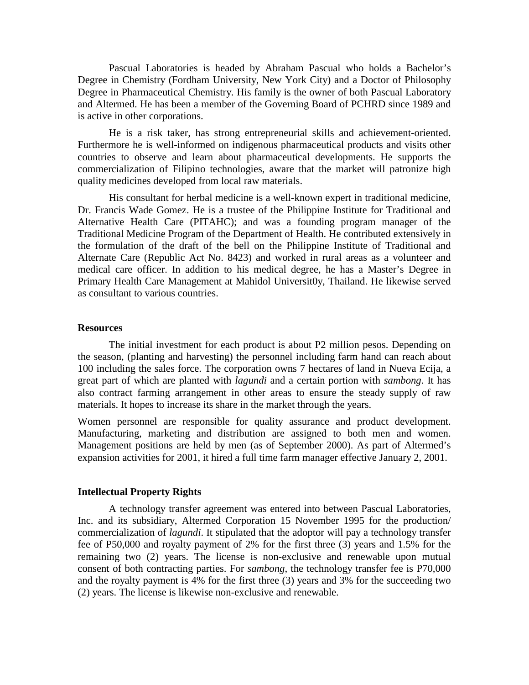Pascual Laboratories is headed by Abraham Pascual who holds a Bachelor's Degree in Chemistry (Fordham University, New York City) and a Doctor of Philosophy Degree in Pharmaceutical Chemistry. His family is the owner of both Pascual Laboratory and Altermed. He has been a member of the Governing Board of PCHRD since 1989 and is active in other corporations.

He is a risk taker, has strong entrepreneurial skills and achievement-oriented. Furthermore he is well-informed on indigenous pharmaceutical products and visits other countries to observe and learn about pharmaceutical developments. He supports the commercialization of Filipino technologies, aware that the market will patronize high quality medicines developed from local raw materials.

His consultant for herbal medicine is a well-known expert in traditional medicine, Dr. Francis Wade Gomez. He is a trustee of the Philippine Institute for Traditional and Alternative Health Care (PITAHC); and was a founding program manager of the Traditional Medicine Program of the Department of Health. He contributed extensively in the formulation of the draft of the bell on the Philippine Institute of Traditional and Alternate Care (Republic Act No. 8423) and worked in rural areas as a volunteer and medical care officer. In addition to his medical degree, he has a Master's Degree in Primary Health Care Management at Mahidol Universit0y, Thailand. He likewise served as consultant to various countries.

#### **Resources**

The initial investment for each product is about P2 million pesos. Depending on the season, (planting and harvesting) the personnel including farm hand can reach about 100 including the sales force. The corporation owns 7 hectares of land in Nueva Ecija, a great part of which are planted with *lagundi* and a certain portion with *sambong*. It has also contract farming arrangement in other areas to ensure the steady supply of raw materials. It hopes to increase its share in the market through the years.

Women personnel are responsible for quality assurance and product development. Manufacturing, marketing and distribution are assigned to both men and women. Management positions are held by men (as of September 2000). As part of Altermed's expansion activities for 2001, it hired a full time farm manager effective January 2, 2001.

#### **Intellectual Property Rights**

A technology transfer agreement was entered into between Pascual Laboratories, Inc. and its subsidiary, Altermed Corporation 15 November 1995 for the production/ commercialization of *lagundi*. It stipulated that the adoptor will pay a technology transfer fee of P50,000 and royalty payment of 2% for the first three (3) years and 1.5% for the remaining two (2) years. The license is non-exclusive and renewable upon mutual consent of both contracting parties. For *sambong*, the technology transfer fee is P70,000 and the royalty payment is 4% for the first three (3) years and 3% for the succeeding two (2) years. The license is likewise non-exclusive and renewable.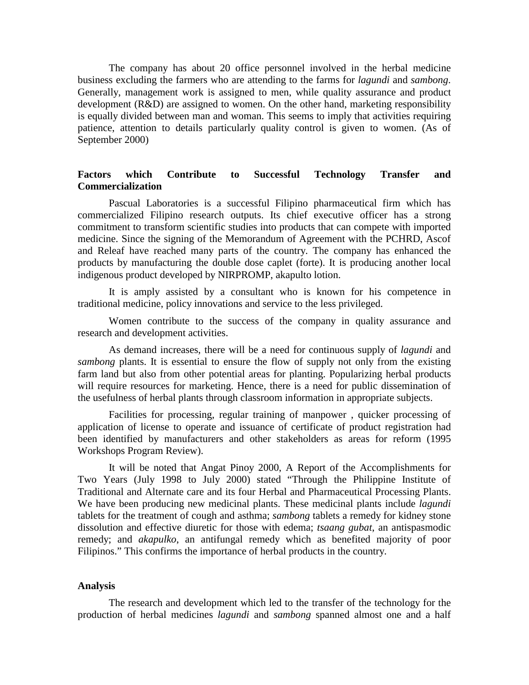The company has about 20 office personnel involved in the herbal medicine business excluding the farmers who are attending to the farms for *lagundi* and *sambong*. Generally, management work is assigned to men, while quality assurance and product development (R&D) are assigned to women. On the other hand, marketing responsibility is equally divided between man and woman. This seems to imply that activities requiring patience, attention to details particularly quality control is given to women. (As of September 2000)

## **Factors which Contribute to Successful Technology Transfer and Commercialization**

Pascual Laboratories is a successful Filipino pharmaceutical firm which has commercialized Filipino research outputs. Its chief executive officer has a strong commitment to transform scientific studies into products that can compete with imported medicine. Since the signing of the Memorandum of Agreement with the PCHRD, Ascof and Releaf have reached many parts of the country. The company has enhanced the products by manufacturing the double dose caplet (forte). It is producing another local indigenous product developed by NIRPROMP, akapulto lotion.

It is amply assisted by a consultant who is known for his competence in traditional medicine, policy innovations and service to the less privileged.

Women contribute to the success of the company in quality assurance and research and development activities.

As demand increases, there will be a need for continuous supply of *lagundi* and *sambong* plants. It is essential to ensure the flow of supply not only from the existing farm land but also from other potential areas for planting. Popularizing herbal products will require resources for marketing. Hence, there is a need for public dissemination of the usefulness of herbal plants through classroom information in appropriate subjects.

Facilities for processing, regular training of manpower , quicker processing of application of license to operate and issuance of certificate of product registration had been identified by manufacturers and other stakeholders as areas for reform (1995 Workshops Program Review).

It will be noted that Angat Pinoy 2000, A Report of the Accomplishments for Two Years (July 1998 to July 2000) stated "Through the Philippine Institute of Traditional and Alternate care and its four Herbal and Pharmaceutical Processing Plants. We have been producing new medicinal plants. These medicinal plants include *lagundi* tablets for the treatment of cough and asthma; *sambong* tablets a remedy for kidney stone dissolution and effective diuretic for those with edema; *tsaang gubat*, an antispasmodic remedy; and *akapulko*, an antifungal remedy which as benefited majority of poor Filipinos." This confirms the importance of herbal products in the country.

#### **Analysis**

The research and development which led to the transfer of the technology for the production of herbal medicines *lagundi* and *sambong* spanned almost one and a half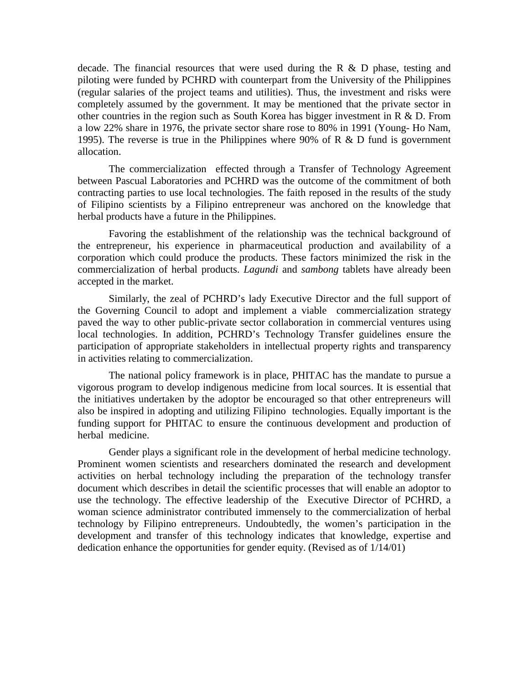decade. The financial resources that were used during the R  $\&$  D phase, testing and piloting were funded by PCHRD with counterpart from the University of the Philippines (regular salaries of the project teams and utilities). Thus, the investment and risks were completely assumed by the government. It may be mentioned that the private sector in other countries in the region such as South Korea has bigger investment in R & D. From a low 22% share in 1976, the private sector share rose to 80% in 1991 (Young- Ho Nam, 1995). The reverse is true in the Philippines where 90% of R & D fund is government allocation.

The commercialization effected through a Transfer of Technology Agreement between Pascual Laboratories and PCHRD was the outcome of the commitment of both contracting parties to use local technologies. The faith reposed in the results of the study of Filipino scientists by a Filipino entrepreneur was anchored on the knowledge that herbal products have a future in the Philippines.

Favoring the establishment of the relationship was the technical background of the entrepreneur, his experience in pharmaceutical production and availability of a corporation which could produce the products. These factors minimized the risk in the commercialization of herbal products. *Lagundi* and *sambong* tablets have already been accepted in the market.

Similarly, the zeal of PCHRD's lady Executive Director and the full support of the Governing Council to adopt and implement a viable commercialization strategy paved the way to other public-private sector collaboration in commercial ventures using local technologies. In addition, PCHRD's Technology Transfer guidelines ensure the participation of appropriate stakeholders in intellectual property rights and transparency in activities relating to commercialization.

The national policy framework is in place, PHITAC has the mandate to pursue a vigorous program to develop indigenous medicine from local sources. It is essential that the initiatives undertaken by the adoptor be encouraged so that other entrepreneurs will also be inspired in adopting and utilizing Filipino technologies. Equally important is the funding support for PHITAC to ensure the continuous development and production of herbal medicine.

Gender plays a significant role in the development of herbal medicine technology. Prominent women scientists and researchers dominated the research and development activities on herbal technology including the preparation of the technology transfer document which describes in detail the scientific processes that will enable an adoptor to use the technology. The effective leadership of the Executive Director of PCHRD, a woman science administrator contributed immensely to the commercialization of herbal technology by Filipino entrepreneurs. Undoubtedly, the women's participation in the development and transfer of this technology indicates that knowledge, expertise and dedication enhance the opportunities for gender equity. (Revised as of 1/14/01)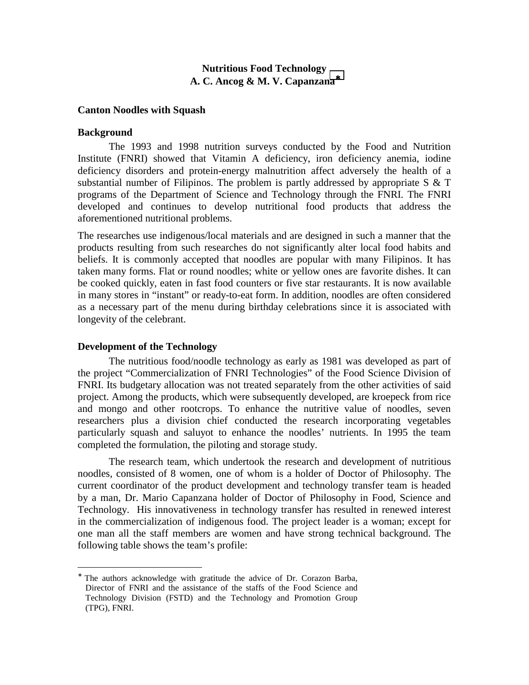# **Nutritious Food Technology A. C. Ancog & M. V. Capanzana**<sup>∗</sup>

#### **Canton Noodles with Squash**

#### **Background**

The 1993 and 1998 nutrition surveys conducted by the Food and Nutrition Institute (FNRI) showed that Vitamin A deficiency, iron deficiency anemia, iodine deficiency disorders and protein-energy malnutrition affect adversely the health of a substantial number of Filipinos. The problem is partly addressed by appropriate  $S \& T$ programs of the Department of Science and Technology through the FNRI. The FNRI developed and continues to develop nutritional food products that address the aforementioned nutritional problems.

The researches use indigenous/local materials and are designed in such a manner that the products resulting from such researches do not significantly alter local food habits and beliefs. It is commonly accepted that noodles are popular with many Filipinos. It has taken many forms. Flat or round noodles; white or yellow ones are favorite dishes. It can be cooked quickly, eaten in fast food counters or five star restaurants. It is now available in many stores in "instant" or ready-to-eat form. In addition, noodles are often considered as a necessary part of the menu during birthday celebrations since it is associated with longevity of the celebrant.

#### **Development of the Technology**

 $\overline{a}$ 

The nutritious food/noodle technology as early as 1981 was developed as part of the project "Commercialization of FNRI Technologies" of the Food Science Division of FNRI. Its budgetary allocation was not treated separately from the other activities of said project. Among the products, which were subsequently developed, are kroepeck from rice and mongo and other rootcrops. To enhance the nutritive value of noodles, seven researchers plus a division chief conducted the research incorporating vegetables particularly squash and saluyot to enhance the noodles' nutrients. In 1995 the team completed the formulation, the piloting and storage study.

The research team, which undertook the research and development of nutritious noodles, consisted of 8 women, one of whom is a holder of Doctor of Philosophy. The current coordinator of the product development and technology transfer team is headed by a man, Dr. Mario Capanzana holder of Doctor of Philosophy in Food, Science and Technology. His innovativeness in technology transfer has resulted in renewed interest in the commercialization of indigenous food. The project leader is a woman; except for one man all the staff members are women and have strong technical background. The following table shows the team's profile:

<sup>∗</sup> The authors acknowledge with gratitude the advice of Dr. Corazon Barba, Director of FNRI and the assistance of the staffs of the Food Science and Technology Division (FSTD) and the Technology and Promotion Group (TPG), FNRI.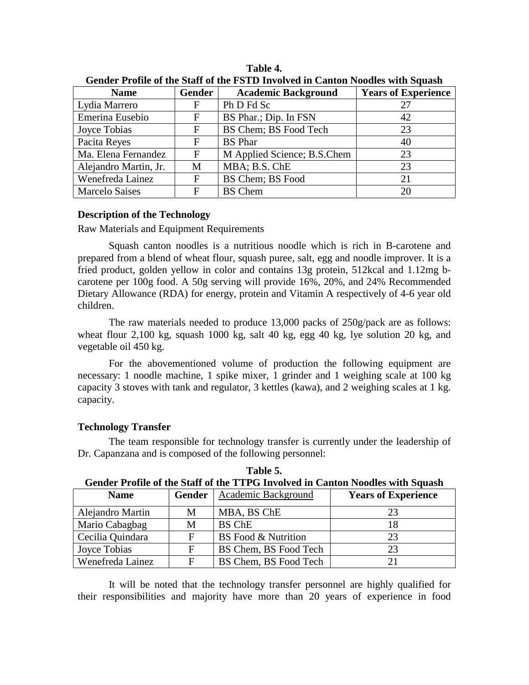| <b>Name</b>           | <b>Gender</b> | <b>Academic Background</b>  | <b>Years of Experience</b> |
|-----------------------|---------------|-----------------------------|----------------------------|
| Lydia Marrero         | F             | Ph D Fd Sc                  | 27                         |
| Emerina Eusebio       | F             | BS Phar.; Dip. In FSN       | 42                         |
| Joyce Tobias          | F             | BS Chem; BS Food Tech       | 23                         |
| Pacita Reyes          | F             | <b>BS</b> Phar              | 40                         |
| Ma. Elena Fernandez   | F             | M Applied Science; B.S.Chem | 23                         |
| Alejandro Martin, Jr. | М             | MBA; B.S. ChE               | 23                         |
| Wenefreda Lainez      | F             | BS Chem; BS Food            | 21                         |
| <b>Marcelo Saises</b> | F             | <b>BS</b> Chem              | 20                         |

**Table 4. Gender Profile of the Staff of the FSTD Involved in Canton Noodles with Squash** 

## **Description of the Technology**

Raw Materials and Equipment Requirements

Squash canton noodles is a nutritious noodle which is rich in B-carotene and prepared from a blend of wheat flour, squash puree, salt, egg and noodle improver. It is a fried product, golden yellow in color and contains 13g protein, 512kcal and 1.12mg bcarotene per 100g food. A 50g serving will provide 16%, 20%, and 24% Recommended Dietary Allowance (RDA) for energy, protein and Vitamin A respectively of 4-6 year old children.

The raw materials needed to produce 13,000 packs of 250g/pack are as follows: wheat flour 2,100 kg, squash 1000 kg, salt 40 kg, egg 40 kg, lye solution 20 kg, and vegetable oil 450 kg.

For the abovementioned volume of production the following equipment are necessary: 1 noodle machine, 1 spike mixer, 1 grinder and 1 weighing scale at 100 kg capacity 3 stoves with tank and regulator, 3 kettles (kawa), and 2 weighing scales at 1 kg. capacity.

## **Technology Transfer**

The team responsible for technology transfer is currently under the leadership of Dr. Capanzana and is composed of the following personnel:

|                  | Ochuci Trome of the built of the TTT of Involved in Cameon Produce with budden |                            |                            |  |  |  |  |  |
|------------------|--------------------------------------------------------------------------------|----------------------------|----------------------------|--|--|--|--|--|
| <b>Name</b>      | <b>Gender</b>                                                                  | Academic Background        | <b>Years of Experience</b> |  |  |  |  |  |
| Alejandro Martin | M                                                                              | MBA, BS ChE                | 23                         |  |  |  |  |  |
| Mario Cabagbag   | M                                                                              | BS ChE                     | 18                         |  |  |  |  |  |
| Cecilia Quindara |                                                                                | <b>BS</b> Food & Nutrition | 23                         |  |  |  |  |  |
| Joyce Tobias     | F                                                                              | BS Chem, BS Food Tech      | 23                         |  |  |  |  |  |
| Wenefreda Lainez |                                                                                | BS Chem, BS Food Tech      | 21                         |  |  |  |  |  |

**Table 5. Gender Profile of the Staff of the TTPG Involved in Canton Noodles with Squash** 

It will be noted that the technology transfer personnel are highly qualified for their responsibilities and majority have more than 20 years of experience in food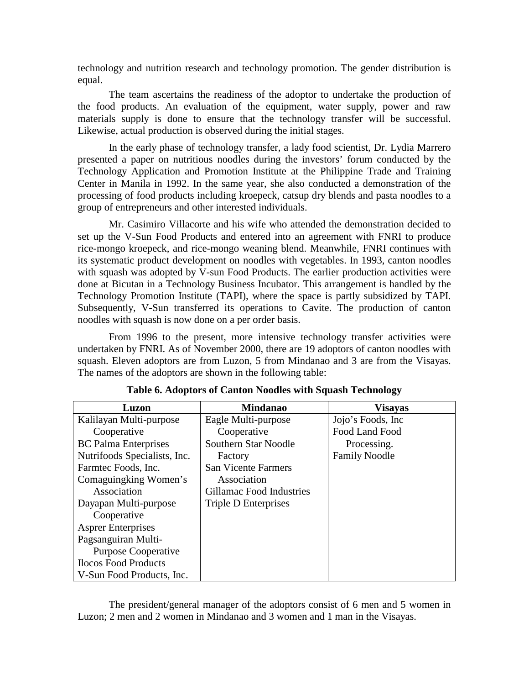technology and nutrition research and technology promotion. The gender distribution is equal.

The team ascertains the readiness of the adoptor to undertake the production of the food products. An evaluation of the equipment, water supply, power and raw materials supply is done to ensure that the technology transfer will be successful. Likewise, actual production is observed during the initial stages.

In the early phase of technology transfer, a lady food scientist, Dr. Lydia Marrero presented a paper on nutritious noodles during the investors' forum conducted by the Technology Application and Promotion Institute at the Philippine Trade and Training Center in Manila in 1992. In the same year, she also conducted a demonstration of the processing of food products including kroepeck, catsup dry blends and pasta noodles to a group of entrepreneurs and other interested individuals.

Mr. Casimiro Villacorte and his wife who attended the demonstration decided to set up the V-Sun Food Products and entered into an agreement with FNRI to produce rice-mongo kroepeck, and rice-mongo weaning blend. Meanwhile, FNRI continues with its systematic product development on noodles with vegetables. In 1993, canton noodles with squash was adopted by V-sun Food Products. The earlier production activities were done at Bicutan in a Technology Business Incubator. This arrangement is handled by the Technology Promotion Institute (TAPI), where the space is partly subsidized by TAPI. Subsequently, V-Sun transferred its operations to Cavite. The production of canton noodles with squash is now done on a per order basis.

From 1996 to the present, more intensive technology transfer activities were undertaken by FNRI. As of November 2000, there are 19 adoptors of canton noodles with squash. Eleven adoptors are from Luzon, 5 from Mindanao and 3 are from the Visayas. The names of the adoptors are shown in the following table:

| Luzon                        | <b>Mindanao</b>            | <b>Visayas</b>       |
|------------------------------|----------------------------|----------------------|
| Kalilayan Multi-purpose      | Eagle Multi-purpose        | Jojo's Foods, Inc.   |
| Cooperative                  | Cooperative                | Food Land Food       |
| <b>BC</b> Palma Enterprises  | Southern Star Noodle       | Processing.          |
| Nutrifoods Specialists, Inc. | Factory                    | <b>Family Noodle</b> |
| Farmtec Foods, Inc.          | <b>San Vicente Farmers</b> |                      |
| Comaguingking Women's        | Association                |                      |
| Association                  | Gillamac Food Industries   |                      |
| Dayapan Multi-purpose        | Triple D Enterprises       |                      |
| Cooperative                  |                            |                      |
| <b>Asprer Enterprises</b>    |                            |                      |
| Pagsanguiran Multi-          |                            |                      |
| <b>Purpose Cooperative</b>   |                            |                      |
| <b>Ilocos Food Products</b>  |                            |                      |
| V-Sun Food Products, Inc.    |                            |                      |

**Table 6. Adoptors of Canton Noodles with Squash Technology** 

The president/general manager of the adoptors consist of 6 men and 5 women in Luzon; 2 men and 2 women in Mindanao and 3 women and 1 man in the Visayas.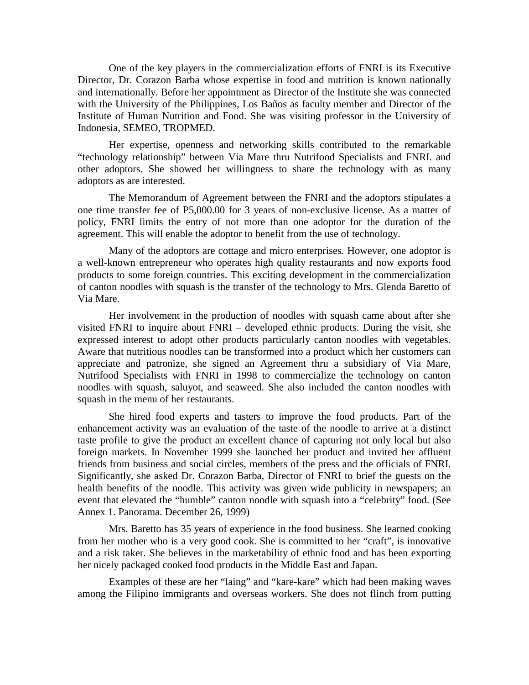One of the key players in the commercialization efforts of FNRI is its Executive Director, Dr. Corazon Barba whose expertise in food and nutrition is known nationally and internationally. Before her appointment as Director of the Institute she was connected with the University of the Philippines, Los Baños as faculty member and Director of the Institute of Human Nutrition and Food. She was visiting professor in the University of Indonesia, SEMEO, TROPMED.

Her expertise, openness and networking skills contributed to the remarkable "technology relationship" between Via Mare thru Nutrifood Specialists and FNRI. and other adoptors. She showed her willingness to share the technology with as many adoptors as are interested.

The Memorandum of Agreement between the FNRI and the adoptors stipulates a one time transfer fee of P5,000.00 for 3 years of non-exclusive license. As a matter of policy, FNRI limits the entry of not more than one adoptor for the duration of the agreement. This will enable the adoptor to benefit from the use of technology.

Many of the adoptors are cottage and micro enterprises. However, one adoptor is a well-known entrepreneur who operates high quality restaurants and now exports food products to some foreign countries. This exciting development in the commercialization of canton noodles with squash is the transfer of the technology to Mrs. Glenda Baretto of Via Mare.

Her involvement in the production of noodles with squash came about after she visited FNRI to inquire about FNRI – developed ethnic products. During the visit, she expressed interest to adopt other products particularly canton noodles with vegetables. Aware that nutritious noodles can be transformed into a product which her customers can appreciate and patronize, she signed an Agreement thru a subsidiary of Via Mare, Nutrifood Specialists with FNRI in 1998 to commercialize the technology on canton noodles with squash, saluyot, and seaweed. She also included the canton noodles with squash in the menu of her restaurants.

She hired food experts and tasters to improve the food products. Part of the enhancement activity was an evaluation of the taste of the noodle to arrive at a distinct taste profile to give the product an excellent chance of capturing not only local but also foreign markets. In November 1999 she launched her product and invited her affluent friends from business and social circles, members of the press and the officials of FNRI. Significantly, she asked Dr. Corazon Barba, Director of FNRI to brief the guests on the health benefits of the noodle. This activity was given wide publicity in newspapers; an event that elevated the "humble" canton noodle with squash into a "celebrity" food. (See Annex 1. Panorama. December 26, 1999)

Mrs. Baretto has 35 years of experience in the food business. She learned cooking from her mother who is a very good cook. She is committed to her "craft", is innovative and a risk taker. She believes in the marketability of ethnic food and has been exporting her nicely packaged cooked food products in the Middle East and Japan.

Examples of these are her "laing" and "kare-kare" which had been making waves among the Filipino immigrants and overseas workers. She does not flinch from putting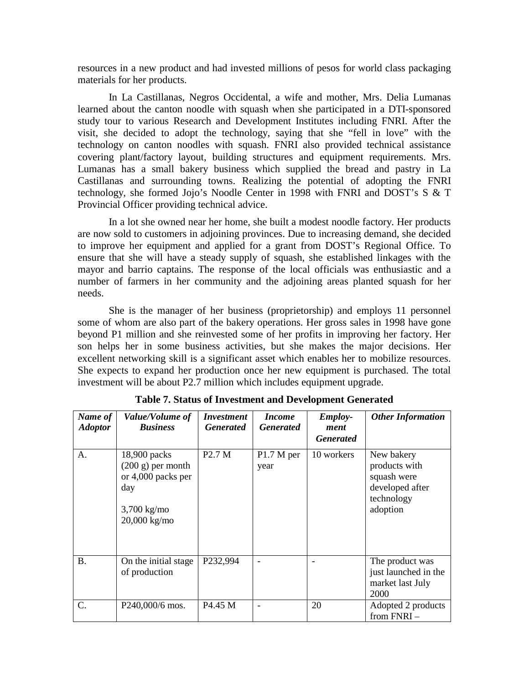resources in a new product and had invested millions of pesos for world class packaging materials for her products.

In La Castillanas, Negros Occidental, a wife and mother, Mrs. Delia Lumanas learned about the canton noodle with squash when she participated in a DTI-sponsored study tour to various Research and Development Institutes including FNRI. After the visit, she decided to adopt the technology, saying that she "fell in love" with the technology on canton noodles with squash. FNRI also provided technical assistance covering plant/factory layout, building structures and equipment requirements. Mrs. Lumanas has a small bakery business which supplied the bread and pastry in La Castillanas and surrounding towns. Realizing the potential of adopting the FNRI technology, she formed Jojo's Noodle Center in 1998 with FNRI and DOST's S & T Provincial Officer providing technical advice.

In a lot she owned near her home, she built a modest noodle factory. Her products are now sold to customers in adjoining provinces. Due to increasing demand, she decided to improve her equipment and applied for a grant from DOST's Regional Office. To ensure that she will have a steady supply of squash, she established linkages with the mayor and barrio captains. The response of the local officials was enthusiastic and a number of farmers in her community and the adjoining areas planted squash for her needs.

She is the manager of her business (proprietorship) and employs 11 personnel some of whom are also part of the bakery operations. Her gross sales in 1998 have gone beyond P1 million and she reinvested some of her profits in improving her factory. Her son helps her in some business activities, but she makes the major decisions. Her excellent networking skill is a significant asset which enables her to mobilize resources. She expects to expand her production once her new equipment is purchased. The total investment will be about P2.7 million which includes equipment upgrade.

| Name of<br><b>Adoptor</b> | Value/Volume of<br><b>Business</b>                                                                        | <i>Investment</i><br><b>Generated</b> | <i>Income</i><br><b>Generated</b> | <i>Employ-</i><br>ment<br><b>Generated</b> | <b>Other Information</b>                                                                |
|---------------------------|-----------------------------------------------------------------------------------------------------------|---------------------------------------|-----------------------------------|--------------------------------------------|-----------------------------------------------------------------------------------------|
| A.                        | 18,900 packs<br>$(200 \text{ g})$ per month<br>or 4,000 packs per<br>day<br>$3,700$ kg/mo<br>20,000 kg/mo | P <sub>2.7</sub> M                    | P1.7 M per<br>year                | 10 workers                                 | New bakery<br>products with<br>squash were<br>developed after<br>technology<br>adoption |
| <b>B.</b>                 | On the initial stage<br>of production                                                                     | P232,994                              |                                   |                                            | The product was<br>just launched in the<br>market last July<br>2000                     |
| C.                        | P240,000/6 mos.                                                                                           | P <sub>4.45</sub> M                   |                                   | 20                                         | Adopted 2 products<br>from $FNRI -$                                                     |

**Table 7. Status of Investment and Development Generated**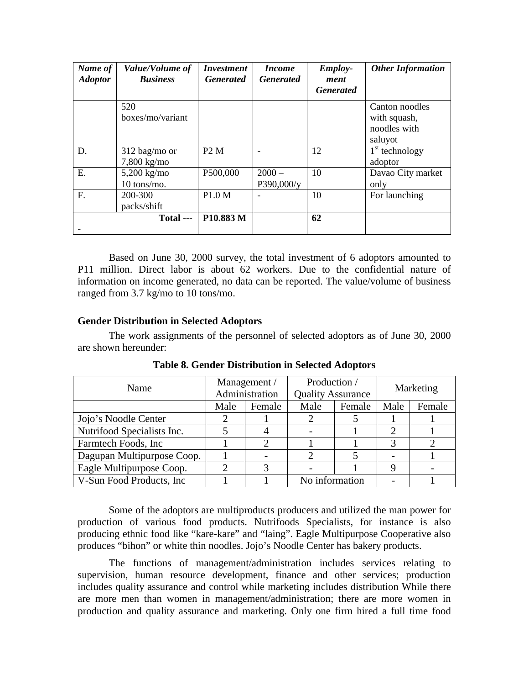| Name of<br><b>Adoptor</b> | Value/Volume of<br><b>Business</b> | <i><b>Investment</b></i><br><b>Generated</b> | <i>Income</i><br><b>Generated</b> | <b>Employ-</b><br>ment<br><b>Generated</b> | <b>Other Information</b> |
|---------------------------|------------------------------------|----------------------------------------------|-----------------------------------|--------------------------------------------|--------------------------|
|                           | 520                                |                                              |                                   |                                            | Canton noodles           |
|                           | boxes/mo/variant                   |                                              |                                   |                                            | with squash,             |
|                           |                                    |                                              |                                   |                                            | noodles with             |
|                           |                                    |                                              |                                   |                                            | saluyot                  |
| D.                        | $312$ bag/mo or                    | P2M                                          |                                   | 12                                         | $1st$ technology         |
|                           | 7,800 kg/mo                        |                                              |                                   |                                            | adoptor                  |
| Ε.                        | 5,200 kg/mo                        | P500,000                                     | $2000 -$                          | 10                                         | Davao City market        |
|                           | 10 tons/mo.                        |                                              | P390,000/y                        |                                            | only                     |
| F.                        | 200-300                            | P1.0 M                                       |                                   | 10                                         | For launching            |
|                           | packs/shift                        |                                              |                                   |                                            |                          |
|                           | $Total$ ---                        | P10.883 M                                    |                                   | 62                                         |                          |
|                           |                                    |                                              |                                   |                                            |                          |

Based on June 30, 2000 survey, the total investment of 6 adoptors amounted to P11 million. Direct labor is about 62 workers. Due to the confidential nature of information on income generated, no data can be reported. The value/volume of business ranged from 3.7 kg/mo to 10 tons/mo.

## **Gender Distribution in Selected Adoptors**

The work assignments of the personnel of selected adoptors as of June 30, 2000 are shown hereunder:

| Name                       | Management /<br>Administration |        | Production /<br><b>Quality Assurance</b> |        | Marketing |        |
|----------------------------|--------------------------------|--------|------------------------------------------|--------|-----------|--------|
|                            | Male                           | Female | Male                                     | Female | Male      | Female |
| Jojo's Noodle Center       |                                |        |                                          |        |           |        |
| Nutrifood Specialists Inc. |                                |        |                                          |        | റ         |        |
| Farmtech Foods, Inc        |                                |        |                                          |        | 3         |        |
| Dagupan Multipurpose Coop. |                                |        |                                          |        |           |        |
| Eagle Multipurpose Coop.   |                                |        |                                          |        | 9         |        |
| V-Sun Food Products, Inc.  |                                |        | No information                           |        |           |        |

**Table 8. Gender Distribution in Selected Adoptors** 

Some of the adoptors are multiproducts producers and utilized the man power for production of various food products. Nutrifoods Specialists, for instance is also producing ethnic food like "kare-kare" and "laing". Eagle Multipurpose Cooperative also produces "bihon" or white thin noodles. Jojo's Noodle Center has bakery products.

The functions of management/administration includes services relating to supervision, human resource development, finance and other services; production includes quality assurance and control while marketing includes distribution While there are more men than women in management/administration; there are more women in production and quality assurance and marketing. Only one firm hired a full time food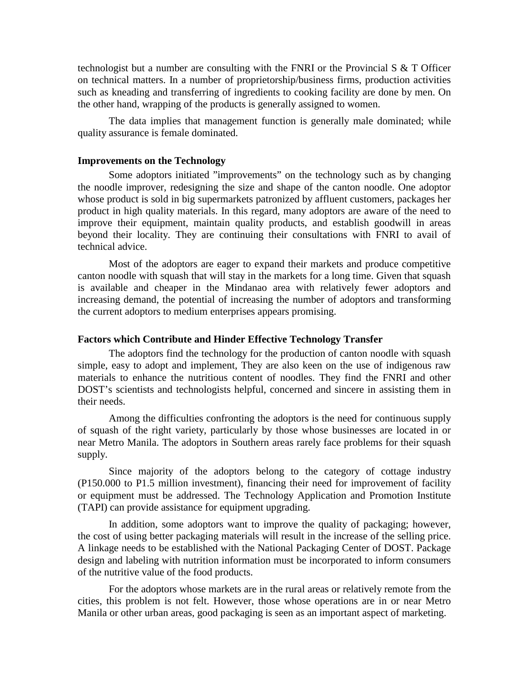technologist but a number are consulting with the FNRI or the Provincial S & T Officer on technical matters. In a number of proprietorship/business firms, production activities such as kneading and transferring of ingredients to cooking facility are done by men. On the other hand, wrapping of the products is generally assigned to women.

The data implies that management function is generally male dominated; while quality assurance is female dominated.

#### **Improvements on the Technology**

Some adoptors initiated "improvements" on the technology such as by changing the noodle improver, redesigning the size and shape of the canton noodle. One adoptor whose product is sold in big supermarkets patronized by affluent customers, packages her product in high quality materials. In this regard, many adoptors are aware of the need to improve their equipment, maintain quality products, and establish goodwill in areas beyond their locality. They are continuing their consultations with FNRI to avail of technical advice.

Most of the adoptors are eager to expand their markets and produce competitive canton noodle with squash that will stay in the markets for a long time. Given that squash is available and cheaper in the Mindanao area with relatively fewer adoptors and increasing demand, the potential of increasing the number of adoptors and transforming the current adoptors to medium enterprises appears promising.

### **Factors which Contribute and Hinder Effective Technology Transfer**

The adoptors find the technology for the production of canton noodle with squash simple, easy to adopt and implement, They are also keen on the use of indigenous raw materials to enhance the nutritious content of noodles. They find the FNRI and other DOST's scientists and technologists helpful, concerned and sincere in assisting them in their needs.

Among the difficulties confronting the adoptors is the need for continuous supply of squash of the right variety, particularly by those whose businesses are located in or near Metro Manila. The adoptors in Southern areas rarely face problems for their squash supply.

Since majority of the adoptors belong to the category of cottage industry (P150.000 to P1.5 million investment), financing their need for improvement of facility or equipment must be addressed. The Technology Application and Promotion Institute (TAPI) can provide assistance for equipment upgrading.

In addition, some adoptors want to improve the quality of packaging; however, the cost of using better packaging materials will result in the increase of the selling price. A linkage needs to be established with the National Packaging Center of DOST. Package design and labeling with nutrition information must be incorporated to inform consumers of the nutritive value of the food products.

For the adoptors whose markets are in the rural areas or relatively remote from the cities, this problem is not felt. However, those whose operations are in or near Metro Manila or other urban areas, good packaging is seen as an important aspect of marketing.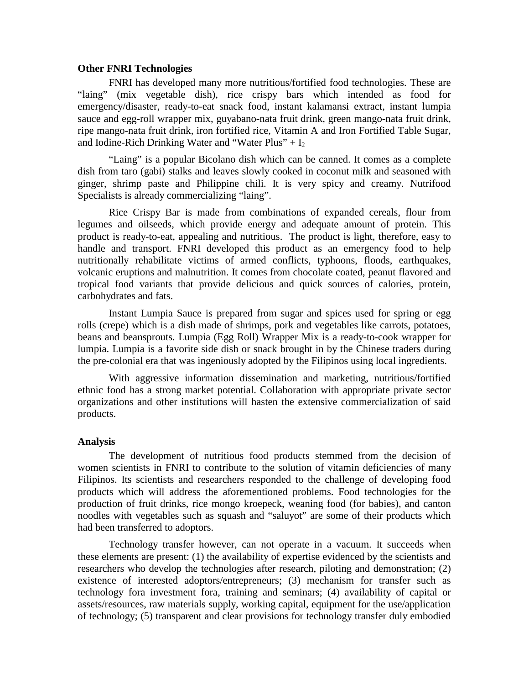#### **Other FNRI Technologies**

FNRI has developed many more nutritious/fortified food technologies. These are "laing" (mix vegetable dish), rice crispy bars which intended as food for emergency/disaster, ready-to-eat snack food, instant kalamansi extract, instant lumpia sauce and egg-roll wrapper mix, guyabano-nata fruit drink, green mango-nata fruit drink, ripe mango-nata fruit drink, iron fortified rice, Vitamin A and Iron Fortified Table Sugar, and Iodine-Rich Drinking Water and "Water Plus" +  $I_2$ 

"Laing" is a popular Bicolano dish which can be canned. It comes as a complete dish from taro (gabi) stalks and leaves slowly cooked in coconut milk and seasoned with ginger, shrimp paste and Philippine chili. It is very spicy and creamy. Nutrifood Specialists is already commercializing "laing".

Rice Crispy Bar is made from combinations of expanded cereals, flour from legumes and oilseeds, which provide energy and adequate amount of protein. This product is ready-to-eat, appealing and nutritious. The product is light, therefore, easy to handle and transport. FNRI developed this product as an emergency food to help nutritionally rehabilitate victims of armed conflicts, typhoons, floods, earthquakes, volcanic eruptions and malnutrition. It comes from chocolate coated, peanut flavored and tropical food variants that provide delicious and quick sources of calories, protein, carbohydrates and fats.

Instant Lumpia Sauce is prepared from sugar and spices used for spring or egg rolls (crepe) which is a dish made of shrimps, pork and vegetables like carrots, potatoes, beans and beansprouts. Lumpia (Egg Roll) Wrapper Mix is a ready-to-cook wrapper for lumpia. Lumpia is a favorite side dish or snack brought in by the Chinese traders during the pre-colonial era that was ingeniously adopted by the Filipinos using local ingredients.

With aggressive information dissemination and marketing, nutritious/fortified ethnic food has a strong market potential. Collaboration with appropriate private sector organizations and other institutions will hasten the extensive commercialization of said products.

#### **Analysis**

The development of nutritious food products stemmed from the decision of women scientists in FNRI to contribute to the solution of vitamin deficiencies of many Filipinos. Its scientists and researchers responded to the challenge of developing food products which will address the aforementioned problems. Food technologies for the production of fruit drinks, rice mongo kroepeck, weaning food (for babies), and canton noodles with vegetables such as squash and "saluyot" are some of their products which had been transferred to adoptors.

Technology transfer however, can not operate in a vacuum. It succeeds when these elements are present: (1) the availability of expertise evidenced by the scientists and researchers who develop the technologies after research, piloting and demonstration; (2) existence of interested adoptors/entrepreneurs; (3) mechanism for transfer such as technology fora investment fora, training and seminars; (4) availability of capital or assets/resources, raw materials supply, working capital, equipment for the use/application of technology; (5) transparent and clear provisions for technology transfer duly embodied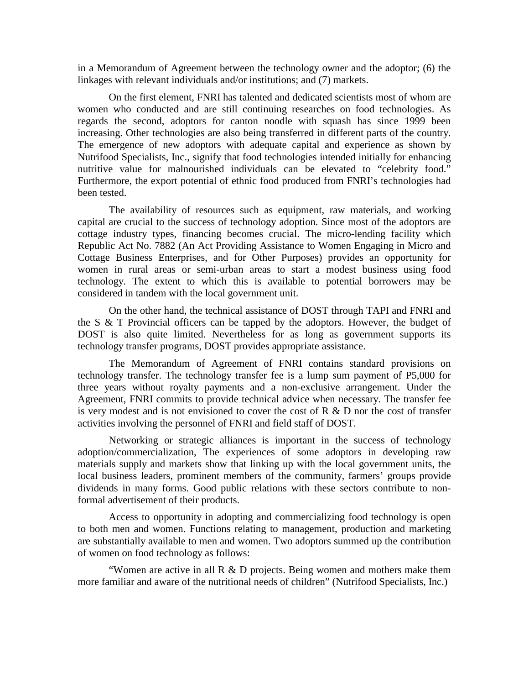in a Memorandum of Agreement between the technology owner and the adoptor; (6) the linkages with relevant individuals and/or institutions; and (7) markets.

On the first element, FNRI has talented and dedicated scientists most of whom are women who conducted and are still continuing researches on food technologies. As regards the second, adoptors for canton noodle with squash has since 1999 been increasing. Other technologies are also being transferred in different parts of the country. The emergence of new adoptors with adequate capital and experience as shown by Nutrifood Specialists, Inc., signify that food technologies intended initially for enhancing nutritive value for malnourished individuals can be elevated to "celebrity food." Furthermore, the export potential of ethnic food produced from FNRI's technologies had been tested.

The availability of resources such as equipment, raw materials, and working capital are crucial to the success of technology adoption. Since most of the adoptors are cottage industry types, financing becomes crucial. The micro-lending facility which Republic Act No. 7882 (An Act Providing Assistance to Women Engaging in Micro and Cottage Business Enterprises, and for Other Purposes) provides an opportunity for women in rural areas or semi-urban areas to start a modest business using food technology. The extent to which this is available to potential borrowers may be considered in tandem with the local government unit.

On the other hand, the technical assistance of DOST through TAPI and FNRI and the S & T Provincial officers can be tapped by the adoptors. However, the budget of DOST is also quite limited. Nevertheless for as long as government supports its technology transfer programs, DOST provides appropriate assistance.

The Memorandum of Agreement of FNRI contains standard provisions on technology transfer. The technology transfer fee is a lump sum payment of P5,000 for three years without royalty payments and a non-exclusive arrangement. Under the Agreement, FNRI commits to provide technical advice when necessary. The transfer fee is very modest and is not envisioned to cover the cost of  $R \& D$  nor the cost of transfer activities involving the personnel of FNRI and field staff of DOST.

Networking or strategic alliances is important in the success of technology adoption/commercialization, The experiences of some adoptors in developing raw materials supply and markets show that linking up with the local government units, the local business leaders, prominent members of the community, farmers' groups provide dividends in many forms. Good public relations with these sectors contribute to nonformal advertisement of their products.

Access to opportunity in adopting and commercializing food technology is open to both men and women. Functions relating to management, production and marketing are substantially available to men and women. Two adoptors summed up the contribution of women on food technology as follows:

"Women are active in all  $R \& D$  projects. Being women and mothers make them more familiar and aware of the nutritional needs of children" (Nutrifood Specialists, Inc.)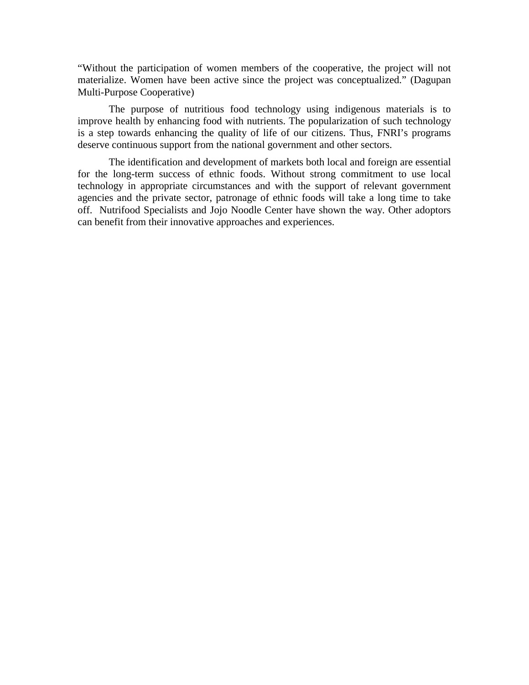"Without the participation of women members of the cooperative, the project will not materialize. Women have been active since the project was conceptualized." (Dagupan Multi-Purpose Cooperative)

The purpose of nutritious food technology using indigenous materials is to improve health by enhancing food with nutrients. The popularization of such technology is a step towards enhancing the quality of life of our citizens. Thus, FNRI's programs deserve continuous support from the national government and other sectors.

The identification and development of markets both local and foreign are essential for the long-term success of ethnic foods. Without strong commitment to use local technology in appropriate circumstances and with the support of relevant government agencies and the private sector, patronage of ethnic foods will take a long time to take off. Nutrifood Specialists and Jojo Noodle Center have shown the way. Other adoptors can benefit from their innovative approaches and experiences.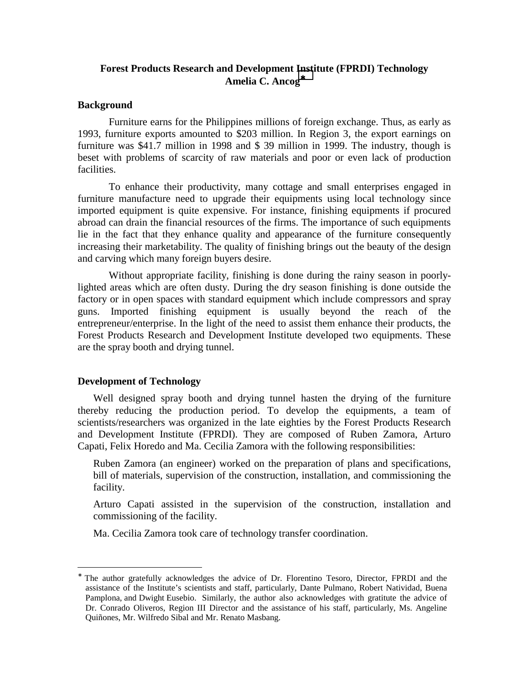# **Forest Products Research and Development Institute (FPRDI) Technology Amelia C. Ancog**<sup>∗</sup>

## **Background**

Furniture earns for the Philippines millions of foreign exchange. Thus, as early as 1993, furniture exports amounted to \$203 million. In Region 3, the export earnings on furniture was \$41.7 million in 1998 and \$ 39 million in 1999. The industry, though is beset with problems of scarcity of raw materials and poor or even lack of production facilities.

To enhance their productivity, many cottage and small enterprises engaged in furniture manufacture need to upgrade their equipments using local technology since imported equipment is quite expensive. For instance, finishing equipments if procured abroad can drain the financial resources of the firms. The importance of such equipments lie in the fact that they enhance quality and appearance of the furniture consequently increasing their marketability. The quality of finishing brings out the beauty of the design and carving which many foreign buyers desire.

Without appropriate facility, finishing is done during the rainy season in poorlylighted areas which are often dusty. During the dry season finishing is done outside the factory or in open spaces with standard equipment which include compressors and spray guns. Imported finishing equipment is usually beyond the reach of the entrepreneur/enterprise. In the light of the need to assist them enhance their products, the Forest Products Research and Development Institute developed two equipments. These are the spray booth and drying tunnel.

## **Development of Technology**

<u>.</u>

Well designed spray booth and drying tunnel hasten the drying of the furniture thereby reducing the production period. To develop the equipments, a team of scientists/researchers was organized in the late eighties by the Forest Products Research and Development Institute (FPRDI). They are composed of Ruben Zamora, Arturo Capati, Felix Horedo and Ma. Cecilia Zamora with the following responsibilities:

Ruben Zamora (an engineer) worked on the preparation of plans and specifications, bill of materials, supervision of the construction, installation, and commissioning the facility.

Arturo Capati assisted in the supervision of the construction, installation and commissioning of the facility.

Ma. Cecilia Zamora took care of technology transfer coordination.

<sup>∗</sup> The author gratefully acknowledges the advice of Dr. Florentino Tesoro, Director, FPRDI and the assistance of the Institute's scientists and staff, particularly, Dante Pulmano, Robert Natividad, Buena Pamplona, and Dwight Eusebio. Similarly, the author also acknowledges with gratitute the advice of Dr. Conrado Oliveros, Region III Director and the assistance of his staff, particularly, Ms. Angeline Quiñones, Mr. Wilfredo Sibal and Mr. Renato Masbang.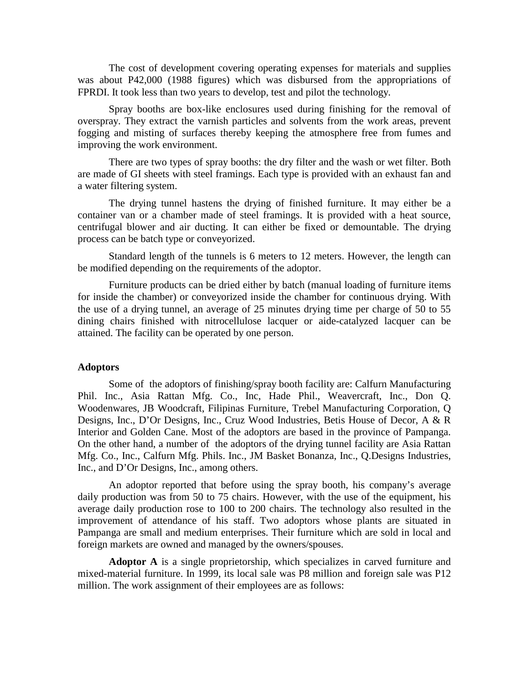The cost of development covering operating expenses for materials and supplies was about P42,000 (1988 figures) which was disbursed from the appropriations of FPRDI. It took less than two years to develop, test and pilot the technology.

Spray booths are box-like enclosures used during finishing for the removal of overspray. They extract the varnish particles and solvents from the work areas, prevent fogging and misting of surfaces thereby keeping the atmosphere free from fumes and improving the work environment.

There are two types of spray booths: the dry filter and the wash or wet filter. Both are made of GI sheets with steel framings. Each type is provided with an exhaust fan and a water filtering system.

The drying tunnel hastens the drying of finished furniture. It may either be a container van or a chamber made of steel framings. It is provided with a heat source, centrifugal blower and air ducting. It can either be fixed or demountable. The drying process can be batch type or conveyorized.

Standard length of the tunnels is 6 meters to 12 meters. However, the length can be modified depending on the requirements of the adoptor.

Furniture products can be dried either by batch (manual loading of furniture items for inside the chamber) or conveyorized inside the chamber for continuous drying. With the use of a drying tunnel, an average of 25 minutes drying time per charge of 50 to 55 dining chairs finished with nitrocellulose lacquer or aide-catalyzed lacquer can be attained. The facility can be operated by one person.

#### **Adoptors**

Some of the adoptors of finishing/spray booth facility are: Calfurn Manufacturing Phil. Inc., Asia Rattan Mfg. Co., Inc, Hade Phil., Weavercraft, Inc., Don Q. Woodenwares, JB Woodcraft, Filipinas Furniture, Trebel Manufacturing Corporation, Q Designs, Inc., D'Or Designs, Inc., Cruz Wood Industries, Betis House of Decor, A & R Interior and Golden Cane. Most of the adoptors are based in the province of Pampanga. On the other hand, a number of the adoptors of the drying tunnel facility are Asia Rattan Mfg. Co., Inc., Calfurn Mfg. Phils. Inc., JM Basket Bonanza, Inc., Q.Designs Industries, Inc., and D'Or Designs, Inc., among others.

An adoptor reported that before using the spray booth, his company's average daily production was from 50 to 75 chairs. However, with the use of the equipment, his average daily production rose to 100 to 200 chairs. The technology also resulted in the improvement of attendance of his staff. Two adoptors whose plants are situated in Pampanga are small and medium enterprises. Their furniture which are sold in local and foreign markets are owned and managed by the owners/spouses.

**Adoptor A** is a single proprietorship, which specializes in carved furniture and mixed-material furniture. In 1999, its local sale was P8 million and foreign sale was P12 million. The work assignment of their employees are as follows: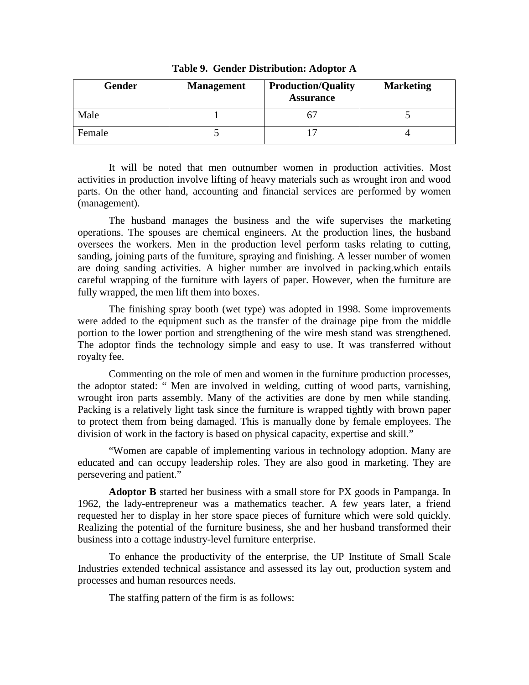| Gender | <b>Management</b> | <b>Production/Quality</b><br><b>Assurance</b> | <b>Marketing</b> |
|--------|-------------------|-----------------------------------------------|------------------|
| Male   |                   |                                               |                  |
| Female |                   |                                               |                  |

**Table 9. Gender Distribution: Adoptor A** 

It will be noted that men outnumber women in production activities. Most activities in production involve lifting of heavy materials such as wrought iron and wood parts. On the other hand, accounting and financial services are performed by women (management).

The husband manages the business and the wife supervises the marketing operations. The spouses are chemical engineers. At the production lines, the husband oversees the workers. Men in the production level perform tasks relating to cutting, sanding, joining parts of the furniture, spraying and finishing. A lesser number of women are doing sanding activities. A higher number are involved in packing.which entails careful wrapping of the furniture with layers of paper. However, when the furniture are fully wrapped, the men lift them into boxes.

The finishing spray booth (wet type) was adopted in 1998. Some improvements were added to the equipment such as the transfer of the drainage pipe from the middle portion to the lower portion and strengthening of the wire mesh stand was strengthened. The adoptor finds the technology simple and easy to use. It was transferred without royalty fee.

Commenting on the role of men and women in the furniture production processes, the adoptor stated: " Men are involved in welding, cutting of wood parts, varnishing, wrought iron parts assembly. Many of the activities are done by men while standing. Packing is a relatively light task since the furniture is wrapped tightly with brown paper to protect them from being damaged. This is manually done by female employees. The division of work in the factory is based on physical capacity, expertise and skill."

"Women are capable of implementing various in technology adoption. Many are educated and can occupy leadership roles. They are also good in marketing. They are persevering and patient."

**Adoptor B** started her business with a small store for PX goods in Pampanga. In 1962, the lady-entrepreneur was a mathematics teacher. A few years later, a friend requested her to display in her store space pieces of furniture which were sold quickly. Realizing the potential of the furniture business, she and her husband transformed their business into a cottage industry-level furniture enterprise.

To enhance the productivity of the enterprise, the UP Institute of Small Scale Industries extended technical assistance and assessed its lay out, production system and processes and human resources needs.

The staffing pattern of the firm is as follows: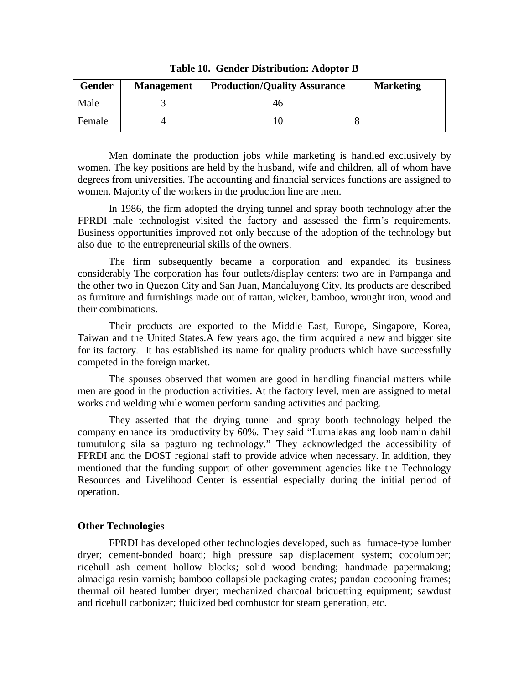| <b>Gender</b> | <b>Management</b> | <b>Production/Quality Assurance</b> | <b>Marketing</b> |
|---------------|-------------------|-------------------------------------|------------------|
| Male          |                   |                                     |                  |
| Female        |                   |                                     |                  |

**Table 10. Gender Distribution: Adoptor B** 

Men dominate the production jobs while marketing is handled exclusively by women. The key positions are held by the husband, wife and children, all of whom have degrees from universities. The accounting and financial services functions are assigned to women. Majority of the workers in the production line are men.

In 1986, the firm adopted the drying tunnel and spray booth technology after the FPRDI male technologist visited the factory and assessed the firm's requirements. Business opportunities improved not only because of the adoption of the technology but also due to the entrepreneurial skills of the owners.

The firm subsequently became a corporation and expanded its business considerably The corporation has four outlets/display centers: two are in Pampanga and the other two in Quezon City and San Juan, Mandaluyong City. Its products are described as furniture and furnishings made out of rattan, wicker, bamboo, wrought iron, wood and their combinations.

Their products are exported to the Middle East, Europe, Singapore, Korea, Taiwan and the United States.A few years ago, the firm acquired a new and bigger site for its factory. It has established its name for quality products which have successfully competed in the foreign market.

The spouses observed that women are good in handling financial matters while men are good in the production activities. At the factory level, men are assigned to metal works and welding while women perform sanding activities and packing.

They asserted that the drying tunnel and spray booth technology helped the company enhance its productivity by 60%. They said "Lumalakas ang loob namin dahil tumutulong sila sa pagturo ng technology." They acknowledged the accessibility of FPRDI and the DOST regional staff to provide advice when necessary. In addition, they mentioned that the funding support of other government agencies like the Technology Resources and Livelihood Center is essential especially during the initial period of operation.

## **Other Technologies**

FPRDI has developed other technologies developed, such as furnace-type lumber dryer; cement-bonded board; high pressure sap displacement system; cocolumber; ricehull ash cement hollow blocks; solid wood bending; handmade papermaking; almaciga resin varnish; bamboo collapsible packaging crates; pandan cocooning frames; thermal oil heated lumber dryer; mechanized charcoal briquetting equipment; sawdust and ricehull carbonizer; fluidized bed combustor for steam generation, etc.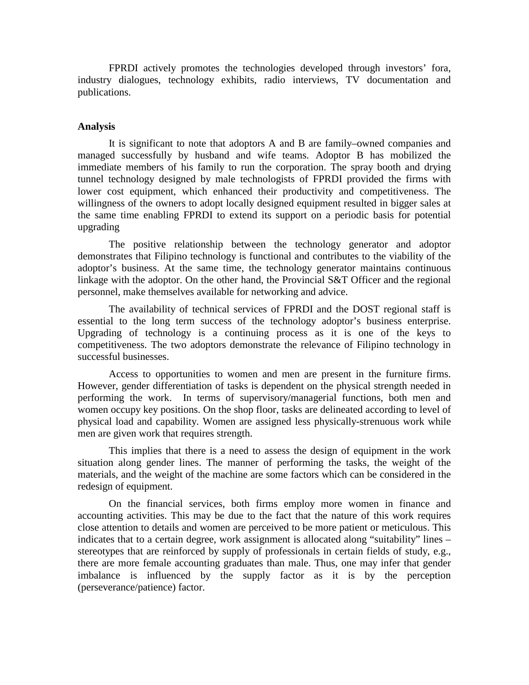FPRDI actively promotes the technologies developed through investors' fora, industry dialogues, technology exhibits, radio interviews, TV documentation and publications.

#### **Analysis**

It is significant to note that adoptors A and B are family–owned companies and managed successfully by husband and wife teams. Adoptor B has mobilized the immediate members of his family to run the corporation. The spray booth and drying tunnel technology designed by male technologists of FPRDI provided the firms with lower cost equipment, which enhanced their productivity and competitiveness. The willingness of the owners to adopt locally designed equipment resulted in bigger sales at the same time enabling FPRDI to extend its support on a periodic basis for potential upgrading

The positive relationship between the technology generator and adoptor demonstrates that Filipino technology is functional and contributes to the viability of the adoptor's business. At the same time, the technology generator maintains continuous linkage with the adoptor. On the other hand, the Provincial S&T Officer and the regional personnel, make themselves available for networking and advice.

The availability of technical services of FPRDI and the DOST regional staff is essential to the long term success of the technology adoptor's business enterprise. Upgrading of technology is a continuing process as it is one of the keys to competitiveness. The two adoptors demonstrate the relevance of Filipino technology in successful businesses.

Access to opportunities to women and men are present in the furniture firms. However, gender differentiation of tasks is dependent on the physical strength needed in performing the work. In terms of supervisory/managerial functions, both men and women occupy key positions. On the shop floor, tasks are delineated according to level of physical load and capability. Women are assigned less physically-strenuous work while men are given work that requires strength.

This implies that there is a need to assess the design of equipment in the work situation along gender lines. The manner of performing the tasks, the weight of the materials, and the weight of the machine are some factors which can be considered in the redesign of equipment.

On the financial services, both firms employ more women in finance and accounting activities. This may be due to the fact that the nature of this work requires close attention to details and women are perceived to be more patient or meticulous. This indicates that to a certain degree, work assignment is allocated along "suitability" lines – stereotypes that are reinforced by supply of professionals in certain fields of study, e.g., there are more female accounting graduates than male. Thus, one may infer that gender imbalance is influenced by the supply factor as it is by the perception (perseverance/patience) factor.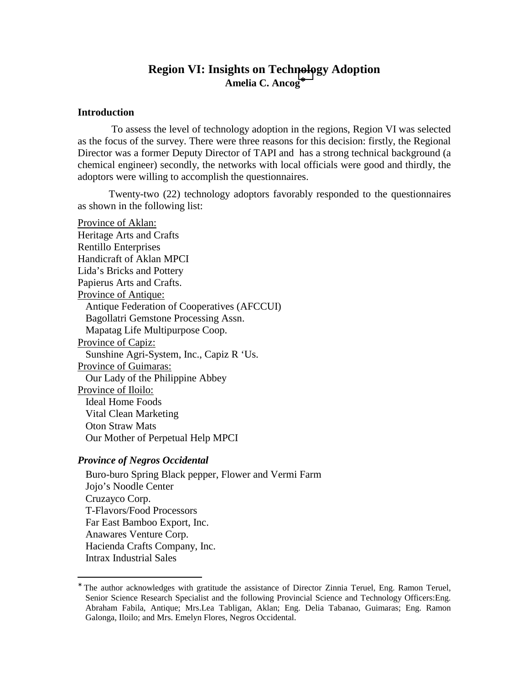# **Region VI: Insights on Technology Adoption Amelia C. Ancog**<sup>∗</sup>

#### **Introduction**

 To assess the level of technology adoption in the regions, Region VI was selected as the focus of the survey. There were three reasons for this decision: firstly, the Regional Director was a former Deputy Director of TAPI and has a strong technical background (a chemical engineer) secondly, the networks with local officials were good and thirdly, the adoptors were willing to accomplish the questionnaires.

Twenty-two (22) technology adoptors favorably responded to the questionnaires as shown in the following list:

Province of Aklan: Heritage Arts and Crafts Rentillo Enterprises Handicraft of Aklan MPCI Lida's Bricks and Pottery Papierus Arts and Crafts. Province of Antique: Antique Federation of Cooperatives (AFCCUI) Bagollatri Gemstone Processing Assn. Mapatag Life Multipurpose Coop. Province of Capiz: Sunshine Agri-System, Inc., Capiz R 'Us. Province of Guimaras: Our Lady of the Philippine Abbey Province of Iloilo: Ideal Home Foods Vital Clean Marketing Oton Straw Mats Our Mother of Perpetual Help MPCI

#### *Province of Negros Occidental*

 $\overline{a}$ 

Buro-buro Spring Black pepper, Flower and Vermi Farm Jojo's Noodle Center Cruzayco Corp. T-Flavors/Food Processors Far East Bamboo Export, Inc. Anawares Venture Corp. Hacienda Crafts Company, Inc. Intrax Industrial Sales

<sup>∗</sup> The author acknowledges with gratitude the assistance of Director Zinnia Teruel, Eng. Ramon Teruel, Senior Science Research Specialist and the following Provincial Science and Technology Officers:Eng. Abraham Fabila, Antique; Mrs.Lea Tabligan, Aklan; Eng. Delia Tabanao, Guimaras; Eng. Ramon Galonga, Iloilo; and Mrs. Emelyn Flores, Negros Occidental.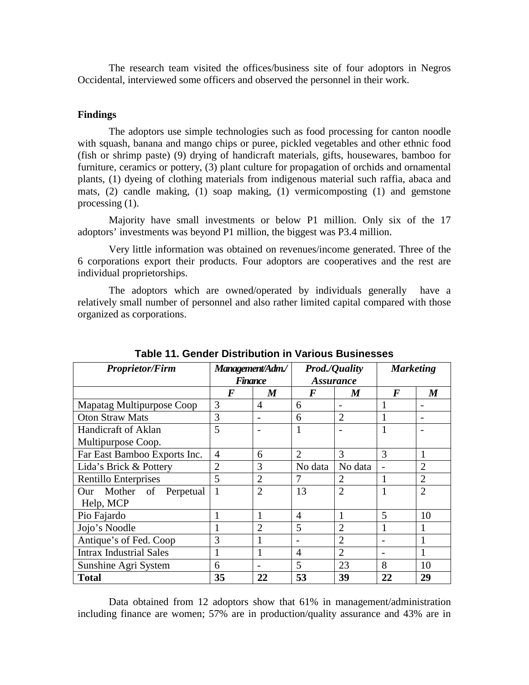The research team visited the offices/business site of four adoptors in Negros Occidental, interviewed some officers and observed the personnel in their work.

#### **Findings**

The adoptors use simple technologies such as food processing for canton noodle with squash, banana and mango chips or puree, pickled vegetables and other ethnic food (fish or shrimp paste) (9) drying of handicraft materials, gifts, housewares, bamboo for furniture, ceramics or pottery, (3) plant culture for propagation of orchids and ornamental plants, (1) dyeing of clothing materials from indigenous material such raffia, abaca and mats, (2) candle making, (1) soap making, (1) vermicomposting (1) and gemstone processing (1).

Majority have small investments or below P1 million. Only six of the 17 adoptors' investments was beyond P1 million, the biggest was P3.4 million.

Very little information was obtained on revenues/income generated. Three of the 6 corporations export their products. Four adoptors are cooperatives and the rest are individual proprietorships.

The adoptors which are owned/operated by individuals generally have a relatively small number of personnel and also rather limited capital compared with those organized as corporations.

| <b>Proprietor/Firm</b>         | Management/Adm./ |                | <b>Prod./Quality</b>        |                             | <b>Marketing</b> |                |
|--------------------------------|------------------|----------------|-----------------------------|-----------------------------|------------------|----------------|
|                                |                  | <b>Finance</b> | <i><b>Assurance</b></i>     |                             |                  |                |
|                                | $\bm{F}$         | M              | $\bm{F}$                    | M                           | $\bm{F}$         | M              |
| Mapatag Multipurpose Coop      | 3                | $\overline{4}$ | 6                           |                             |                  |                |
| <b>Oton Straw Mats</b>         | 3                |                | 6                           | $\overline{2}$              |                  |                |
| <b>Handicraft of Aklan</b>     | 5                |                |                             |                             |                  |                |
| Multipurpose Coop.             |                  |                |                             |                             |                  |                |
| Far East Bamboo Exports Inc.   | $\overline{4}$   | 6              | $\mathcal{D}_{\mathcal{L}}$ | 3                           | 3                |                |
| Lida's Brick & Pottery         | $\overline{2}$   | 3              | No data                     | No data                     |                  | $\overline{2}$ |
| Rentillo Enterprises           | 5                | $\overline{2}$ | 7                           | $\overline{2}$              | 1                | $\overline{2}$ |
| Our Mother of<br>Perpetual     | 1                | $\overline{2}$ | 13                          | $\overline{2}$              | 1                | $\overline{2}$ |
| Help, MCP                      |                  |                |                             |                             |                  |                |
| Pio Fajardo                    | $\mathbf{1}$     | 1              | $\overline{A}$              | 1                           | 5                | 10             |
| Jojo's Noodle                  | $\mathbf{1}$     | $\overline{2}$ | 5                           | $\overline{2}$              |                  |                |
| Antique's of Fed. Coop         | 3                |                | $\overline{\phantom{0}}$    | $\mathcal{D}_{\mathcal{L}}$ |                  |                |
| <b>Intrax Industrial Sales</b> | 1                | 1              | $\overline{4}$              | $\overline{2}$              | ۰                |                |
| Sunshine Agri System           | 6                |                | 5                           | 23                          | 8                | 10             |
| <b>Total</b>                   | 35               | 22             | 53                          | 39                          | 22               | 29             |

**Table 11. Gender Distribution in Various Businesses** 

Data obtained from 12 adoptors show that 61% in management/administration including finance are women; 57% are in production/quality assurance and 43% are in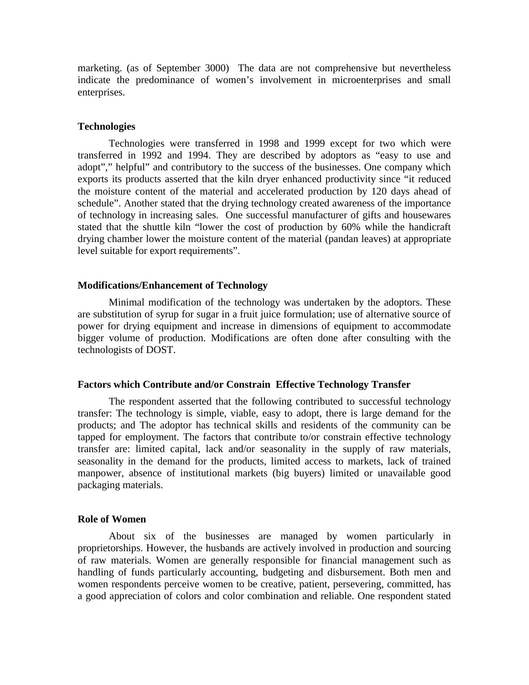marketing. (as of September 3000) The data are not comprehensive but nevertheless indicate the predominance of women's involvement in microenterprises and small enterprises.

#### **Technologies**

Technologies were transferred in 1998 and 1999 except for two which were transferred in 1992 and 1994. They are described by adoptors as "easy to use and adopt"," helpful" and contributory to the success of the businesses. One company which exports its products asserted that the kiln dryer enhanced productivity since "it reduced the moisture content of the material and accelerated production by 120 days ahead of schedule". Another stated that the drying technology created awareness of the importance of technology in increasing sales. One successful manufacturer of gifts and housewares stated that the shuttle kiln "lower the cost of production by 60% while the handicraft drying chamber lower the moisture content of the material (pandan leaves) at appropriate level suitable for export requirements".

### **Modifications/Enhancement of Technology**

Minimal modification of the technology was undertaken by the adoptors. These are substitution of syrup for sugar in a fruit juice formulation; use of alternative source of power for drying equipment and increase in dimensions of equipment to accommodate bigger volume of production. Modifications are often done after consulting with the technologists of DOST.

#### **Factors which Contribute and/or Constrain Effective Technology Transfer**

The respondent asserted that the following contributed to successful technology transfer: The technology is simple, viable, easy to adopt, there is large demand for the products; and The adoptor has technical skills and residents of the community can be tapped for employment. The factors that contribute to/or constrain effective technology transfer are: limited capital, lack and/or seasonality in the supply of raw materials, seasonality in the demand for the products, limited access to markets, lack of trained manpower, absence of institutional markets (big buyers) limited or unavailable good packaging materials.

#### **Role of Women**

About six of the businesses are managed by women particularly in proprietorships. However, the husbands are actively involved in production and sourcing of raw materials. Women are generally responsible for financial management such as handling of funds particularly accounting, budgeting and disbursement. Both men and women respondents perceive women to be creative, patient, persevering, committed, has a good appreciation of colors and color combination and reliable. One respondent stated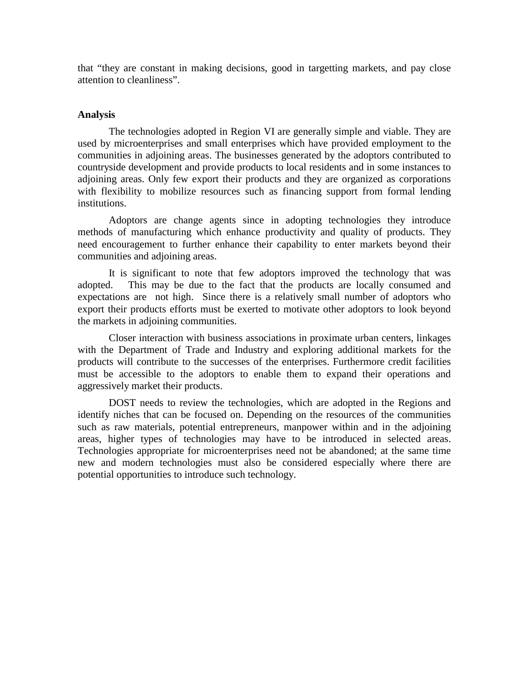that "they are constant in making decisions, good in targetting markets, and pay close attention to cleanliness".

## **Analysis**

The technologies adopted in Region VI are generally simple and viable. They are used by microenterprises and small enterprises which have provided employment to the communities in adjoining areas. The businesses generated by the adoptors contributed to countryside development and provide products to local residents and in some instances to adjoining areas. Only few export their products and they are organized as corporations with flexibility to mobilize resources such as financing support from formal lending institutions.

Adoptors are change agents since in adopting technologies they introduce methods of manufacturing which enhance productivity and quality of products. They need encouragement to further enhance their capability to enter markets beyond their communities and adjoining areas.

It is significant to note that few adoptors improved the technology that was adopted. This may be due to the fact that the products are locally consumed and expectations are not high. Since there is a relatively small number of adoptors who export their products efforts must be exerted to motivate other adoptors to look beyond the markets in adjoining communities.

Closer interaction with business associations in proximate urban centers, linkages with the Department of Trade and Industry and exploring additional markets for the products will contribute to the successes of the enterprises. Furthermore credit facilities must be accessible to the adoptors to enable them to expand their operations and aggressively market their products.

DOST needs to review the technologies, which are adopted in the Regions and identify niches that can be focused on. Depending on the resources of the communities such as raw materials, potential entrepreneurs, manpower within and in the adjoining areas, higher types of technologies may have to be introduced in selected areas. Technologies appropriate for microenterprises need not be abandoned; at the same time new and modern technologies must also be considered especially where there are potential opportunities to introduce such technology.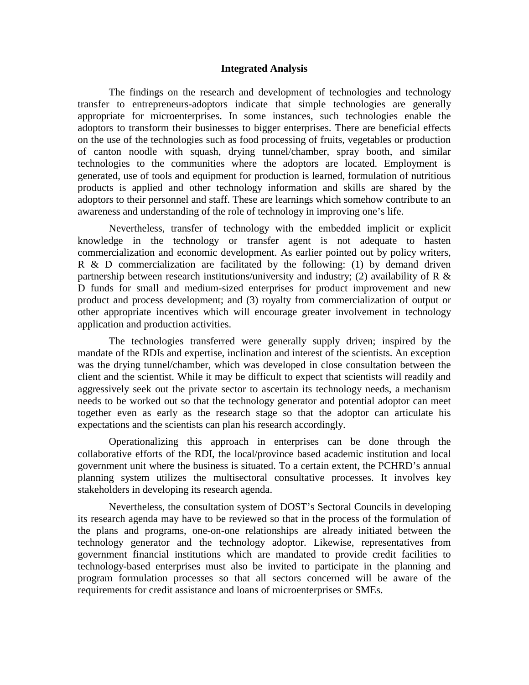#### **Integrated Analysis**

The findings on the research and development of technologies and technology transfer to entrepreneurs-adoptors indicate that simple technologies are generally appropriate for microenterprises. In some instances, such technologies enable the adoptors to transform their businesses to bigger enterprises. There are beneficial effects on the use of the technologies such as food processing of fruits, vegetables or production of canton noodle with squash, drying tunnel/chamber, spray booth, and similar technologies to the communities where the adoptors are located. Employment is generated, use of tools and equipment for production is learned, formulation of nutritious products is applied and other technology information and skills are shared by the adoptors to their personnel and staff. These are learnings which somehow contribute to an awareness and understanding of the role of technology in improving one's life.

Nevertheless, transfer of technology with the embedded implicit or explicit knowledge in the technology or transfer agent is not adequate to hasten commercialization and economic development. As earlier pointed out by policy writers, R  $\&$  D commercialization are facilitated by the following: (1) by demand driven partnership between research institutions/university and industry; (2) availability of R  $\&$ D funds for small and medium-sized enterprises for product improvement and new product and process development; and (3) royalty from commercialization of output or other appropriate incentives which will encourage greater involvement in technology application and production activities.

The technologies transferred were generally supply driven; inspired by the mandate of the RDIs and expertise, inclination and interest of the scientists. An exception was the drying tunnel/chamber, which was developed in close consultation between the client and the scientist. While it may be difficult to expect that scientists will readily and aggressively seek out the private sector to ascertain its technology needs, a mechanism needs to be worked out so that the technology generator and potential adoptor can meet together even as early as the research stage so that the adoptor can articulate his expectations and the scientists can plan his research accordingly.

 Operationalizing this approach in enterprises can be done through the collaborative efforts of the RDI, the local/province based academic institution and local government unit where the business is situated. To a certain extent, the PCHRD's annual planning system utilizes the multisectoral consultative processes. It involves key stakeholders in developing its research agenda.

Nevertheless, the consultation system of DOST's Sectoral Councils in developing its research agenda may have to be reviewed so that in the process of the formulation of the plans and programs, one-on-one relationships are already initiated between the technology generator and the technology adoptor. Likewise, representatives from government financial institutions which are mandated to provide credit facilities to technology-based enterprises must also be invited to participate in the planning and program formulation processes so that all sectors concerned will be aware of the requirements for credit assistance and loans of microenterprises or SMEs.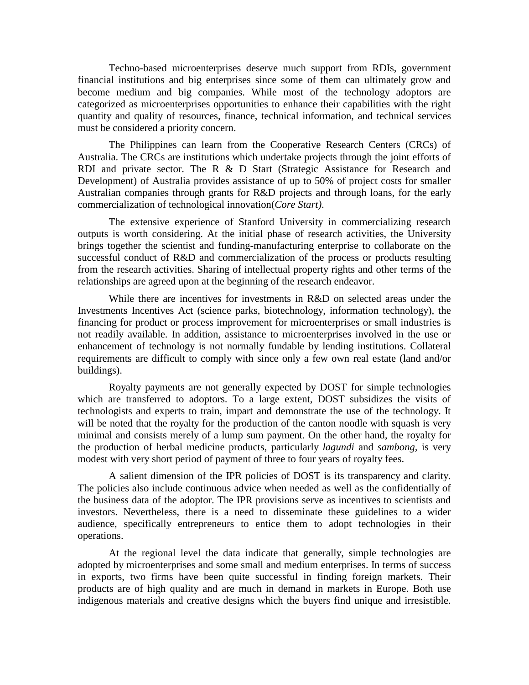Techno-based microenterprises deserve much support from RDIs, government financial institutions and big enterprises since some of them can ultimately grow and become medium and big companies. While most of the technology adoptors are categorized as microenterprises opportunities to enhance their capabilities with the right quantity and quality of resources, finance, technical information, and technical services must be considered a priority concern.

The Philippines can learn from the Cooperative Research Centers (CRCs) of Australia. The CRCs are institutions which undertake projects through the joint efforts of RDI and private sector. The R & D Start (Strategic Assistance for Research and Development) of Australia provides assistance of up to 50% of project costs for smaller Australian companies through grants for R&D projects and through loans, for the early commercialization of technological innovation(*Core Start)*.

The extensive experience of Stanford University in commercializing research outputs is worth considering. At the initial phase of research activities, the University brings together the scientist and funding-manufacturing enterprise to collaborate on the successful conduct of R&D and commercialization of the process or products resulting from the research activities. Sharing of intellectual property rights and other terms of the relationships are agreed upon at the beginning of the research endeavor.

While there are incentives for investments in R&D on selected areas under the Investments Incentives Act (science parks, biotechnology, information technology), the financing for product or process improvement for microenterprises or small industries is not readily available. In addition, assistance to microenterprises involved in the use or enhancement of technology is not normally fundable by lending institutions. Collateral requirements are difficult to comply with since only a few own real estate (land and/or buildings).

Royalty payments are not generally expected by DOST for simple technologies which are transferred to adoptors. To a large extent, DOST subsidizes the visits of technologists and experts to train, impart and demonstrate the use of the technology. It will be noted that the royalty for the production of the canton noodle with squash is very minimal and consists merely of a lump sum payment. On the other hand, the royalty for the production of herbal medicine products, particularly *lagundi* and *sambong,* is very modest with very short period of payment of three to four years of royalty fees.

A salient dimension of the IPR policies of DOST is its transparency and clarity. The policies also include continuous advice when needed as well as the confidentially of the business data of the adoptor. The IPR provisions serve as incentives to scientists and investors. Nevertheless, there is a need to disseminate these guidelines to a wider audience, specifically entrepreneurs to entice them to adopt technologies in their operations.

At the regional level the data indicate that generally, simple technologies are adopted by microenterprises and some small and medium enterprises. In terms of success in exports, two firms have been quite successful in finding foreign markets. Their products are of high quality and are much in demand in markets in Europe. Both use indigenous materials and creative designs which the buyers find unique and irresistible.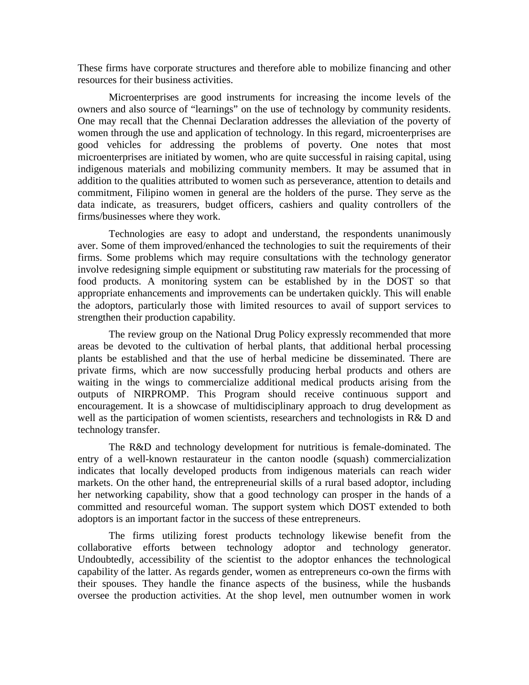These firms have corporate structures and therefore able to mobilize financing and other resources for their business activities.

Microenterprises are good instruments for increasing the income levels of the owners and also source of "learnings" on the use of technology by community residents. One may recall that the Chennai Declaration addresses the alleviation of the poverty of women through the use and application of technology. In this regard, microenterprises are good vehicles for addressing the problems of poverty. One notes that most microenterprises are initiated by women, who are quite successful in raising capital, using indigenous materials and mobilizing community members. It may be assumed that in addition to the qualities attributed to women such as perseverance, attention to details and commitment, Filipino women in general are the holders of the purse. They serve as the data indicate, as treasurers, budget officers, cashiers and quality controllers of the firms/businesses where they work.

Technologies are easy to adopt and understand, the respondents unanimously aver. Some of them improved/enhanced the technologies to suit the requirements of their firms. Some problems which may require consultations with the technology generator involve redesigning simple equipment or substituting raw materials for the processing of food products. A monitoring system can be established by in the DOST so that appropriate enhancements and improvements can be undertaken quickly. This will enable the adoptors, particularly those with limited resources to avail of support services to strengthen their production capability.

The review group on the National Drug Policy expressly recommended that more areas be devoted to the cultivation of herbal plants, that additional herbal processing plants be established and that the use of herbal medicine be disseminated. There are private firms, which are now successfully producing herbal products and others are waiting in the wings to commercialize additional medical products arising from the outputs of NIRPROMP. This Program should receive continuous support and encouragement. It is a showcase of multidisciplinary approach to drug development as well as the participation of women scientists, researchers and technologists in R& D and technology transfer.

The R&D and technology development for nutritious is female-dominated. The entry of a well-known restaurateur in the canton noodle (squash) commercialization indicates that locally developed products from indigenous materials can reach wider markets. On the other hand, the entrepreneurial skills of a rural based adoptor, including her networking capability, show that a good technology can prosper in the hands of a committed and resourceful woman. The support system which DOST extended to both adoptors is an important factor in the success of these entrepreneurs.

The firms utilizing forest products technology likewise benefit from the collaborative efforts between technology adoptor and technology generator. Undoubtedly, accessibility of the scientist to the adoptor enhances the technological capability of the latter. As regards gender, women as entrepreneurs co-own the firms with their spouses. They handle the finance aspects of the business, while the husbands oversee the production activities. At the shop level, men outnumber women in work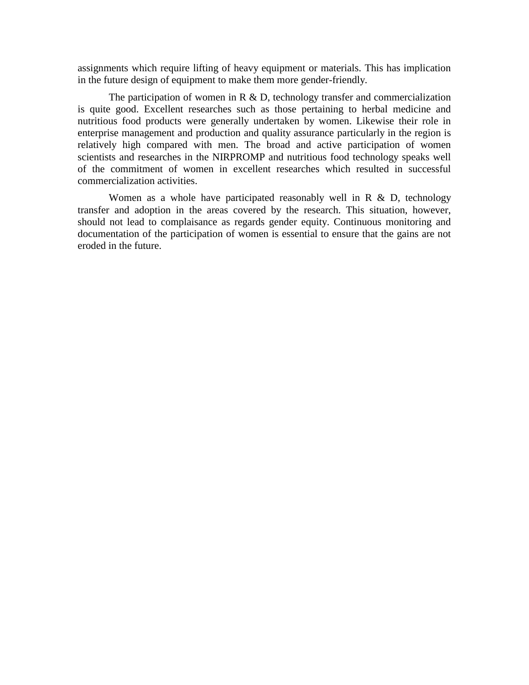assignments which require lifting of heavy equipment or materials. This has implication in the future design of equipment to make them more gender-friendly.

The participation of women in  $R \& D$ , technology transfer and commercialization is quite good. Excellent researches such as those pertaining to herbal medicine and nutritious food products were generally undertaken by women. Likewise their role in enterprise management and production and quality assurance particularly in the region is relatively high compared with men. The broad and active participation of women scientists and researches in the NIRPROMP and nutritious food technology speaks well of the commitment of women in excellent researches which resulted in successful commercialization activities.

Women as a whole have participated reasonably well in  $R \& D$ , technology transfer and adoption in the areas covered by the research. This situation, however, should not lead to complaisance as regards gender equity. Continuous monitoring and documentation of the participation of women is essential to ensure that the gains are not eroded in the future.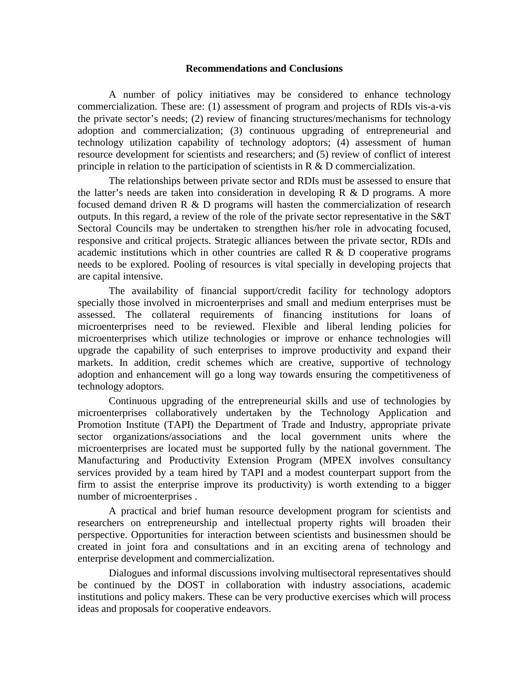#### **Recommendations and Conclusions**

A number of policy initiatives may be considered to enhance technology commercialization. These are: (1) assessment of program and projects of RDIs vis-a-vis the private sector's needs; (2) review of financing structures/mechanisms for technology adoption and commercialization; (3) continuous upgrading of entrepreneurial and technology utilization capability of technology adoptors; (4) assessment of human resource development for scientists and researchers; and (5) review of conflict of interest principle in relation to the participation of scientists in R & D commercialization.

The relationships between private sector and RDIs must be assessed to ensure that the latter's needs are taken into consideration in developing  $R \& D$  programs. A more focused demand driven R & D programs will hasten the commercialization of research outputs. In this regard, a review of the role of the private sector representative in the S&T Sectoral Councils may be undertaken to strengthen his/her role in advocating focused, responsive and critical projects. Strategic alliances between the private sector, RDIs and academic institutions which in other countries are called  $R \& D$  cooperative programs needs to be explored. Pooling of resources is vital specially in developing projects that are capital intensive.

The availability of financial support/credit facility for technology adoptors specially those involved in microenterprises and small and medium enterprises must be assessed. The collateral requirements of financing institutions for loans of microenterprises need to be reviewed. Flexible and liberal lending policies for microenterprises which utilize technologies or improve or enhance technologies will upgrade the capability of such enterprises to improve productivity and expand their markets. In addition, credit schemes which are creative, supportive of technology adoption and enhancement will go a long way towards ensuring the competitiveness of technology adoptors.

Continuous upgrading of the entrepreneurial skills and use of technologies by microenterprises collaboratively undertaken by the Technology Application and Promotion Institute (TAPI) the Department of Trade and Industry, appropriate private sector organizations/associations and the local government units where the microenterprises are located must be supported fully by the national government. The Manufacturing and Productivity Extension Program (MPEX involves consultancy services provided by a team hired by TAPI and a modest counterpart support from the firm to assist the enterprise improve its productivity) is worth extending to a bigger number of microenterprises .

A practical and brief human resource development program for scientists and researchers on entrepreneurship and intellectual property rights will broaden their perspective. Opportunities for interaction between scientists and businessmen should be created in joint fora and consultations and in an exciting arena of technology and enterprise development and commercialization.

Dialogues and informal discussions involving multisectoral representatives should be continued by the DOST in collaboration with industry associations, academic institutions and policy makers. These can be very productive exercises which will process ideas and proposals for cooperative endeavors.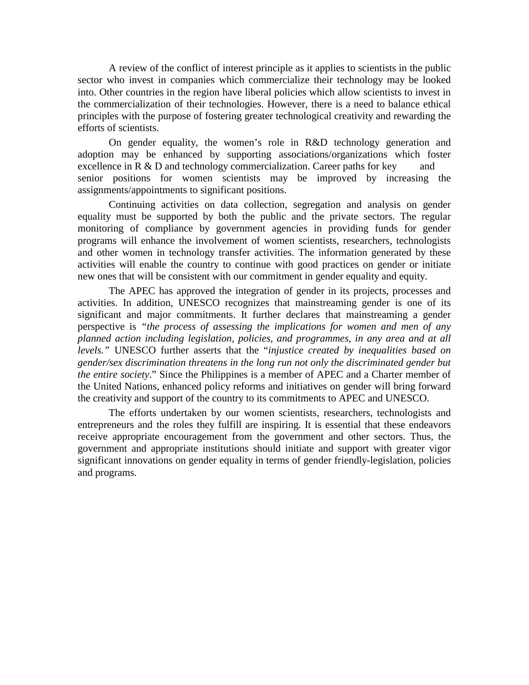A review of the conflict of interest principle as it applies to scientists in the public sector who invest in companies which commercialize their technology may be looked into. Other countries in the region have liberal policies which allow scientists to invest in the commercialization of their technologies. However, there is a need to balance ethical principles with the purpose of fostering greater technological creativity and rewarding the efforts of scientists.

On gender equality, the women's role in R&D technology generation and adoption may be enhanced by supporting associations/organizations which foster excellence in  $R \& D$  and technology commercialization. Career paths for key and senior positions for women scientists may be improved by increasing the assignments/appointments to significant positions.

Continuing activities on data collection, segregation and analysis on gender equality must be supported by both the public and the private sectors. The regular monitoring of compliance by government agencies in providing funds for gender programs will enhance the involvement of women scientists, researchers, technologists and other women in technology transfer activities. The information generated by these activities will enable the country to continue with good practices on gender or initiate new ones that will be consistent with our commitment in gender equality and equity.

The APEC has approved the integration of gender in its projects, processes and activities. In addition, UNESCO recognizes that mainstreaming gender is one of its significant and major commitments. It further declares that mainstreaming a gender perspective is *"the process of assessing the implications for women and men of any planned action including legislation, policies, and programmes, in any area and at all levels."* UNESCO further asserts that the "*injustice created by inequalities based on gender/sex discrimination threatens in the long run not only the discriminated gender but the entire society*." Since the Philippines is a member of APEC and a Charter member of the United Nations, enhanced policy reforms and initiatives on gender will bring forward the creativity and support of the country to its commitments to APEC and UNESCO.

The efforts undertaken by our women scientists, researchers, technologists and entrepreneurs and the roles they fulfill are inspiring. It is essential that these endeavors receive appropriate encouragement from the government and other sectors. Thus, the government and appropriate institutions should initiate and support with greater vigor significant innovations on gender equality in terms of gender friendly-legislation, policies and programs.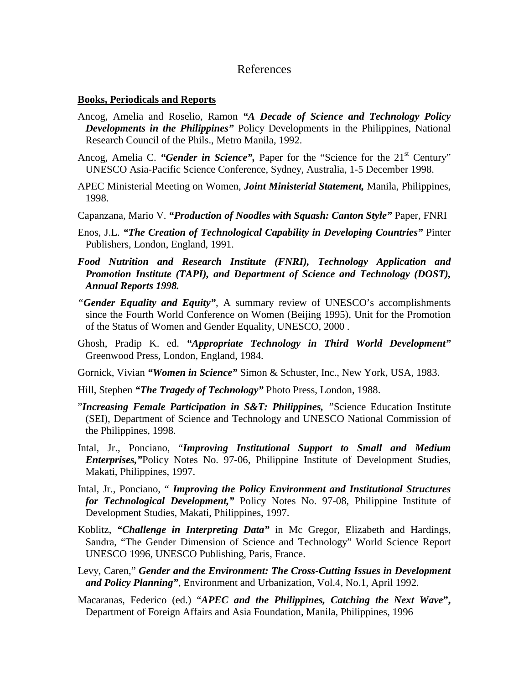## References

#### **Books, Periodicals and Reports**

- Ancog, Amelia and Roselio, Ramon *"A Decade of Science and Technology Policy Developments in the Philippines"* Policy Developments in the Philippines, National Research Council of the Phils., Metro Manila, 1992.
- Ancog, Amelia C. "Gender in Science", Paper for the "Science for the 21<sup>st</sup> Century" UNESCO Asia-Pacific Science Conference, Sydney, Australia, 1-5 December 1998.
- APEC Ministerial Meeting on Women, *Joint Ministerial Statement,* Manila, Philippines, 1998.
- Capanzana, Mario V. *"Production of Noodles with Squash: Canton Style"* Paper, FNRI
- Enos, J.L. *"The Creation of Technological Capability in Developing Countries"* Pinter Publishers, London, England, 1991.
- *Food Nutrition and Research Institute (FNRI), Technology Application and Promotion Institute (TAPI), and Department of Science and Technology (DOST), Annual Reports 1998.*
- *"Gender Equality and Equity"*, A summary review of UNESCO's accomplishments since the Fourth World Conference on Women (Beijing 1995), Unit for the Promotion of the Status of Women and Gender Equality, UNESCO, 2000 .
- Ghosh, Pradip K. ed. *"Appropriate Technology in Third World Development"* Greenwood Press, London, England, 1984.
- Gornick, Vivian *"Women in Science"* Simon & Schuster, Inc., New York, USA, 1983.
- Hill, Stephen *"The Tragedy of Technology"* Photo Press, London, 1988.
- "*Increasing Female Participation in S&T: Philippines, "*Science Education Institute (SEI), Department of Science and Technology and UNESCO National Commission of the Philippines, 1998.
- Intal, Jr., Ponciano, "*Improving Institutional Support to Small and Medium Enterprises,"*Policy Notes No. 97-06, Philippine Institute of Development Studies, Makati, Philippines, 1997.
- Intal, Jr., Ponciano, " *Improving the Policy Environment and Institutional Structures for Technological Development,"* Policy Notes No. 97-08, Philippine Institute of Development Studies, Makati, Philippines, 1997.
- Koblitz, *"Challenge in Interpreting Data"* in Mc Gregor, Elizabeth and Hardings, Sandra, "The Gender Dimension of Science and Technology" World Science Report UNESCO 1996, UNESCO Publishing, Paris, France.
- Levy, Caren," *Gender and the Environment: The Cross-Cutting Issues in Development and Policy Planning"*, Environment and Urbanization, Vol.4, No.1, April 1992.
- Macaranas, Federico (ed.) "*APEC and the Philippines, Catching the Next Wave***",**  Department of Foreign Affairs and Asia Foundation, Manila, Philippines, 1996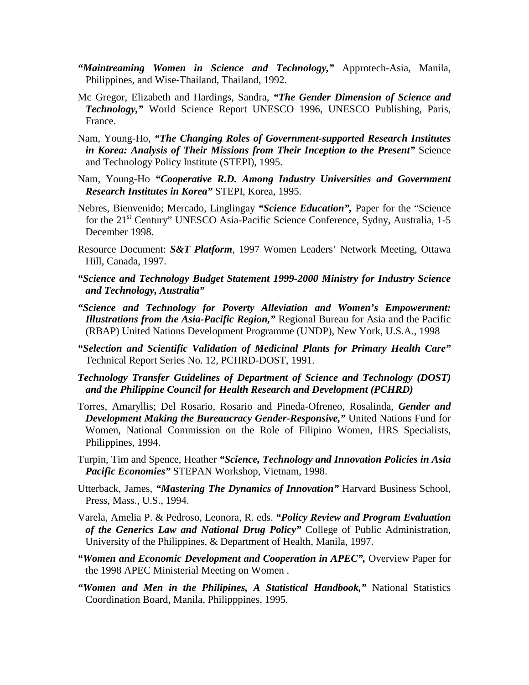- *"Maintreaming Women in Science and Technology,"* Approtech-Asia, Manila, Philippines, and Wise-Thailand, Thailand, 1992.
- Mc Gregor, Elizabeth and Hardings, Sandra, *"The Gender Dimension of Science and Technology,"* World Science Report UNESCO 1996, UNESCO Publishing, Paris, France.
- Nam, Young-Ho, *"The Changing Roles of Government-supported Research Institutes in Korea: Analysis of Their Missions from Their Inception to the Present"* Science and Technology Policy Institute (STEPI), 1995.
- Nam, Young-Ho *"Cooperative R.D. Among Industry Universities and Government Research Institutes in Korea"* STEPI, Korea, 1995.
- Nebres, Bienvenido; Mercado, Linglingay *"Science Education",* Paper for the "Science for the 21<sup>st</sup> Century" UNESCO Asia-Pacific Science Conference, Sydny, Australia, 1-5 December 1998.
- Resource Document: *S&T Platform*, 1997 Women Leaders' Network Meeting, Ottawa Hill, Canada, 1997.
- *"Science and Technology Budget Statement 1999-2000 Ministry for Industry Science and Technology, Australia"*
- *"Science and Technology for Poverty Alleviation and Women's Empowerment: Illustrations from the Asia-Pacific Region,"* Regional Bureau for Asia and the Pacific (RBAP) United Nations Development Programme (UNDP), New York, U.S.A., 1998
- *"Selection and Scientific Validation of Medicinal Plants for Primary Health Care"* Technical Report Series No. 12, PCHRD-DOST, 1991.
- *Technology Transfer Guidelines of Department of Science and Technology (DOST) and the Philippine Council for Health Research and Development (PCHRD)*
- Torres, Amaryllis; Del Rosario, Rosario and Pineda-Ofreneo, Rosalinda, *Gender and Development Making the Bureaucracy Gender-Responsive,"* United Nations Fund for Women, National Commission on the Role of Filipino Women, HRS Specialists, Philippines, 1994.
- Turpin, Tim and Spence, Heather *"Science, Technology and Innovation Policies in Asia Pacific Economies"* STEPAN Workshop, Vietnam, 1998.
- Utterback, James, *"Mastering The Dynamics of Innovation"* Harvard Business School, Press, Mass., U.S., 1994.
- Varela, Amelia P. & Pedroso, Leonora, R. eds. *"Policy Review and Program Evaluation of the Generics Law and National Drug Policy"* College of Public Administration, University of the Philippines, & Department of Health, Manila, 1997.
- *"Women and Economic Development and Cooperation in APEC",* Overview Paper for the 1998 APEC Ministerial Meeting on Women .
- *"Women and Men in the Philipines, A Statistical Handbook,"* National Statistics Coordination Board, Manila, Philipppines, 1995.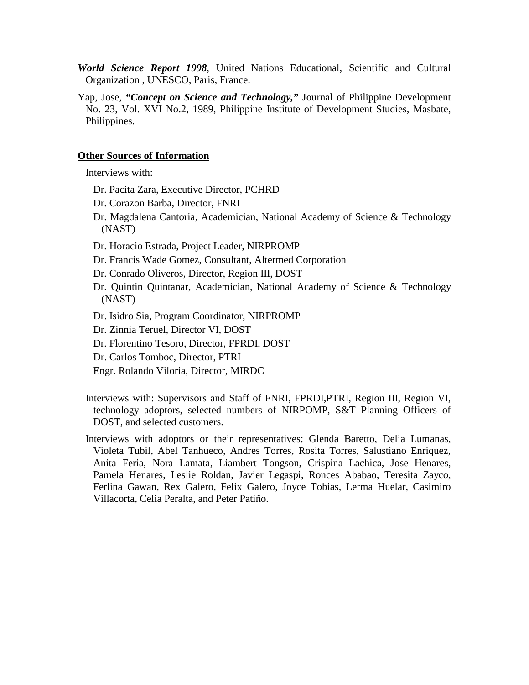- *World Science Report 1998*, United Nations Educational, Scientific and Cultural Organization , UNESCO, Paris, France.
- Yap, Jose, *"Concept on Science and Technology,"* Journal of Philippine Development No. 23, Vol. XVI No.2, 1989, Philippine Institute of Development Studies, Masbate, Philippines.

#### **Other Sources of Information**

Interviews with:

- Dr. Pacita Zara, Executive Director, PCHRD
- Dr. Corazon Barba, Director, FNRI
- Dr. Magdalena Cantoria, Academician, National Academy of Science & Technology (NAST)
- Dr. Horacio Estrada, Project Leader, NIRPROMP
- Dr. Francis Wade Gomez, Consultant, Altermed Corporation
- Dr. Conrado Oliveros, Director, Region III, DOST
- Dr. Quintin Quintanar, Academician, National Academy of Science & Technology (NAST)
- Dr. Isidro Sia, Program Coordinator, NIRPROMP
- Dr. Zinnia Teruel, Director VI, DOST
- Dr. Florentino Tesoro, Director, FPRDI, DOST
- Dr. Carlos Tomboc, Director, PTRI
- Engr. Rolando Viloria, Director, MIRDC
- Interviews with: Supervisors and Staff of FNRI, FPRDI,PTRI, Region III, Region VI, technology adoptors, selected numbers of NIRPOMP, S&T Planning Officers of DOST, and selected customers.
- Interviews with adoptors or their representatives: Glenda Baretto, Delia Lumanas, Violeta Tubil, Abel Tanhueco, Andres Torres, Rosita Torres, Salustiano Enriquez, Anita Feria, Nora Lamata, Liambert Tongson, Crispina Lachica, Jose Henares, Pamela Henares, Leslie Roldan, Javier Legaspi, Ronces Ababao, Teresita Zayco, Ferlina Gawan, Rex Galero, Felix Galero, Joyce Tobias, Lerma Huelar, Casimiro Villacorta, Celia Peralta, and Peter Patiño.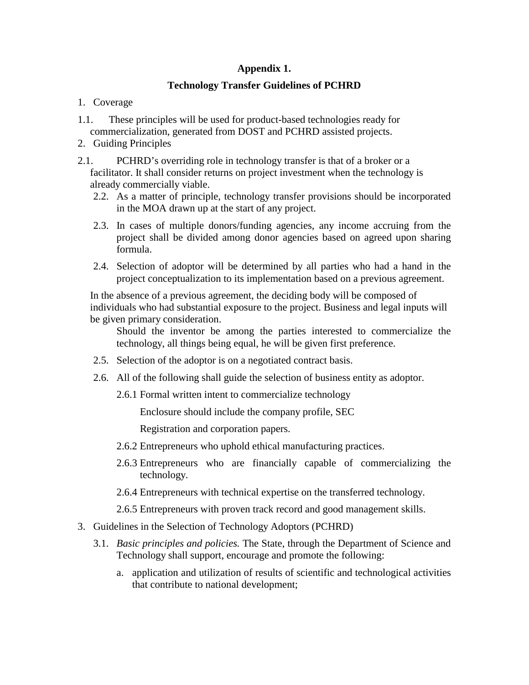# **Appendix 1.**

# **Technology Transfer Guidelines of PCHRD**

- 1. Coverage
- 1.1. These principles will be used for product-based technologies ready for commercialization, generated from DOST and PCHRD assisted projects.
- 2. Guiding Principles
- 2.1. PCHRD's overriding role in technology transfer is that of a broker or a facilitator. It shall consider returns on project investment when the technology is already commercially viable.
	- 2.2. As a matter of principle, technology transfer provisions should be incorporated in the MOA drawn up at the start of any project.
	- 2.3. In cases of multiple donors/funding agencies, any income accruing from the project shall be divided among donor agencies based on agreed upon sharing formula.
	- 2.4. Selection of adoptor will be determined by all parties who had a hand in the project conceptualization to its implementation based on a previous agreement.

 In the absence of a previous agreement, the deciding body will be composed of individuals who had substantial exposure to the project. Business and legal inputs will be given primary consideration.

 Should the inventor be among the parties interested to commercialize the technology, all things being equal, he will be given first preference.

- 2.5. Selection of the adoptor is on a negotiated contract basis.
- 2.6. All of the following shall guide the selection of business entity as adoptor.
	- 2.6.1 Formal written intent to commercialize technology

Enclosure should include the company profile, SEC

Registration and corporation papers.

- 2.6.2 Entrepreneurs who uphold ethical manufacturing practices.
- 2.6.3 Entrepreneurs who are financially capable of commercializing the technology.
- 2.6.4 Entrepreneurs with technical expertise on the transferred technology.
- 2.6.5 Entrepreneurs with proven track record and good management skills.
- 3. Guidelines in the Selection of Technology Adoptors (PCHRD)
	- 3.1. *Basic principles and policies.* The State, through the Department of Science and Technology shall support, encourage and promote the following:
		- a. application and utilization of results of scientific and technological activities that contribute to national development;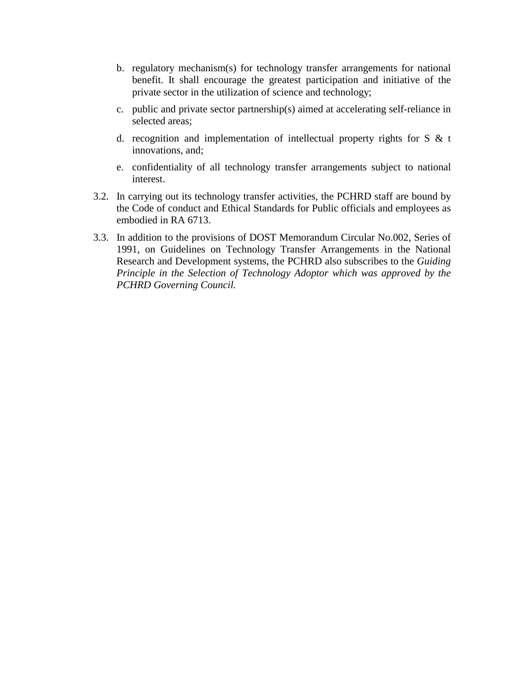- b. regulatory mechanism(s) for technology transfer arrangements for national benefit. It shall encourage the greatest participation and initiative of the private sector in the utilization of science and technology;
- c. public and private sector partnership(s) aimed at accelerating self-reliance in selected areas;
- d. recognition and implementation of intellectual property rights for S  $\&$  t innovations, and;
- e. confidentiality of all technology transfer arrangements subject to national interest.
- 3.2. In carrying out its technology transfer activities, the PCHRD staff are bound by the Code of conduct and Ethical Standards for Public officials and employees as embodied in RA 6713.
- 3.3. In addition to the provisions of DOST Memorandum Circular No.002, Series of 1991, on Guidelines on Technology Transfer Arrangements in the National Research and Development systems, the PCHRD also subscribes to the *Guiding Principle in the Selection of Technology Adoptor which was approved by the PCHRD Governing Council.*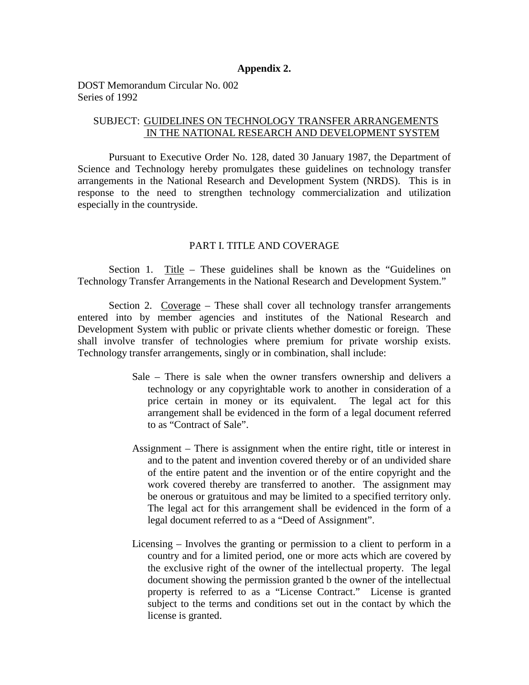#### **Appendix 2.**

DOST Memorandum Circular No. 002 Series of 1992

## SUBJECT: GUIDELINES ON TECHNOLOGY TRANSFER ARRANGEMENTS IN THE NATIONAL RESEARCH AND DEVELOPMENT SYSTEM

Pursuant to Executive Order No. 128, dated 30 January 1987, the Department of Science and Technology hereby promulgates these guidelines on technology transfer arrangements in the National Research and Development System (NRDS). This is in response to the need to strengthen technology commercialization and utilization especially in the countryside.

## PART I. TITLE AND COVERAGE

 Section 1. Title – These guidelines shall be known as the "Guidelines on Technology Transfer Arrangements in the National Research and Development System."

Section 2. Coverage – These shall cover all technology transfer arrangements entered into by member agencies and institutes of the National Research and Development System with public or private clients whether domestic or foreign. These shall involve transfer of technologies where premium for private worship exists. Technology transfer arrangements, singly or in combination, shall include:

- Sale There is sale when the owner transfers ownership and delivers a technology or any copyrightable work to another in consideration of a price certain in money or its equivalent. The legal act for this arrangement shall be evidenced in the form of a legal document referred to as "Contract of Sale".
- Assignment There is assignment when the entire right, title or interest in and to the patent and invention covered thereby or of an undivided share of the entire patent and the invention or of the entire copyright and the work covered thereby are transferred to another. The assignment may be onerous or gratuitous and may be limited to a specified territory only. The legal act for this arrangement shall be evidenced in the form of a legal document referred to as a "Deed of Assignment".
- Licensing Involves the granting or permission to a client to perform in a country and for a limited period, one or more acts which are covered by the exclusive right of the owner of the intellectual property. The legal document showing the permission granted b the owner of the intellectual property is referred to as a "License Contract." License is granted subject to the terms and conditions set out in the contact by which the license is granted.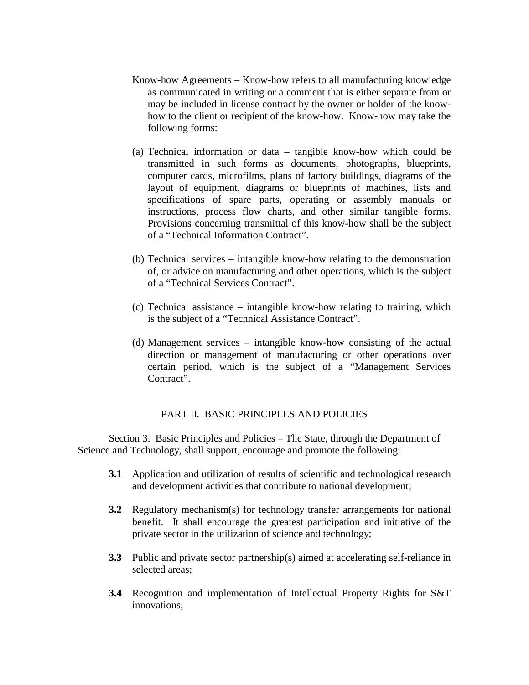- Know-how Agreements Know-how refers to all manufacturing knowledge as communicated in writing or a comment that is either separate from or may be included in license contract by the owner or holder of the knowhow to the client or recipient of the know-how. Know-how may take the following forms:
- (a) Technical information or data tangible know-how which could be transmitted in such forms as documents, photographs, blueprints, computer cards, microfilms, plans of factory buildings, diagrams of the layout of equipment, diagrams or blueprints of machines, lists and specifications of spare parts, operating or assembly manuals or instructions, process flow charts, and other similar tangible forms. Provisions concerning transmittal of this know-how shall be the subject of a "Technical Information Contract".
- (b) Technical services intangible know-how relating to the demonstration of, or advice on manufacturing and other operations, which is the subject of a "Technical Services Contract".
- (c) Technical assistance intangible know-how relating to training, which is the subject of a "Technical Assistance Contract".
- (d) Management services intangible know-how consisting of the actual direction or management of manufacturing or other operations over certain period, which is the subject of a "Management Services Contract".

#### PART II. BASIC PRINCIPLES AND POLICIES

 Section 3. Basic Principles and Policies – The State, through the Department of Science and Technology, shall support, encourage and promote the following:

- **3.1** Application and utilization of results of scientific and technological research and development activities that contribute to national development;
- **3.2** Regulatory mechanism(s) for technology transfer arrangements for national benefit. It shall encourage the greatest participation and initiative of the private sector in the utilization of science and technology;
- **3.3** Public and private sector partnership(s) aimed at accelerating self-reliance in selected areas;
- **3.4** Recognition and implementation of Intellectual Property Rights for S&T innovations;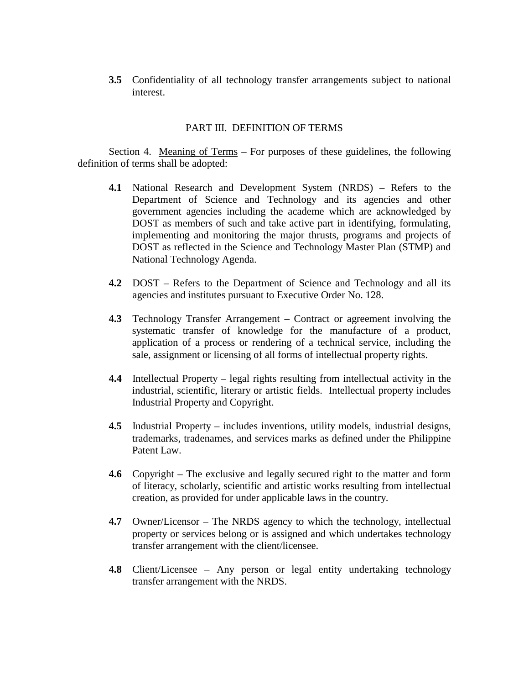**3.5** Confidentiality of all technology transfer arrangements subject to national interest.

#### PART III. DEFINITION OF TERMS

Section 4. Meaning of Terms – For purposes of these guidelines, the following definition of terms shall be adopted:

- **4.1** National Research and Development System (NRDS) Refers to the Department of Science and Technology and its agencies and other government agencies including the academe which are acknowledged by DOST as members of such and take active part in identifying, formulating, implementing and monitoring the major thrusts, programs and projects of DOST as reflected in the Science and Technology Master Plan (STMP) and National Technology Agenda.
- **4.2** DOST Refers to the Department of Science and Technology and all its agencies and institutes pursuant to Executive Order No. 128.
- **4.3** Technology Transfer Arrangement Contract or agreement involving the systematic transfer of knowledge for the manufacture of a product, application of a process or rendering of a technical service, including the sale, assignment or licensing of all forms of intellectual property rights.
- **4.4** Intellectual Property legal rights resulting from intellectual activity in the industrial, scientific, literary or artistic fields. Intellectual property includes Industrial Property and Copyright.
- **4.5** Industrial Property includes inventions, utility models, industrial designs, trademarks, tradenames, and services marks as defined under the Philippine Patent Law.
- **4.6** Copyright The exclusive and legally secured right to the matter and form of literacy, scholarly, scientific and artistic works resulting from intellectual creation, as provided for under applicable laws in the country.
- **4.7** Owner/Licensor The NRDS agency to which the technology, intellectual property or services belong or is assigned and which undertakes technology transfer arrangement with the client/licensee.
- **4.8** Client/Licensee Any person or legal entity undertaking technology transfer arrangement with the NRDS.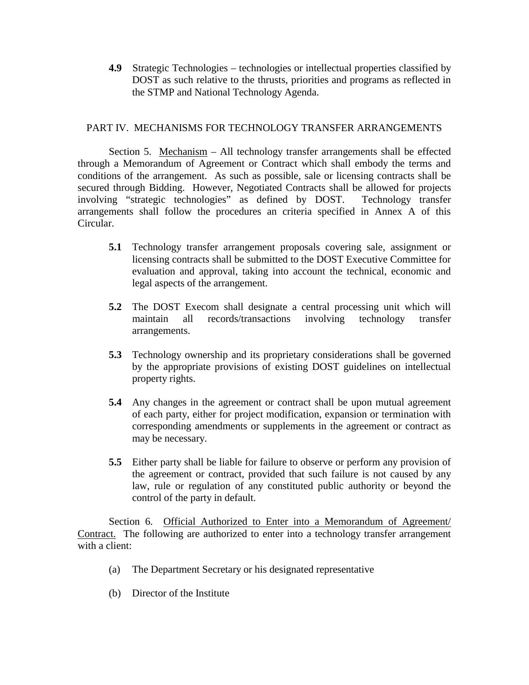**4.9** Strategic Technologies – technologies or intellectual properties classified by DOST as such relative to the thrusts, priorities and programs as reflected in the STMP and National Technology Agenda.

#### PART IV. MECHANISMS FOR TECHNOLOGY TRANSFER ARRANGEMENTS

 Section 5. Mechanism – All technology transfer arrangements shall be effected through a Memorandum of Agreement or Contract which shall embody the terms and conditions of the arrangement. As such as possible, sale or licensing contracts shall be secured through Bidding. However, Negotiated Contracts shall be allowed for projects involving "strategic technologies" as defined by DOST. Technology transfer arrangements shall follow the procedures an criteria specified in Annex A of this Circular.

- **5.1** Technology transfer arrangement proposals covering sale, assignment or licensing contracts shall be submitted to the DOST Executive Committee for evaluation and approval, taking into account the technical, economic and legal aspects of the arrangement.
- **5.2** The DOST Execom shall designate a central processing unit which will maintain all records/transactions involving technology transfer arrangements.
- **5.3** Technology ownership and its proprietary considerations shall be governed by the appropriate provisions of existing DOST guidelines on intellectual property rights.
- **5.4** Any changes in the agreement or contract shall be upon mutual agreement of each party, either for project modification, expansion or termination with corresponding amendments or supplements in the agreement or contract as may be necessary.
- **5.5** Either party shall be liable for failure to observe or perform any provision of the agreement or contract, provided that such failure is not caused by any law, rule or regulation of any constituted public authority or beyond the control of the party in default.

Section 6. Official Authorized to Enter into a Memorandum of Agreement/ Contract. The following are authorized to enter into a technology transfer arrangement with a client:

- (a) The Department Secretary or his designated representative
- (b) Director of the Institute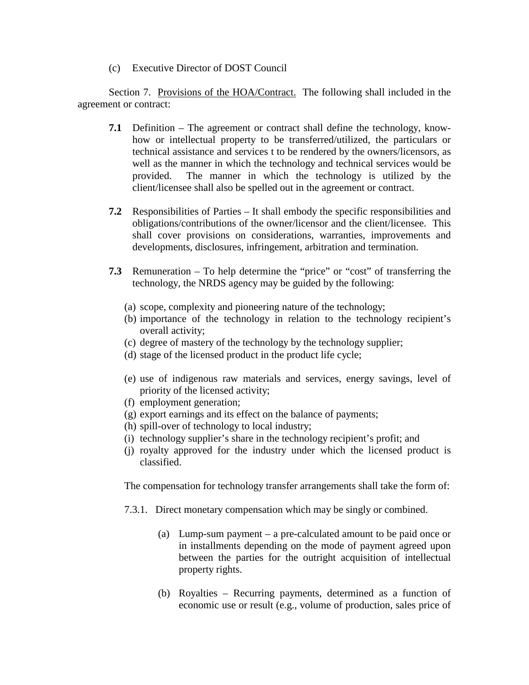(c) Executive Director of DOST Council

Section 7. Provisions of the HOA/Contract. The following shall included in the agreement or contract:

- **7.1** Definition The agreement or contract shall define the technology, knowhow or intellectual property to be transferred/utilized, the particulars or technical assistance and services t to be rendered by the owners/licensors, as well as the manner in which the technology and technical services would be provided. The manner in which the technology is utilized by the client/licensee shall also be spelled out in the agreement or contract.
- **7.2** Responsibilities of Parties It shall embody the specific responsibilities and obligations/contributions of the owner/licensor and the client/licensee. This shall cover provisions on considerations, warranties, improvements and developments, disclosures, infringement, arbitration and termination.
- **7.3** Remuneration To help determine the "price" or "cost" of transferring the technology, the NRDS agency may be guided by the following:
	- (a) scope, complexity and pioneering nature of the technology;
	- (b) importance of the technology in relation to the technology recipient's overall activity;
	- (c) degree of mastery of the technology by the technology supplier;
	- (d) stage of the licensed product in the product life cycle;
	- (e) use of indigenous raw materials and services, energy savings, level of priority of the licensed activity;
	- (f) employment generation;
	- (g) export earnings and its effect on the balance of payments;
	- (h) spill-over of technology to local industry;
	- (i) technology supplier's share in the technology recipient's profit; and
	- (j) royalty approved for the industry under which the licensed product is classified.

The compensation for technology transfer arrangements shall take the form of:

- 7.3.1. Direct monetary compensation which may be singly or combined.
	- (a) Lump-sum payment a pre-calculated amount to be paid once or in installments depending on the mode of payment agreed upon between the parties for the outright acquisition of intellectual property rights.
	- (b) Royalties Recurring payments, determined as a function of economic use or result (e.g., volume of production, sales price of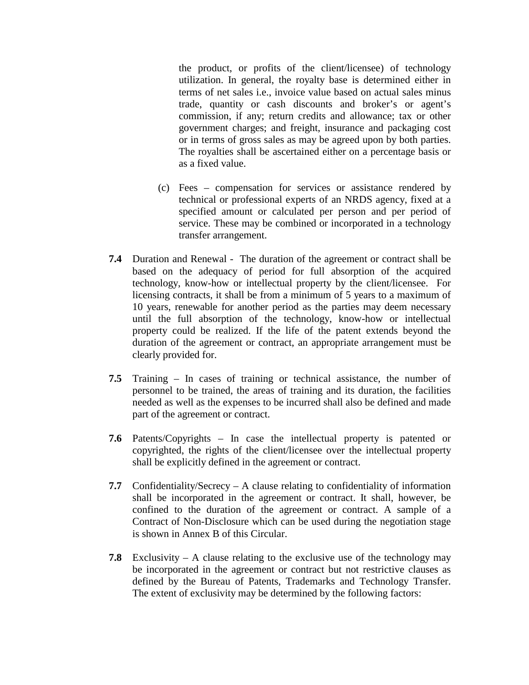the product, or profits of the client/licensee) of technology utilization. In general, the royalty base is determined either in terms of net sales i.e., invoice value based on actual sales minus trade, quantity or cash discounts and broker's or agent's commission, if any; return credits and allowance; tax or other government charges; and freight, insurance and packaging cost or in terms of gross sales as may be agreed upon by both parties. The royalties shall be ascertained either on a percentage basis or as a fixed value.

- (c) Fees compensation for services or assistance rendered by technical or professional experts of an NRDS agency, fixed at a specified amount or calculated per person and per period of service. These may be combined or incorporated in a technology transfer arrangement.
- **7.4** Duration and Renewal The duration of the agreement or contract shall be based on the adequacy of period for full absorption of the acquired technology, know-how or intellectual property by the client/licensee. For licensing contracts, it shall be from a minimum of 5 years to a maximum of 10 years, renewable for another period as the parties may deem necessary until the full absorption of the technology, know-how or intellectual property could be realized. If the life of the patent extends beyond the duration of the agreement or contract, an appropriate arrangement must be clearly provided for.
- **7.5** Training In cases of training or technical assistance, the number of personnel to be trained, the areas of training and its duration, the facilities needed as well as the expenses to be incurred shall also be defined and made part of the agreement or contract.
- **7.6** Patents/Copyrights In case the intellectual property is patented or copyrighted, the rights of the client/licensee over the intellectual property shall be explicitly defined in the agreement or contract.
- **7.7** Confidentiality/Secrecy A clause relating to confidentiality of information shall be incorporated in the agreement or contract. It shall, however, be confined to the duration of the agreement or contract. A sample of a Contract of Non-Disclosure which can be used during the negotiation stage is shown in Annex B of this Circular.
- **7.8** Exclusivity A clause relating to the exclusive use of the technology may be incorporated in the agreement or contract but not restrictive clauses as defined by the Bureau of Patents, Trademarks and Technology Transfer. The extent of exclusivity may be determined by the following factors: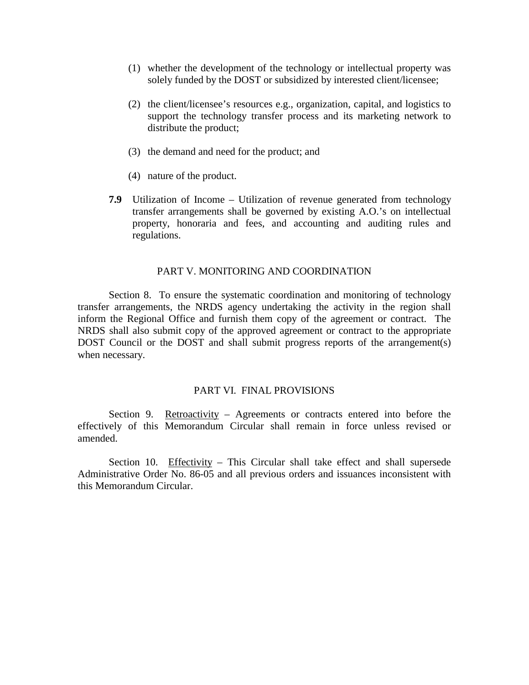- (1) whether the development of the technology or intellectual property was solely funded by the DOST or subsidized by interested client/licensee;
- (2) the client/licensee's resources e.g., organization, capital, and logistics to support the technology transfer process and its marketing network to distribute the product;
- (3) the demand and need for the product; and
- (4) nature of the product.
- **7.9** Utilization of Income Utilization of revenue generated from technology transfer arrangements shall be governed by existing A.O.'s on intellectual property, honoraria and fees, and accounting and auditing rules and regulations.

#### PART V. MONITORING AND COORDINATION

 Section 8. To ensure the systematic coordination and monitoring of technology transfer arrangements, the NRDS agency undertaking the activity in the region shall inform the Regional Office and furnish them copy of the agreement or contract. The NRDS shall also submit copy of the approved agreement or contract to the appropriate DOST Council or the DOST and shall submit progress reports of the arrangement(s) when necessary.

#### PART VI. FINAL PROVISIONS

Section 9. Retroactivity – Agreements or contracts entered into before the effectively of this Memorandum Circular shall remain in force unless revised or amended.

 Section 10. Effectivity – This Circular shall take effect and shall supersede Administrative Order No. 86-05 and all previous orders and issuances inconsistent with this Memorandum Circular.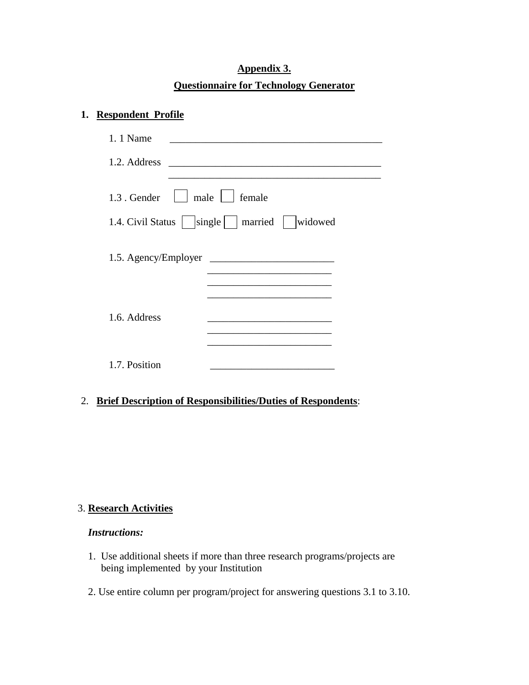# **Appendix 3. Questionnaire for Technology Generator**

## **1. Respondent Profile**

| 1. 1 Name<br><u>and the company of the company of the company of the company of the company of the company of the company of the company of the company of the company of the company of the company of the company of the company of the com</u> |  |
|---------------------------------------------------------------------------------------------------------------------------------------------------------------------------------------------------------------------------------------------------|--|
| 1.2. Address                                                                                                                                                                                                                                      |  |
|                                                                                                                                                                                                                                                   |  |
| $\mid$ male $\mid$ female<br>1.3. Gender                                                                                                                                                                                                          |  |
| 1.4. Civil Status   single   married   widowed                                                                                                                                                                                                    |  |
|                                                                                                                                                                                                                                                   |  |
|                                                                                                                                                                                                                                                   |  |
|                                                                                                                                                                                                                                                   |  |
|                                                                                                                                                                                                                                                   |  |
|                                                                                                                                                                                                                                                   |  |
| 1.6. Address<br>the control of the control of the control of the control of the control of                                                                                                                                                        |  |
|                                                                                                                                                                                                                                                   |  |
|                                                                                                                                                                                                                                                   |  |
|                                                                                                                                                                                                                                                   |  |
| 1.7. Position                                                                                                                                                                                                                                     |  |

# 2. **Brief Description of Responsibilities/Duties of Respondents**:

### 3. **Research Activities**

## *Instructions:*

- 1. Use additional sheets if more than three research programs/projects are being implemented by your Institution
- 2. Use entire column per program/project for answering questions 3.1 to 3.10.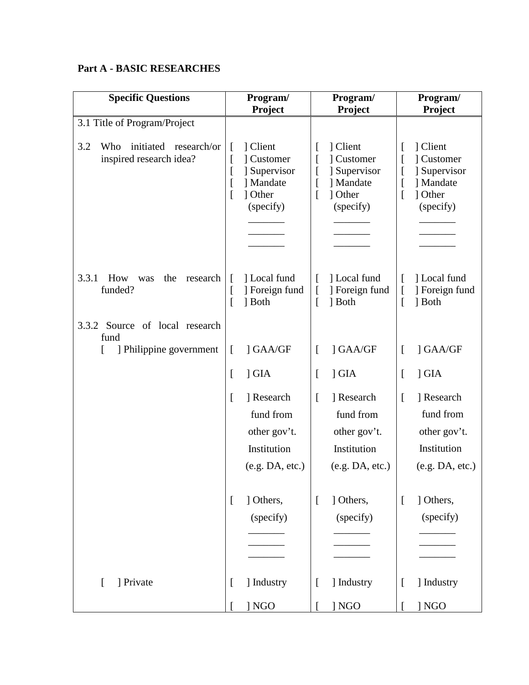# **Part A - BASIC RESEARCHES**

| <b>Specific Questions</b>                                      |                        | Program/<br>Project                                                         |           | Program/<br>Project                                                         | Program/<br>Project |                                                                             |
|----------------------------------------------------------------|------------------------|-----------------------------------------------------------------------------|-----------|-----------------------------------------------------------------------------|---------------------|-----------------------------------------------------------------------------|
| 3.1 Title of Program/Project                                   |                        |                                                                             |           |                                                                             |                     |                                                                             |
| 3.2<br>initiated research/or<br>Who<br>inspired research idea? | L<br>I<br>L<br>L<br>L  | ] Client<br>] Customer<br>] Supervisor<br>] Mandate<br>1 Other<br>(specify) |           | ] Client<br>] Customer<br>] Supervisor<br>] Mandate<br>] Other<br>(specify) | L<br>ſ              | ] Client<br>] Customer<br>] Supervisor<br>] Mandate<br>1 Other<br>(specify) |
| 3.3.1<br>How<br>research<br>the<br>was<br>funded?              | $\mathsf{I}$<br>L<br>ſ | ] Local fund<br>] Foreign fund<br>] Both                                    |           | 1 Local fund<br>] Foreign fund<br>1 Both                                    | L<br>t<br>ſ         | 1 Local fund<br>] Foreign fund<br>] Both                                    |
| Source of local research<br>3.3.2<br>fund                      |                        |                                                                             |           |                                                                             |                     |                                                                             |
| ] Philippine government                                        | $\Gamma$               | ] GAA/GF                                                                    | L         | ] GAA/GF                                                                    | L                   | ] GAA/GF                                                                    |
|                                                                | L                      | $\overline{\phantom{a}}$ GIA                                                |           | $\overline{\phantom{a}}$ GIA                                                | L                   | $\overline{\phantom{a}}$ GIA                                                |
|                                                                | L                      | ] Research<br>fund from<br>other gov't.<br>Institution<br>(e.g. DA, etc.)   | L         | ] Research<br>fund from<br>other gov't.<br>Institution<br>(e.g. DA, etc.)   | ſ                   | ] Research<br>fund from<br>other gov't.<br>Institution<br>(e.g. DA, etc.)   |
|                                                                | L                      | ] Others,<br>(specify)                                                      | f         | ] Others,<br>(specify)                                                      | L                   | ] Others,<br>(specify)                                                      |
| ] Private<br>$\left[ \right]$                                  | L                      | ] Industry                                                                  | $\lfloor$ | ] Industry                                                                  | L                   | ] Industry                                                                  |
|                                                                |                        | ] NGO                                                                       |           | ] NGO                                                                       |                     | ] NGO                                                                       |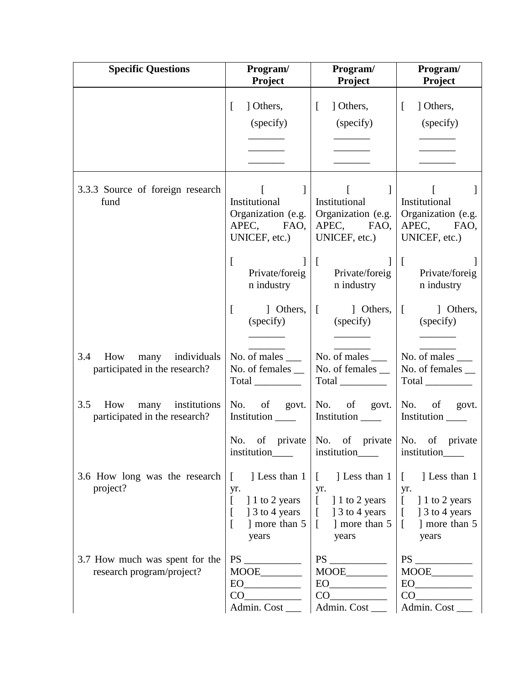| <b>Specific Questions</b>                                     | Program/<br>Project                                                                                    | Program/<br>Project                                                                                                                                                                                                                                                                                          | Program/<br>Project                                                                                                                                                                                                  |
|---------------------------------------------------------------|--------------------------------------------------------------------------------------------------------|--------------------------------------------------------------------------------------------------------------------------------------------------------------------------------------------------------------------------------------------------------------------------------------------------------------|----------------------------------------------------------------------------------------------------------------------------------------------------------------------------------------------------------------------|
|                                                               | ] Others,<br>$\Gamma$<br>(specify)                                                                     | $\begin{bmatrix} 1 \end{bmatrix}$<br>] Others,<br>(specify)                                                                                                                                                                                                                                                  | $\left[ \right]$<br>] Others,<br>(specify)                                                                                                                                                                           |
| 3.3.3 Source of foreign research<br>fund                      | $\begin{bmatrix} 1 & 1 \end{bmatrix}$<br>Institutional<br>APEC, FAO,<br>UNICEF, etc.)<br>$\mathbf{r}$  | $\begin{bmatrix} 1 & 1 \end{bmatrix}$ $\begin{bmatrix} 1 & 1 \end{bmatrix}$<br>Institutional<br>Organization (e.g.   Organization (e.g.   Organization (e.g.<br>APEC, FAO,<br>UNICEF, etc.)<br>$\left  \begin{array}{cc} 1 & 1 \\ 1 & 1 \end{array} \right $<br>Private/foreig Private/foreig Private/foreig | Institutional<br>APEC, FAO,<br>UNICEF, etc.)                                                                                                                                                                         |
|                                                               | n industry  <br>$\left[ \right]$                                                                       | n industry  <br>] Others, $\begin{bmatrix} 1 & 1 \end{bmatrix}$ Others, $\begin{bmatrix} 1 & 1 \end{bmatrix}$ Others,<br>(specify) (specify) (specify)                                                                                                                                                       | n industry                                                                                                                                                                                                           |
| 3.4 How many individuals<br>participated in the research?     | No. of males $\_\_$<br>No. of females __<br>$Total$ <sub>______________</sub>                          | No. of males $\_\_$<br>No. of females $\Box$<br>$Total$ <sub>___________</sub>                                                                                                                                                                                                                               | No. of males $\_\_$<br>No. of females __<br>Total                                                                                                                                                                    |
| How many institutions<br>3.5<br>participated in the research? | Institution _______                                                                                    | No. of govt. No. of govt. No. of govt.<br>Institution ________   Institution ______                                                                                                                                                                                                                          |                                                                                                                                                                                                                      |
|                                                               | institution______                                                                                      | No. of private No. of private No. of private<br>institution______                                                                                                                                                                                                                                            | institution____                                                                                                                                                                                                      |
| 3.6 How long was the research  <br>project?                   | 1 Less than 1<br>$\mathbb{R}$<br>yr.<br>11 to 2 years<br>1 3 to 4 years<br>L<br>] more than 5<br>years | ] Less than $1$<br>$\Box$<br>yr.<br>$\begin{bmatrix} 1 & 1 & 1 \\ 0 & 2 & 1 \end{bmatrix}$ to 2 years<br>$\lbrack$ ] 3 to 4 years<br>] more than 5<br>$\lceil$<br>years                                                                                                                                      | $\begin{bmatrix} 1 \\ 1 \end{bmatrix}$ Less than 1<br>yr.<br>$\begin{bmatrix} 1 & 1 & 1 \\ 0 & 2 & 1 \end{bmatrix}$ to 2 years<br>$\begin{bmatrix} 1 & 3 & 6 & 4 \end{bmatrix}$ years<br>] more than 5<br>L<br>years |
| 3.7 How much was spent for the<br>research program/project?   | EO<br>CO<br>Admin. Cost_                                                                               | $\text{MOOE}\_\!\_\!\_\!\!\_$<br>Admin. Cost_                                                                                                                                                                                                                                                                | CO<br>Admin. Cost_                                                                                                                                                                                                   |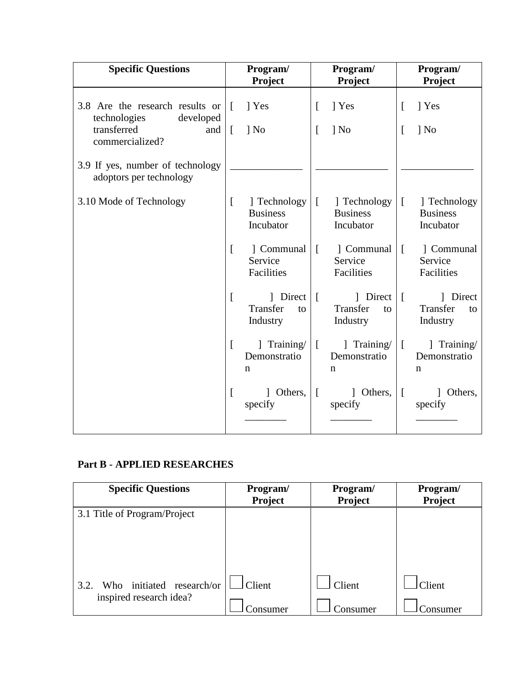| <b>Specific Questions</b>                                                          | Program/<br>Program/     |                                                      | Project<br>Project   |                                              | Program/<br>Project  |                                              |
|------------------------------------------------------------------------------------|--------------------------|------------------------------------------------------|----------------------|----------------------------------------------|----------------------|----------------------------------------------|
| 3.8 Are the research results or<br>technologies<br>developed<br>transferred<br>and | $\mathbf{L}$<br>$\lceil$ | 1 Yes<br>$\log$ No                                   | $\lceil$<br>$\Gamma$ | 1 Yes<br>$\log$ No                           | $\lceil$<br>$\Gamma$ | 1 Yes<br>$\log$ No                           |
| commercialized?<br>3.9 If yes, number of technology<br>adoptors per technology     |                          |                                                      |                      |                                              |                      |                                              |
| 3.10 Mode of Technology                                                            | $\Gamma$                 | ] Technology<br><b>Business</b><br>Incubator         | $\Box$               | ] Technology<br><b>Business</b><br>Incubator | $\lceil$             | ] Technology<br><b>Business</b><br>Incubator |
|                                                                                    | $\left[ \right]$         | ] Communal<br>Service<br>Facilities                  | $\left[ \right]$     | 1 Communal<br>Service<br>Facilities          | $\lceil$             | 1 Communal<br>Service<br>Facilities          |
|                                                                                    | L                        | $\mid$ Direct $\mid$ [<br>Transfer<br>to<br>Industry |                      | 1 Direct<br>Transfer<br>to<br>Industry       | $\sqrt{ }$           | 1 Direct<br>Transfer<br>to<br>Industry       |
|                                                                                    | $\left[ \right]$         | Training/<br>Demonstratio<br>$\mathbf n$             | $\Box$               | Training/<br>Demonstratio<br>$\mathbf n$     | $\Gamma$             | Training/<br>Demonstratio<br>$\mathbf n$     |
|                                                                                    | $\mathbf{r}$             | 1 Others,<br>specify                                 | $\sqrt{ }$           | 1 Others,<br>specify                         | $\sqrt{ }$           | Others,<br>specify                           |

# **Part B - APPLIED RESEARCHES**

| <b>Specific Questions</b>         | Program/<br><b>Project</b> | Program/<br>Project | Program/<br>Project |
|-----------------------------------|----------------------------|---------------------|---------------------|
| 3.1 Title of Program/Project      |                            |                     |                     |
|                                   |                            |                     |                     |
|                                   |                            |                     |                     |
| Who initiated research/or<br>3.2. | Client                     | Client              | <b>Client</b>       |
| inspired research idea?           | Consumer                   | Consumer            | Consumer            |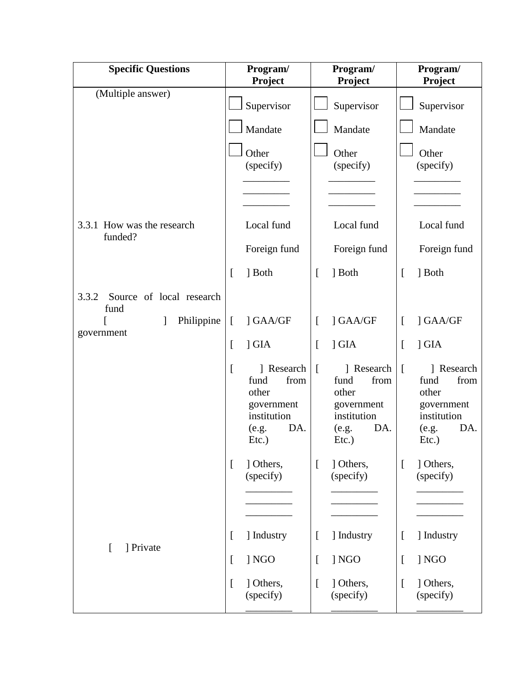| <b>Specific Questions</b>                 |          | Program/<br>Project                                                                          | Program/<br>Project |                                                                                              | Program/<br>Project |                                                                                              |
|-------------------------------------------|----------|----------------------------------------------------------------------------------------------|---------------------|----------------------------------------------------------------------------------------------|---------------------|----------------------------------------------------------------------------------------------|
| (Multiple answer)                         |          | Supervisor                                                                                   |                     | Supervisor                                                                                   |                     | Supervisor                                                                                   |
|                                           |          | Mandate                                                                                      |                     | Mandate                                                                                      |                     | Mandate                                                                                      |
|                                           |          | Other<br>(specify)                                                                           |                     | Other<br>(specify)                                                                           |                     | Other<br>(specify)                                                                           |
| 3.3.1 How was the research<br>funded?     |          | Local fund                                                                                   |                     | Local fund                                                                                   |                     | Local fund                                                                                   |
|                                           |          | Foreign fund                                                                                 |                     | Foreign fund                                                                                 |                     | Foreign fund                                                                                 |
|                                           | ſ        | ] Both                                                                                       | $\Gamma$            | 1 Both                                                                                       | L                   | ] Both                                                                                       |
| Source of local research<br>3.3.2<br>fund |          |                                                                                              |                     |                                                                                              |                     |                                                                                              |
| Philippine<br>$\mathbf{I}$                | $\lceil$ | ] GAA/GF                                                                                     | $\Gamma$            | ] GAA/GF                                                                                     | $\Gamma$            | ] GAA/GF                                                                                     |
| government                                | L        | ] GIA                                                                                        | $\lceil$            | $\overline{\phantom{a}}$ GIA                                                                 | L                   | $\overline{\phantom{a}}$ GIA                                                                 |
|                                           | ſ        | ] Research<br>from<br>fund<br>other<br>government<br>institution<br>DA.<br>(e.g.<br>$Etc.$ ) | $\overline{[}$      | ] Research<br>fund<br>from<br>other<br>government<br>institution<br>DA.<br>(e.g.<br>$Etc.$ ) | L                   | ] Research<br>fund<br>from<br>other<br>government<br>institution<br>DA.<br>(e.g.<br>$Etc.$ ) |
|                                           | L        | ] Others,<br>(specify)                                                                       | $\lceil$            | ] Others,<br>(specify)                                                                       | $\lceil$            | ] Others,<br>(specify)                                                                       |
|                                           | L        | ] Industry                                                                                   | $\Gamma$            | ] Industry                                                                                   | $\Gamma$            | ] Industry                                                                                   |
| ] Private<br>$\Gamma$                     | L        | ] NGO                                                                                        | I                   | ] NGO                                                                                        | $\overline{[}$      | ] NGO                                                                                        |
|                                           | ſ        | ] Others,<br>(specify)                                                                       | $\Gamma$            | ] Others,<br>(specify)                                                                       | $\overline{a}$      | ] Others,<br>(specify)                                                                       |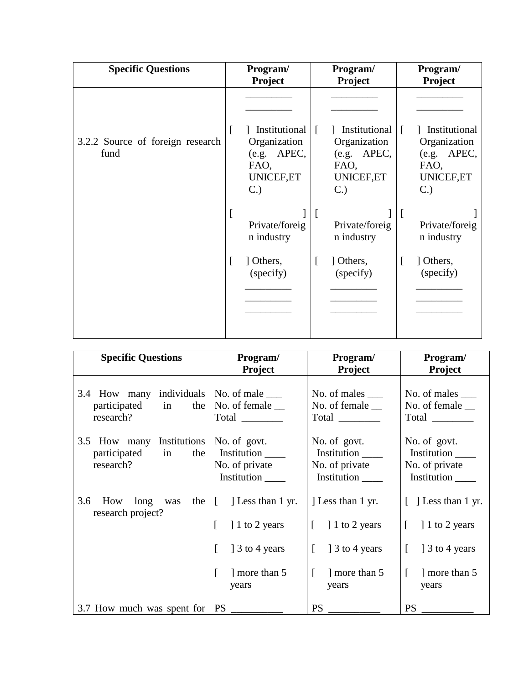| <b>Specific Questions</b>                | Program/<br><b>Project</b>                                                      | Program/<br>Project                                                                     |                                                                                          |
|------------------------------------------|---------------------------------------------------------------------------------|-----------------------------------------------------------------------------------------|------------------------------------------------------------------------------------------|
|                                          |                                                                                 |                                                                                         |                                                                                          |
| 3.2.2 Source of foreign research<br>fund | Institutional<br>L<br>Organization<br>APEC,<br>(e.g.<br>FAO,<br>UNICEF,ET<br>C. | Institutional<br>$\Gamma$<br>Organization<br>(e.g. APEC,<br>FAO,<br>UNICEF,ET<br>$C$ .) | Institutional<br>$\sqrt{ }$<br>Organization<br>APEC,<br>(e.g.<br>FAO,<br>UNICEF,ET<br>C. |
|                                          | <sup>[</sup><br>Private/foreig<br>n industry                                    | $\mathsf{L}$<br>Private/foreig<br>n industry                                            | Private/foreig<br>n industry                                                             |
|                                          | 1 Others,<br>L<br>(specify)                                                     | 1 Others,<br>I<br>(specify)                                                             | $\Gamma$<br>1 Others,<br>(specify)                                                       |
|                                          |                                                                                 |                                                                                         |                                                                                          |

| <b>Specific Questions</b>                                                                                                                                            | Program/                                                                                                                | Program/                                                                                    | Program/                                                                                                 |  |
|----------------------------------------------------------------------------------------------------------------------------------------------------------------------|-------------------------------------------------------------------------------------------------------------------------|---------------------------------------------------------------------------------------------|----------------------------------------------------------------------------------------------------------|--|
|                                                                                                                                                                      | <b>Project</b>                                                                                                          | <b>Project</b>                                                                              | <b>Project</b>                                                                                           |  |
| 3.4 How many individuals<br>participated in the<br>research?                                                                                                         | No. of male $\_\_$<br>No. of female $\_\_$<br>Total $\frac{1}{\sqrt{1-\frac{1}{2}}\cdot\frac{1}{\sqrt{1-\frac{1}{2}}}}$ | No. of males $\_\_$<br>No. of female $\_\_$<br>Total                                        | No. of males ______<br>No. of female __                                                                  |  |
| 3.5 How many Institutions<br>participated in the<br>research?                                                                                                        | No. of govt.<br>Institution<br>No. of private<br>Institution                                                            | No. of govt.<br>Institution<br>No. of private<br>Institution                                | No. of govt.<br>Institution ______<br>No. of private<br>Institution                                      |  |
| 3.6<br>How long was the $\begin{bmatrix} \cdot & \cdot & \cdot \\ \cdot & \cdot & \cdot \\ \cdot & \cdot & \cdot \end{bmatrix}$ Less than 1 yr.<br>research project? | 1 to 2 years<br>1 3 to 4 years<br>L<br>more than 5<br>years                                                             | Less than 1 yr.<br>$\lceil$ 1 to 2 years<br>$\lceil$ 1 3 to 4 years<br>more than 5<br>years | $[$ ] Less than 1 yr.<br>$\lceil$ 1 to 2 years<br>1 3 to 4 years<br>$\mathbb{F}$<br>more than 5<br>years |  |
| 3.7 How much was spent for   PS                                                                                                                                      |                                                                                                                         | <b>PS</b>                                                                                   | <b>PS</b>                                                                                                |  |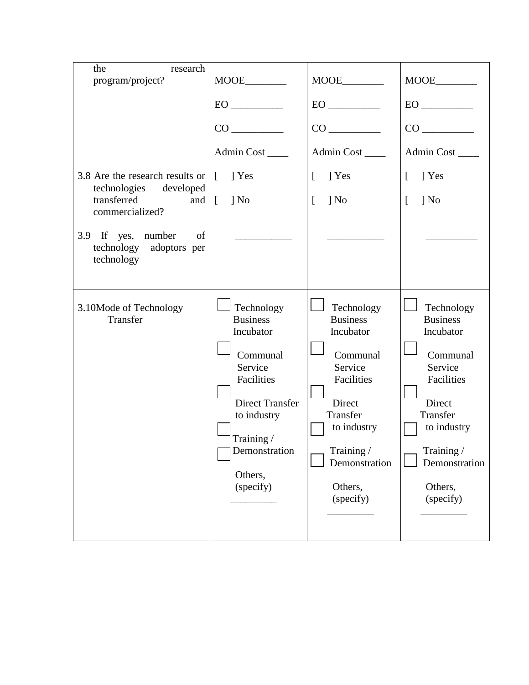| the<br>research                                                                                                    |                                                                                                                                                                                 |                                                                                                                                                                             |                                                                                                                                                                             |  |
|--------------------------------------------------------------------------------------------------------------------|---------------------------------------------------------------------------------------------------------------------------------------------------------------------------------|-----------------------------------------------------------------------------------------------------------------------------------------------------------------------------|-----------------------------------------------------------------------------------------------------------------------------------------------------------------------------|--|
| program/project?                                                                                                   |                                                                                                                                                                                 |                                                                                                                                                                             |                                                                                                                                                                             |  |
|                                                                                                                    |                                                                                                                                                                                 | $EO$ <sub>___________</sub>                                                                                                                                                 | $EO$ <sub>___________</sub>                                                                                                                                                 |  |
|                                                                                                                    |                                                                                                                                                                                 |                                                                                                                                                                             |                                                                                                                                                                             |  |
|                                                                                                                    | Admin Cost                                                                                                                                                                      | Admin Cost                                                                                                                                                                  | Admin Cost                                                                                                                                                                  |  |
| 3.8 Are the research results or<br>technologies developed<br>transferred<br>and $\vert$ $\vert$<br>commercialized? | 1 Yes<br>$\Box$<br>$\log$                                                                                                                                                       | $\left[ \right]$<br>T Yes<br>$\log$<br>$\Gamma$                                                                                                                             | $\Gamma$<br>1 Yes<br>$\Gamma$<br>$\log$                                                                                                                                     |  |
| 3.9 If yes, number<br>of<br>technology adoptors per<br>technology                                                  |                                                                                                                                                                                 |                                                                                                                                                                             |                                                                                                                                                                             |  |
| 3.10Mode of Technology<br>Transfer                                                                                 | Technology<br><b>Business</b><br>Incubator<br>Communal<br>Service<br>Facilities<br><b>Direct Transfer</b><br>to industry<br>Training /<br>Demonstration<br>Others,<br>(specify) | Technology<br><b>Business</b><br>Incubator<br>Communal<br>Service<br>Facilities<br>Direct<br>Transfer<br>to industry<br>Training /<br>Demonstration<br>Others,<br>(specify) | Technology<br><b>Business</b><br>Incubator<br>Communal<br>Service<br>Facilities<br>Direct<br>Transfer<br>to industry<br>Training /<br>Demonstration<br>Others,<br>(specify) |  |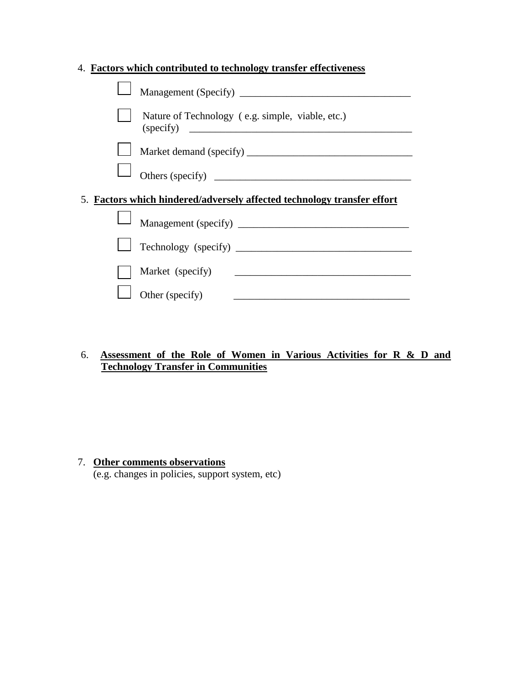|  | 4. Factors which contributed to technology transfer effectiveness       |
|--|-------------------------------------------------------------------------|
|  |                                                                         |
|  | Nature of Technology (e.g. simple, viable, etc.)                        |
|  |                                                                         |
|  |                                                                         |
|  | 5. Factors which hindered/adversely affected technology transfer effort |
|  | Management (specify)                                                    |
|  |                                                                         |
|  | Market (specify)                                                        |
|  | Other (specify)                                                         |

### 6. **Assessment of the Role of Women in Various Activities for R & D and Technology Transfer in Communities**

#### 7. **Other comments observations**

(e.g. changes in policies, support system, etc)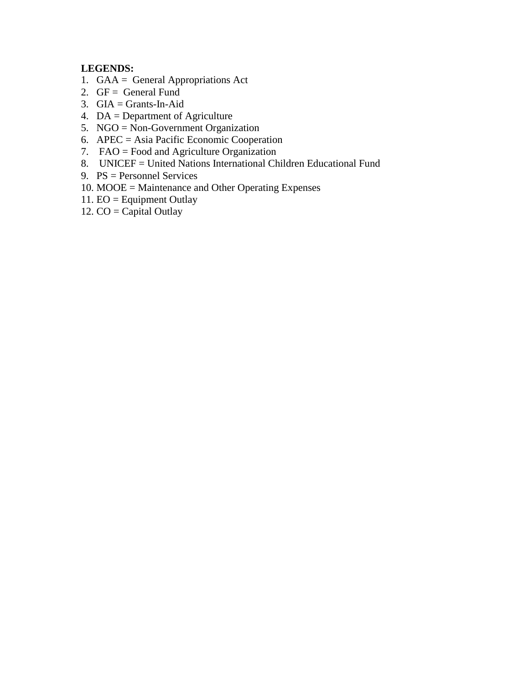## **LEGENDS:**

- 1. GAA = General Appropriations Act
- 2.  $GF = General Fund$
- 3. GIA = Grants-In-Aid
- 4. DA = Department of Agriculture
- 5. NGO = Non-Government Organization
- 6. APEC = Asia Pacific Economic Cooperation
- 7. FAO = Food and Agriculture Organization
- 8. UNICEF = United Nations International Children Educational Fund
- 9. PS = Personnel Services
- 10. MOOE = Maintenance and Other Operating Expenses
- 11. EO = Equipment Outlay
- 12.  $CO =$ Capital Outlay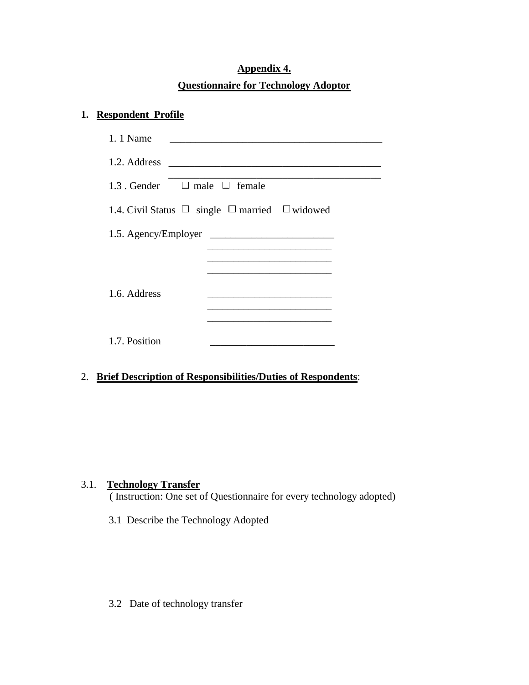# **Appendix 4. Questionnaire for Technology Adoptor**

## **1. Respondent Profile**

| 1.1 Name                                                      |
|---------------------------------------------------------------|
|                                                               |
| 1.3 Gender $\Box$ male $\Box$ female                          |
| 1.4. Civil Status $\Box$ single $\Box$ married $\Box$ widowed |
|                                                               |
|                                                               |
|                                                               |
| 1.6. Address                                                  |
|                                                               |
| 1.7. Position                                                 |

2. **Brief Description of Responsibilities/Duties of Respondents**:

### 3.1. **Technology Transfer**

( Instruction: One set of Questionnaire for every technology adopted)

3.1 Describe the Technology Adopted

3.2 Date of technology transfer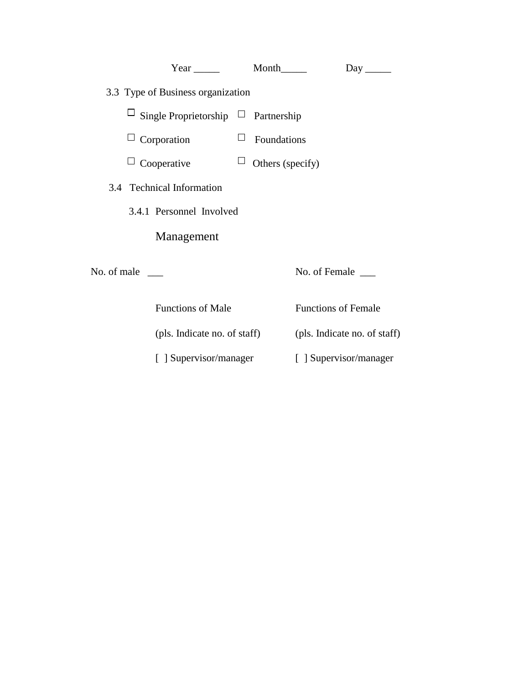| Year Month                                      |                  |                              |
|-------------------------------------------------|------------------|------------------------------|
| 3.3 Type of Business organization               |                  |                              |
| $\Box$ Single Proprietorship $\Box$ Partnership |                  |                              |
| $\Box$ Corporation                              | Ц<br>Foundations |                              |
| $\sqcup$ Cooperative                            | Others (specify) |                              |
| 3.4 Technical Information                       |                  |                              |
| 3.4.1 Personnel Involved                        |                  |                              |
| Management                                      |                  |                              |
| No. of male                                     |                  | No. of Female ______         |
| <b>Functions of Male</b>                        |                  | <b>Functions of Female</b>   |
| (pls. Indicate no. of staff)                    |                  | (pls. Indicate no. of staff) |
| [ ] Supervisor/manager                          |                  | [ ] Supervisor/manager       |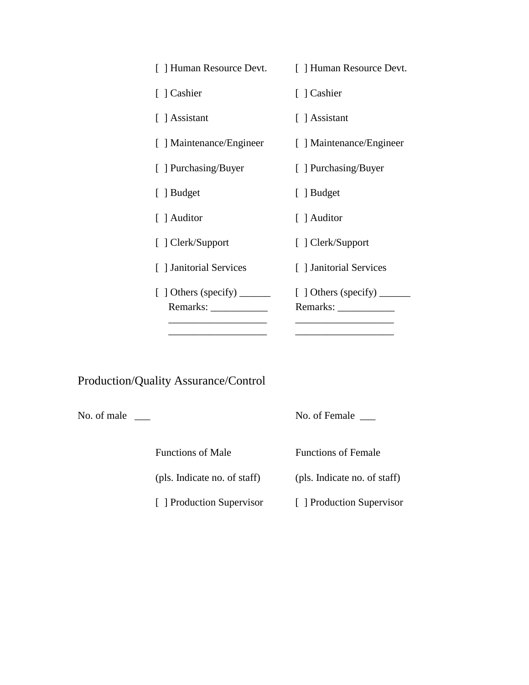| [ ] Human Resource Devt.                                                                                                | [ ] Human Resource Devt.                                       |
|-------------------------------------------------------------------------------------------------------------------------|----------------------------------------------------------------|
| [ ] Cashier                                                                                                             | [ ] Cashier                                                    |
| [ ] Assistant                                                                                                           | [ ] Assistant                                                  |
| [ ] Maintenance/Engineer                                                                                                | [ ] Maintenance/Engineer                                       |
| [ ] Purchasing/Buyer                                                                                                    | [ ] Purchasing/Buyer                                           |
| [ ] Budget                                                                                                              | [ ] Budget                                                     |
| [ ] Auditor                                                                                                             | [ ] Auditor                                                    |
| [ ] Clerk/Support                                                                                                       | [ ] Clerk/Support                                              |
| [] Janitorial Services                                                                                                  | [] Janitorial Services                                         |
| $\left[\begin{array}{c}\end{array}\right]$ Others (specify) ________<br>Remarks: New York Changes and Security Assembly | $\lbrack$ ] Others (specify) _______<br>Remarks: $\frac{1}{2}$ |
|                                                                                                                         |                                                                |

# Production/Quality Assurance/Control

No. of male  $\qquad \qquad$  No. of Female  $\qquad \qquad$ 

Functions of Male Functions of Female

(pls. Indicate no. of staff) (pls. Indicate no. of staff)

[ ] Production Supervisor [ ] Production Supervisor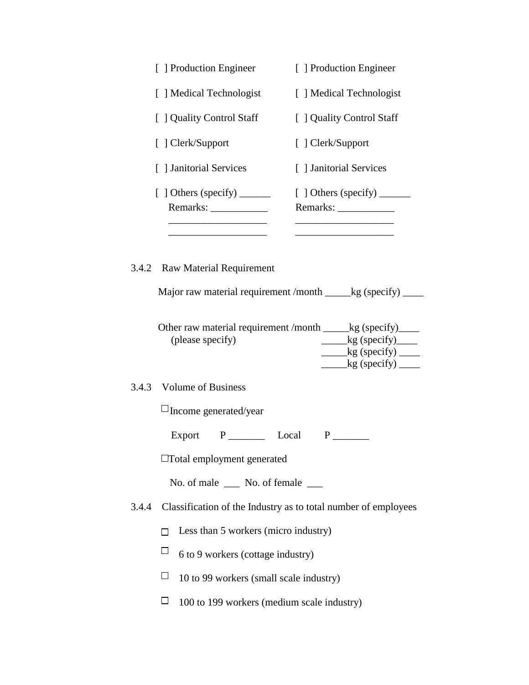|       | [ ] Production Engineer                                                                                                             | [ ] Production Engineer                                                                                                                                     |
|-------|-------------------------------------------------------------------------------------------------------------------------------------|-------------------------------------------------------------------------------------------------------------------------------------------------------------|
|       | [ ] Medical Technologist                                                                                                            | [ ] Medical Technologist                                                                                                                                    |
|       | [ ] Quality Control Staff                                                                                                           | [ ] Quality Control Staff                                                                                                                                   |
|       | [ ] Clerk/Support                                                                                                                   | [ ] Clerk/Support                                                                                                                                           |
|       | [] Janitorial Services                                                                                                              | [ ] Janitorial Services                                                                                                                                     |
|       | [ ] Others (specify) _________                                                                                                      | [ ] Others (specify)<br>Remarks: ______________                                                                                                             |
|       | 3.4.2 Raw Material Requirement<br>Other raw material requirement /month ______kg (specify)_____<br>(please specify)                 | Major raw material requirement /month _____kg (specify) ____<br>$\frac{\log(\text{specific})}{\log(\text{specific})}$<br>$\_\_\$ {kg} (specify) $\_\_\_\_\$ |
| 3.4.3 | <b>Volume of Business</b>                                                                                                           | $\_\_\_\$ (specify) $\_\_\_\_\$                                                                                                                             |
|       | $\square$ Income generated/year                                                                                                     |                                                                                                                                                             |
|       | Export<br>$\Box$ Total employment generated                                                                                         |                                                                                                                                                             |
|       | No. of male ______ No. of female _____                                                                                              |                                                                                                                                                             |
| 3.4.4 |                                                                                                                                     | Classification of the Industry as to total number of employees                                                                                              |
|       | Less than 5 workers (micro industry)<br>Ц<br>6 to 9 workers (cottage industry)<br>$\Box$<br>10 to 99 workers (small scale industry) |                                                                                                                                                             |
|       |                                                                                                                                     |                                                                                                                                                             |

 $\Box$  100 to 199 workers (medium scale industry)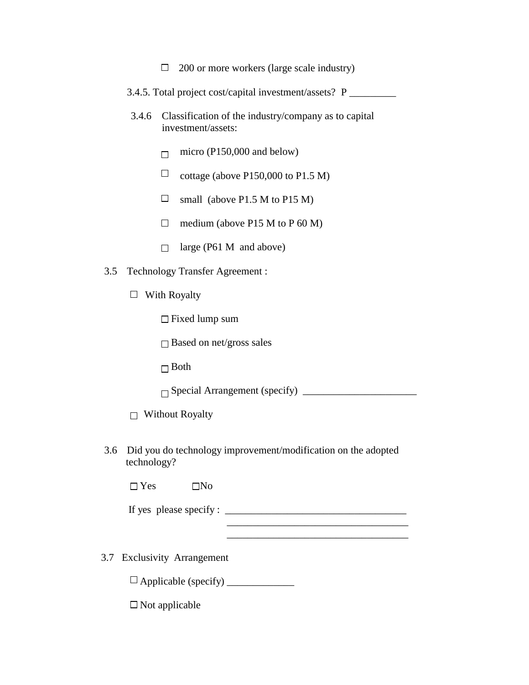- $\Box$  200 or more workers (large scale industry)
- 3.4.5. Total project cost/capital investment/assets? P \_\_\_\_\_\_\_\_\_
- 3.4.6 Classification of the industry/company as to capital investment/assets:
	- $\Box$  micro (P150,000 and below)
	- $\Box$  cottage (above P150,000 to P1.5 M)
	- $\Box$  small (above P1.5 M to P15 M)
	- $\Box$  medium (above P15 M to P 60 M)
	- $\Box$  large (P61 M and above)
- 3.5 Technology Transfer Agreement :
	- $\Box$  With Royalty

Fixed lump sum

□ Based on net/gross sales

 $\Box$  Both

Special Arrangement (specify) \_\_\_\_\_\_\_\_\_\_\_\_\_\_\_\_\_\_\_\_\_\_

 $\Box$  Without Royalty

3.6 Did you do technology improvement/modification on the adopted technology?

 $\Box$  Yes  $\Box$  No

If yes please specify :  $\frac{1}{\sqrt{1-\frac{1}{2}} \cdot \frac{1}{\sqrt{1-\frac{1}{2}} \cdot \frac{1}{\sqrt{1-\frac{1}{2}} \cdot \frac{1}{\sqrt{1-\frac{1}{2}} \cdot \frac{1}{\sqrt{1-\frac{1}{2}} \cdot \frac{1}{\sqrt{1-\frac{1}{2}} \cdot \frac{1}{\sqrt{1-\frac{1}{2}} \cdot \frac{1}{\sqrt{1-\frac{1}{2}} \cdot \frac{1}{\sqrt{1-\frac{1}{2}} \cdot \frac{1}{\sqrt{1-\frac{1}{2}} \cdot \frac{1}{\sqrt{1-\frac{1}{2}}$ 

3.7 Exclusivity Arrangement

Applicable (specify) \_\_\_\_\_\_\_\_\_\_\_\_\_

 $\square$  Not applicable